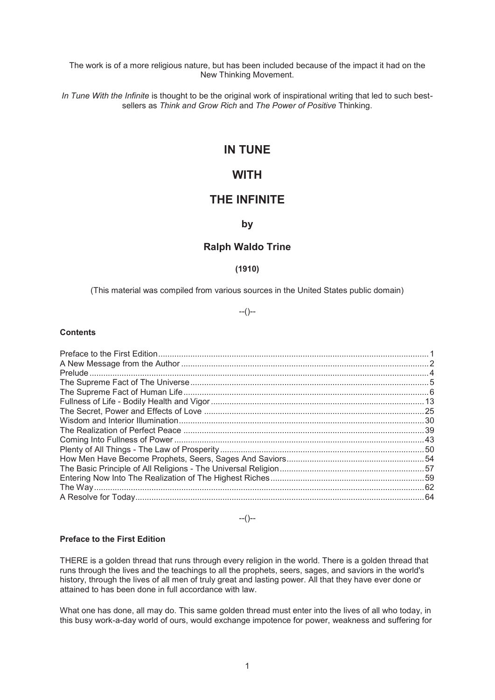The work is of a more religious nature, but has been included because of the impact it had on the New Thinking Movement.

*In Tune With the Infinite* is thought to be the original work of inspirational writing that led to such bestsellers as *Think and Grow Rich* and *The Power of Positive* Thinking.

# **IN TUNE**

# **WITH**

# **THE INFINITE**

**by** 

# **Ralph Waldo Trine**

# **(1910)**

(This material was compiled from various sources in the United States public domain)

--()--

#### **Contents**

--()--

#### **Preface to the First Edition**

THERE is a golden thread that runs through every religion in the world. There is a golden thread that runs through the lives and the teachings to all the prophets, seers, sages, and saviors in the world's history, through the lives of all men of truly great and lasting power. All that they have ever done or attained to has been done in full accordance with law.

What one has done, all may do. This same golden thread must enter into the lives of all who today, in this busy work-a-day world of ours, would exchange impotence for power, weakness and suffering for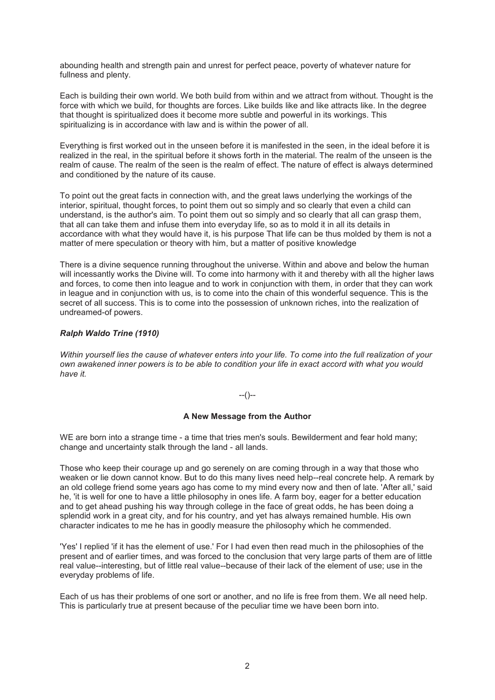abounding health and strength pain and unrest for perfect peace, poverty of whatever nature for fullness and plenty.

Each is building their own world. We both build from within and we attract from without. Thought is the force with which we build, for thoughts are forces. Like builds like and like attracts like. In the degree that thought is spiritualized does it become more subtle and powerful in its workings. This spiritualizing is in accordance with law and is within the power of all.

Everything is first worked out in the unseen before it is manifested in the seen, in the ideal before it is realized in the real, in the spiritual before it shows forth in the material. The realm of the unseen is the realm of cause. The realm of the seen is the realm of effect. The nature of effect is always determined and conditioned by the nature of its cause.

To point out the great facts in connection with, and the great laws underlying the workings of the interior, spiritual, thought forces, to point them out so simply and so clearly that even a child can understand, is the author's aim. To point them out so simply and so clearly that all can grasp them, that all can take them and infuse them into everyday life, so as to mold it in all its details in accordance with what they would have it, is his purpose That life can be thus molded by them is not a matter of mere speculation or theory with him, but a matter of positive knowledge

There is a divine sequence running throughout the universe. Within and above and below the human will incessantly works the Divine will. To come into harmony with it and thereby with all the higher laws and forces, to come then into league and to work in conjunction with them, in order that they can work in league and in conjunction with us, is to come into the chain of this wonderful sequence. This is the secret of all success. This is to come into the possession of unknown riches, into the realization of undreamed-of powers.

# *Ralph Waldo Trine (1910)*

*Within yourself lies the cause of whatever enters into your life. To come into the full realization of your own awakened inner powers is to be able to condition your life in exact accord with what you would have it.*

#### $-(-)$

# **A New Message from the Author**

WE are born into a strange time - a time that tries men's souls. Bewilderment and fear hold many: change and uncertainty stalk through the land - all lands.

Those who keep their courage up and go serenely on are coming through in a way that those who weaken or lie down cannot know. But to do this many lives need help--real concrete help. A remark by an old college friend some years ago has come to my mind every now and then of late. 'After all,' said he, 'it is well for one to have a little philosophy in ones life. A farm boy, eager for a better education and to get ahead pushing his way through college in the face of great odds, he has been doing a splendid work in a great city, and for his country, and yet has always remained humble. His own character indicates to me he has in goodly measure the philosophy which he commended.

'Yes' I replied 'if it has the element of use.' For I had even then read much in the philosophies of the present and of earlier times, and was forced to the conclusion that very large parts of them are of little real value--interesting, but of little real value--because of their lack of the element of use; use in the everyday problems of life.

Each of us has their problems of one sort or another, and no life is free from them. We all need help. This is particularly true at present because of the peculiar time we have been born into.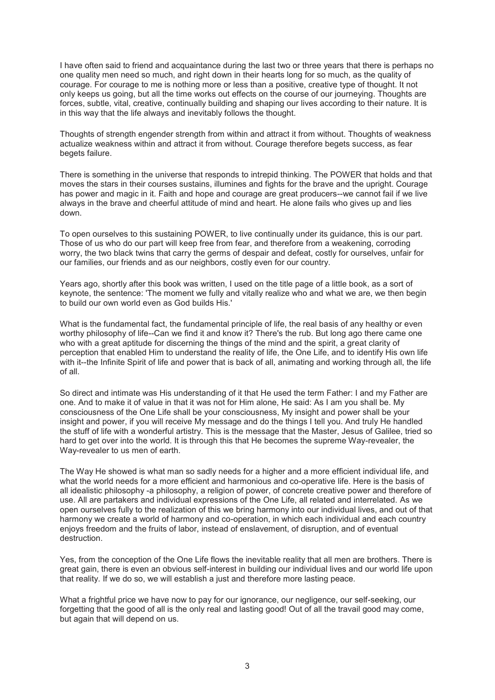I have often said to friend and acquaintance during the last two or three years that there is perhaps no one quality men need so much, and right down in their hearts long for so much, as the quality of courage. For courage to me is nothing more or less than a positive, creative type of thought. It not only keeps us going, but all the time works out effects on the course of our journeying. Thoughts are forces, subtle, vital, creative, continually building and shaping our lives according to their nature. It is in this way that the life always and inevitably follows the thought.

Thoughts of strength engender strength from within and attract it from without. Thoughts of weakness actualize weakness within and attract it from without. Courage therefore begets success, as fear begets failure.

There is something in the universe that responds to intrepid thinking. The POWER that holds and that moves the stars in their courses sustains, illumines and fights for the brave and the upright. Courage has power and magic in it. Faith and hope and courage are great producers--we cannot fail if we live always in the brave and cheerful attitude of mind and heart. He alone fails who gives up and lies down.

To open ourselves to this sustaining POWER, to live continually under its guidance, this is our part. Those of us who do our part will keep free from fear, and therefore from a weakening, corroding worry, the two black twins that carry the germs of despair and defeat, costly for ourselves, unfair for our families, our friends and as our neighbors, costly even for our country.

Years ago, shortly after this book was written, I used on the title page of a little book, as a sort of keynote, the sentence: 'The moment we fully and vitally realize who and what we are, we then begin to build our own world even as God builds His.'

What is the fundamental fact, the fundamental principle of life, the real basis of any healthy or even worthy philosophy of life--Can we find it and know it? There's the rub. But long ago there came one who with a great aptitude for discerning the things of the mind and the spirit, a great clarity of perception that enabled Him to understand the reality of life, the One Life, and to identify His own life with it--the Infinite Spirit of life and power that is back of all, animating and working through all, the life of all.

So direct and intimate was His understanding of it that He used the term Father: I and my Father are one. And to make it of value in that it was not for Him alone, He said: As I am you shall be. My consciousness of the One Life shall be your consciousness, My insight and power shall be your insight and power, if you will receive My message and do the things I tell you. And truly He handled the stuff of life with a wonderful artistry. This is the message that the Master, Jesus of Galilee, tried so hard to get over into the world. It is through this that He becomes the supreme Way-revealer, the Way-revealer to us men of earth.

The Way He showed is what man so sadly needs for a higher and a more efficient individual life, and what the world needs for a more efficient and harmonious and co-operative life. Here is the basis of all idealistic philosophy -a philosophy, a religion of power, of concrete creative power and therefore of use. All are partakers and individual expressions of the One Life, all related and interrelated. As we open ourselves fully to the realization of this we bring harmony into our individual lives, and out of that harmony we create a world of harmony and co-operation, in which each individual and each country enjoys freedom and the fruits of labor, instead of enslavement, of disruption, and of eventual destruction.

Yes, from the conception of the One Life flows the inevitable reality that all men are brothers. There is great gain, there is even an obvious self-interest in building our individual lives and our world life upon that reality. If we do so, we will establish a just and therefore more lasting peace.

What a frightful price we have now to pay for our ignorance, our negligence, our self-seeking, our forgetting that the good of all is the only real and lasting good! Out of all the travail good may come, but again that will depend on us.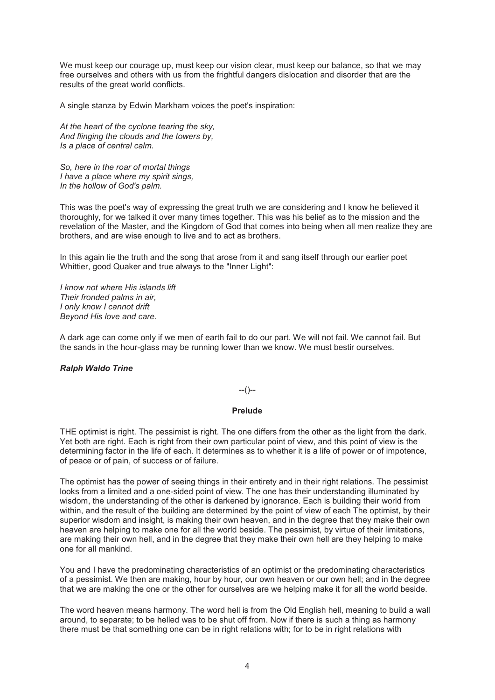We must keep our courage up, must keep our vision clear, must keep our balance, so that we may free ourselves and others with us from the frightful dangers dislocation and disorder that are the results of the great world conflicts.

A single stanza by Edwin Markham voices the poet's inspiration:

*At the heart of the cyclone tearing the sky, And flinging the clouds and the towers by, Is a place of central calm.*

*So, here in the roar of mortal things I have a place where my spirit sings, In the hollow of God's palm.*

This was the poet's way of expressing the great truth we are considering and I know he believed it thoroughly, for we talked it over many times together. This was his belief as to the mission and the revelation of the Master, and the Kingdom of God that comes into being when all men realize they are brothers, and are wise enough to live and to act as brothers.

In this again lie the truth and the song that arose from it and sang itself through our earlier poet Whittier, good Quaker and true always to the "Inner Light":

*I know not where His islands lift Their fronded palms in air, I only know I cannot drift Beyond His love and care.*

A dark age can come only if we men of earth fail to do our part. We will not fail. We cannot fail. But the sands in the hour-glass may be running lower than we know. We must bestir ourselves.

#### *Ralph Waldo Trine*

#### --()--

#### **Prelude**

THE optimist is right. The pessimist is right. The one differs from the other as the light from the dark. Yet both are right. Each is right from their own particular point of view, and this point of view is the determining factor in the life of each. It determines as to whether it is a life of power or of impotence, of peace or of pain, of success or of failure.

The optimist has the power of seeing things in their entirety and in their right relations. The pessimist looks from a limited and a one-sided point of view. The one has their understanding illuminated by wisdom, the understanding of the other is darkened by ignorance. Each is building their world from within, and the result of the building are determined by the point of view of each The optimist, by their superior wisdom and insight, is making their own heaven, and in the degree that they make their own heaven are helping to make one for all the world beside. The pessimist, by virtue of their limitations, are making their own hell, and in the degree that they make their own hell are they helping to make one for all mankind.

You and I have the predominating characteristics of an optimist or the predominating characteristics of a pessimist. We then are making, hour by hour, our own heaven or our own hell; and in the degree that we are making the one or the other for ourselves are we helping make it for all the world beside.

The word heaven means harmony. The word hell is from the Old English hell, meaning to build a wall around, to separate; to be helled was to be shut off from. Now if there is such a thing as harmony there must be that something one can be in right relations with; for to be in right relations with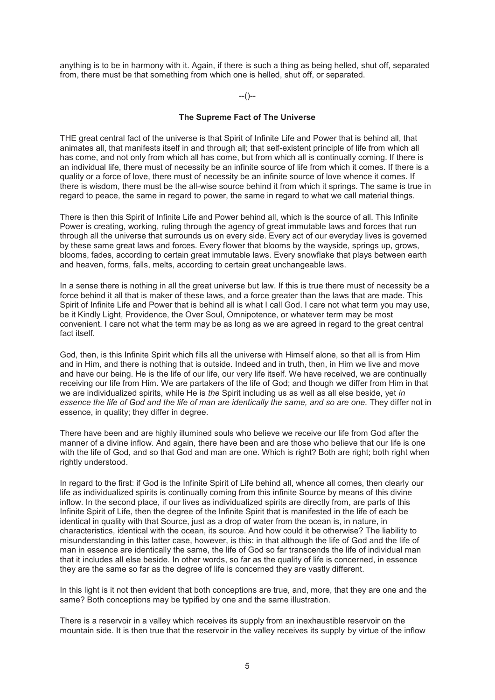anything is to be in harmony with it. Again, if there is such a thing as being helled, shut off, separated from, there must be that something from which one is helled, shut off, or separated.

--()--

#### **The Supreme Fact of The Universe**

THE great central fact of the universe is that Spirit of Infinite Life and Power that is behind all, that animates all, that manifests itself in and through all; that self-existent principle of life from which all has come, and not only from which all has come, but from which all is continually coming. If there is an individual life, there must of necessity be an infinite source of life from which it comes. If there is a quality or a force of love, there must of necessity be an infinite source of love whence it comes. If there is wisdom, there must be the all-wise source behind it from which it springs. The same is true in regard to peace, the same in regard to power, the same in regard to what we call material things.

There is then this Spirit of Infinite Life and Power behind all, which is the source of all. This Infinite Power is creating, working, ruling through the agency of great immutable laws and forces that run through all the universe that surrounds us on every side. Every act of our everyday lives is governed by these same great laws and forces. Every flower that blooms by the wayside, springs up, grows, blooms, fades, according to certain great immutable laws. Every snowflake that plays between earth and heaven, forms, falls, melts, according to certain great unchangeable laws.

In a sense there is nothing in all the great universe but law. If this is true there must of necessity be a force behind it all that is maker of these laws, and a force greater than the laws that are made. This Spirit of Infinite Life and Power that is behind all is what I call God. I care not what term you may use, be it Kindly Light, Providence, the Over Soul, Omnipotence, or whatever term may be most convenient. I care not what the term may be as long as we are agreed in regard to the great central fact itself.

God, then, is this Infinite Spirit which fills all the universe with Himself alone, so that all is from Him and in Him, and there is nothing that is outside. Indeed and in truth, then, in Him we live and move and have our being. He is the life of our life, our very life itself. We have received, we are continually receiving our life from Him. We are partakers of the life of God; and though we differ from Him in that we are individualized spirits, while He is *the* Spirit including us as well as all else beside, yet *in essence the life of God and the life of man are identically the same, and so are one.* They differ not in essence, in quality; they differ in degree.

There have been and are highly illumined souls who believe we receive our life from God after the manner of a divine inflow. And again, there have been and are those who believe that our life is one with the life of God, and so that God and man are one. Which is right? Both are right; both right when rightly understood.

In regard to the first: if God is the Infinite Spirit of Life behind all, whence all comes, then clearly our life as individualized spirits is continually coming from this infinite Source by means of this divine inflow. In the second place, if our lives as individualized spirits are directly from, are parts of this Infinite Spirit of Life, then the degree of the Infinite Spirit that is manifested in the life of each be identical in quality with that Source, just as a drop of water from the ocean is, in nature, in characteristics, identical with the ocean, its source. And how could it be otherwise? The liability to misunderstanding in this latter case, however, is this: in that although the life of God and the life of man in essence are identically the same, the life of God so far transcends the life of individual man that it includes all else beside. In other words, so far as the quality of life is concerned, in essence they are the same so far as the degree of life is concerned they are vastly different.

In this light is it not then evident that both conceptions are true, and, more, that they are one and the same? Both conceptions may be typified by one and the same illustration.

There is a reservoir in a valley which receives its supply from an inexhaustible reservoir on the mountain side. It is then true that the reservoir in the valley receives its supply by virtue of the inflow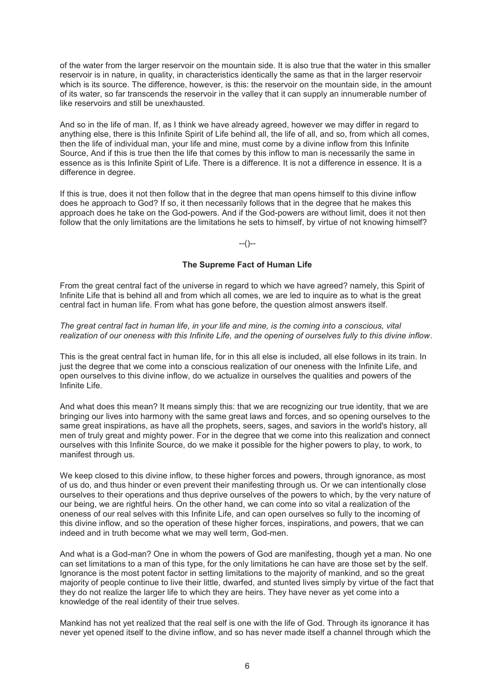of the water from the larger reservoir on the mountain side. It is also true that the water in this smaller reservoir is in nature, in quality, in characteristics identically the same as that in the larger reservoir which is its source. The difference, however, is this: the reservoir on the mountain side, in the amount of its water, so far transcends the reservoir in the valley that it can supply an innumerable number of like reservoirs and still be unexhausted.

And so in the life of man. If, as I think we have already agreed, however we may differ in regard to anything else, there is this Infinite Spirit of Life behind all, the life of all, and so, from which all comes, then the life of individual man, your life and mine, must come by a divine inflow from this Infinite Source, And if this is true then the life that comes by this inflow to man is necessarily the same in essence as is this Infinite Spirit of Life. There is a difference. It is not a difference in essence. It is a difference in degree.

If this is true, does it not then follow that in the degree that man opens himself to this divine inflow does he approach to God? If so, it then necessarily follows that in the degree that he makes this approach does he take on the God-powers. And if the God-powers are without limit, does it not then follow that the only limitations are the limitations he sets to himself, by virtue of not knowing himself?

 $-(-)$ 

# **The Supreme Fact of Human Life**

From the great central fact of the universe in regard to which we have agreed? namely, this Spirit of Infinite Life that is behind all and from which all comes, we are led to inquire as to what is the great central fact in human life. From what has gone before, the question almost answers itself.

*The great central fact in human life, in your life and mine, is the coming into a conscious, vital realization of our oneness with this Infinite Life, and the opening of ourselves fully to this divine inflow*.

This is the great central fact in human life, for in this all else is included, all else follows in its train. In just the degree that we come into a conscious realization of our oneness with the Infinite Life, and open ourselves to this divine inflow, do we actualize in ourselves the qualities and powers of the Infinite Life.

And what does this mean? It means simply this: that we are recognizing our true identity, that we are bringing our lives into harmony with the same great laws and forces, and so opening ourselves to the same great inspirations, as have all the prophets, seers, sages, and saviors in the world's history, all men of truly great and mighty power. For in the degree that we come into this realization and connect ourselves with this Infinite Source, do we make it possible for the higher powers to play, to work, to manifest through us.

We keep closed to this divine inflow, to these higher forces and powers, through ignorance, as most of us do, and thus hinder or even prevent their manifesting through us. Or we can intentionally close ourselves to their operations and thus deprive ourselves of the powers to which, by the very nature of our being, we are rightful heirs. On the other hand, we can come into so vital a realization of the oneness of our real selves with this Infinite Life, and can open ourselves so fully to the incoming of this divine inflow, and so the operation of these higher forces, inspirations, and powers, that we can indeed and in truth become what we may well term, God-men.

And what is a God-man? One in whom the powers of God are manifesting, though yet a man. No one can set limitations to a man of this type, for the only limitations he can have are those set by the self. Ignorance is the most potent factor in setting limitations to the majority of mankind, and so the great majority of people continue to live their little, dwarfed, and stunted lives simply by virtue of the fact that they do not realize the larger life to which they are heirs. They have never as yet come into a knowledge of the real identity of their true selves.

Mankind has not yet realized that the real self is one with the life of God. Through its ignorance it has never yet opened itself to the divine inflow, and so has never made itself a channel through which the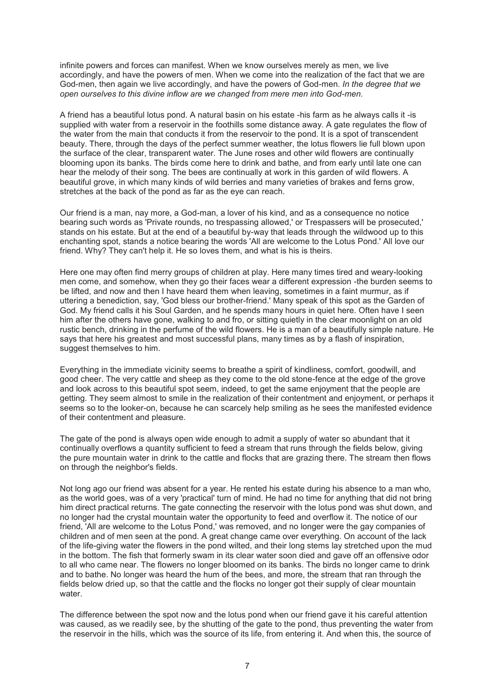infinite powers and forces can manifest. When we know ourselves merely as men, we live accordingly, and have the powers of men. When we come into the realization of the fact that we are God-men, then again we live accordingly, and have the powers of God-men. *In the degree that we open ourselves to this divine inflow are we changed from mere men into God-men.* 

A friend has a beautiful lotus pond. A natural basin on his estate -his farm as he always calls it -is supplied with water from a reservoir in the foothills some distance away. A gate regulates the flow of the water from the main that conducts it from the reservoir to the pond. It is a spot of transcendent beauty. There, through the days of the perfect summer weather, the lotus flowers lie full blown upon the surface of the clear, transparent water. The June roses and other wild flowers are continually blooming upon its banks. The birds come here to drink and bathe, and from early until late one can hear the melody of their song. The bees are continually at work in this garden of wild flowers. A beautiful grove, in which many kinds of wild berries and many varieties of brakes and ferns grow, stretches at the back of the pond as far as the eye can reach.

Our friend is a man, nay more, a God-man, a lover of his kind, and as a consequence no notice bearing such words as 'Private rounds, no trespassing allowed,' or Trespassers will be prosecuted,' stands on his estate. But at the end of a beautiful by-way that leads through the wildwood up to this enchanting spot, stands a notice bearing the words 'All are welcome to the Lotus Pond.' All love our friend. Why? They can't help it. He so loves them, and what is his is theirs.

Here one may often find merry groups of children at play. Here many times tired and weary-looking men come, and somehow, when they go their faces wear a different expression -the burden seems to be lifted, and now and then I have heard them when leaving, sometimes in a faint murmur, as if uttering a benediction, say, 'God bless our brother-friend.' Many speak of this spot as the Garden of God. My friend calls it his Soul Garden, and he spends many hours in quiet here. Often have I seen him after the others have gone, walking to and fro, or sitting quietly in the clear moonlight on an old rustic bench, drinking in the perfume of the wild flowers. He is a man of a beautifully simple nature. He says that here his greatest and most successful plans, many times as by a flash of inspiration, suggest themselves to him.

Everything in the immediate vicinity seems to breathe a spirit of kindliness, comfort, goodwill, and good cheer. The very cattle and sheep as they come to the old stone-fence at the edge of the grove and look across to this beautiful spot seem, indeed, to get the same enjoyment that the people are getting. They seem almost to smile in the realization of their contentment and enjoyment, or perhaps it seems so to the looker-on, because he can scarcely help smiling as he sees the manifested evidence of their contentment and pleasure.

The gate of the pond is always open wide enough to admit a supply of water so abundant that it continually overflows a quantity sufficient to feed a stream that runs through the fields below, giving the pure mountain water in drink to the cattle and flocks that are grazing there. The stream then flows on through the neighbor's fields.

Not long ago our friend was absent for a year. He rented his estate during his absence to a man who, as the world goes, was of a very 'practical' turn of mind. He had no time for anything that did not bring him direct practical returns. The gate connecting the reservoir with the lotus pond was shut down, and no longer had the crystal mountain water the opportunity to feed and overflow it. The notice of our friend, 'All are welcome to the Lotus Pond,' was removed, and no longer were the gay companies of children and of men seen at the pond. A great change came over everything. On account of the lack of the life-giving water the flowers in the pond wilted, and their long stems lay stretched upon the mud in the bottom. The fish that formerly swam in its clear water soon died and gave off an offensive odor to all who came near. The flowers no longer bloomed on its banks. The birds no longer came to drink and to bathe. No longer was heard the hum of the bees, and more, the stream that ran through the fields below dried up, so that the cattle and the flocks no longer got their supply of clear mountain water

The difference between the spot now and the lotus pond when our friend gave it his careful attention was caused, as we readily see, by the shutting of the gate to the pond, thus preventing the water from the reservoir in the hills, which was the source of its life, from entering it. And when this, the source of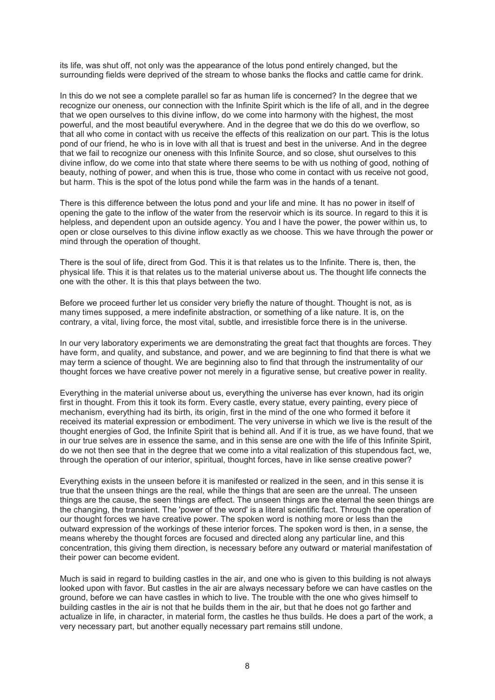its life, was shut off, not only was the appearance of the lotus pond entirely changed, but the surrounding fields were deprived of the stream to whose banks the flocks and cattle came for drink.

In this do we not see a complete parallel so far as human life is concerned? In the degree that we recognize our oneness, our connection with the Infinite Spirit which is the life of all, and in the degree that we open ourselves to this divine inflow, do we come into harmony with the highest, the most powerful, and the most beautiful everywhere. And in the degree that we do this do we overflow, so that all who come in contact with us receive the effects of this realization on our part. This is the lotus pond of our friend, he who is in love with all that is truest and best in the universe. And in the degree that we fail to recognize our oneness with this Infinite Source, and so close, shut ourselves to this divine inflow, do we come into that state where there seems to be with us nothing of good, nothing of beauty, nothing of power, and when this is true, those who come in contact with us receive not good, but harm. This is the spot of the lotus pond while the farm was in the hands of a tenant.

There is this difference between the lotus pond and your life and mine. It has no power in itself of opening the gate to the inflow of the water from the reservoir which is its source. In regard to this it is helpless, and dependent upon an outside agency. You and I have the power, the power within us, to open or close ourselves to this divine inflow exactly as we choose. This we have through the power or mind through the operation of thought.

There is the soul of life, direct from God. This it is that relates us to the Infinite. There is, then, the physical life. This it is that relates us to the material universe about us. The thought life connects the one with the other. It is this that plays between the two.

Before we proceed further let us consider very briefly the nature of thought. Thought is not, as is many times supposed, a mere indefinite abstraction, or something of a like nature. It is, on the contrary, a vital, living force, the most vital, subtle, and irresistible force there is in the universe.

In our very laboratory experiments we are demonstrating the great fact that thoughts are forces. They have form, and quality, and substance, and power, and we are beginning to find that there is what we may term a science of thought. We are beginning also to find that through the instrumentality of our thought forces we have creative power not merely in a figurative sense, but creative power in reality.

Everything in the material universe about us, everything the universe has ever known, had its origin first in thought. From this it took its form. Every castle, every statue, every painting, every piece of mechanism, everything had its birth, its origin, first in the mind of the one who formed it before it received its material expression or embodiment. The very universe in which we live is the result of the thought energies of God, the Infinite Spirit that is behind all. And if it is true, as we have found, that we in our true selves are in essence the same, and in this sense are one with the life of this Infinite Spirit, do we not then see that in the degree that we come into a vital realization of this stupendous fact, we, through the operation of our interior, spiritual, thought forces, have in like sense creative power?

Everything exists in the unseen before it is manifested or realized in the seen, and in this sense it is true that the unseen things are the real, while the things that are seen are the unreal. The unseen things are the cause, the seen things are effect. The unseen things are the eternal the seen things are the changing, the transient. The 'power of the word' is a literal scientific fact. Through the operation of our thought forces we have creative power. The spoken word is nothing more or less than the outward expression of the workings of these interior forces. The spoken word is then, in a sense, the means whereby the thought forces are focused and directed along any particular line, and this concentration, this giving them direction, is necessary before any outward or material manifestation of their power can become evident.

Much is said in regard to building castles in the air, and one who is given to this building is not always looked upon with favor. But castles in the air are always necessary before we can have castles on the ground, before we can have castles in which to live. The trouble with the one who gives himself to building castles in the air is not that he builds them in the air, but that he does not go farther and actualize in life, in character, in material form, the castles he thus builds. He does a part of the work, a very necessary part, but another equally necessary part remains still undone.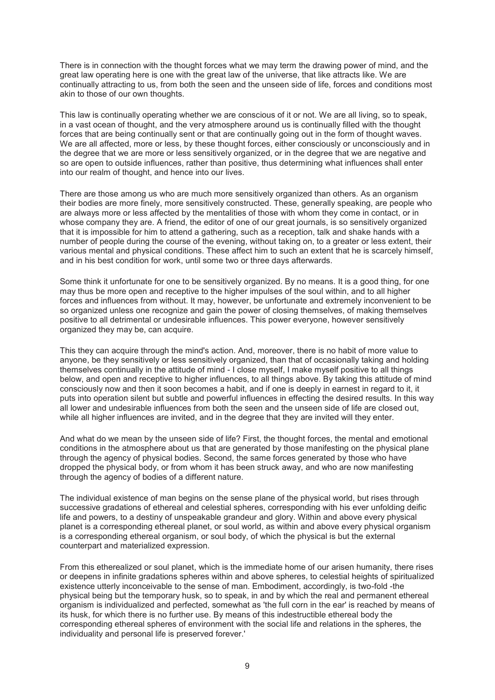There is in connection with the thought forces what we may term the drawing power of mind, and the great law operating here is one with the great law of the universe, that like attracts like. We are continually attracting to us, from both the seen and the unseen side of life, forces and conditions most akin to those of our own thoughts.

This law is continually operating whether we are conscious of it or not. We are all living, so to speak, in a vast ocean of thought, and the very atmosphere around us is continually filled with the thought forces that are being continually sent or that are continually going out in the form of thought waves. We are all affected, more or less, by these thought forces, either consciously or unconsciously and in the degree that we are more or less sensitively organized, or in the degree that we are negative and so are open to outside influences, rather than positive, thus determining what influences shall enter into our realm of thought, and hence into our lives.

There are those among us who are much more sensitively organized than others. As an organism their bodies are more finely, more sensitively constructed. These, generally speaking, are people who are always more or less affected by the mentalities of those with whom they come in contact, or in whose company they are. A friend, the editor of one of our great journals, is so sensitively organized that it is impossible for him to attend a gathering, such as a reception, talk and shake hands with a number of people during the course of the evening, without taking on, to a greater or less extent, their various mental and physical conditions. These affect him to such an extent that he is scarcely himself, and in his best condition for work, until some two or three days afterwards.

Some think it unfortunate for one to be sensitively organized. By no means. It is a good thing, for one may thus be more open and receptive to the higher impulses of the soul within, and to all higher forces and influences from without. It may, however, be unfortunate and extremely inconvenient to be so organized unless one recognize and gain the power of closing themselves, of making themselves positive to all detrimental or undesirable influences. This power everyone, however sensitively organized they may be, can acquire.

This they can acquire through the mind's action. And, moreover, there is no habit of more value to anyone, be they sensitively or less sensitively organized, than that of occasionally taking and holding themselves continually in the attitude of mind - I close myself, I make myself positive to all things below, and open and receptive to higher influences, to all things above. By taking this attitude of mind consciously now and then it soon becomes a habit, and if one is deeply in earnest in regard to it, it puts into operation silent but subtle and powerful influences in effecting the desired results. In this way all lower and undesirable influences from both the seen and the unseen side of life are closed out, while all higher influences are invited, and in the degree that they are invited will they enter.

And what do we mean by the unseen side of life? First, the thought forces, the mental and emotional conditions in the atmosphere about us that are generated by those manifesting on the physical plane through the agency of physical bodies. Second, the same forces generated by those who have dropped the physical body, or from whom it has been struck away, and who are now manifesting through the agency of bodies of a different nature.

The individual existence of man begins on the sense plane of the physical world, but rises through successive gradations of ethereal and celestial spheres, corresponding with his ever unfolding deific life and powers, to a destiny of unspeakable grandeur and glory. Within and above every physical planet is a corresponding ethereal planet, or soul world, as within and above every physical organism is a corresponding ethereal organism, or soul body, of which the physical is but the external counterpart and materialized expression.

From this etherealized or soul planet, which is the immediate home of our arisen humanity, there rises or deepens in infinite gradations spheres within and above spheres, to celestial heights of spiritualized existence utterly inconceivable to the sense of man. Embodiment, accordingly, is two-fold -the physical being but the temporary husk, so to speak, in and by which the real and permanent ethereal organism is individualized and perfected, somewhat as 'the full corn in the ear' is reached by means of its husk, for which there is no further use. By means of this indestructible ethereal body the corresponding ethereal spheres of environment with the social life and relations in the spheres, the individuality and personal life is preserved forever.'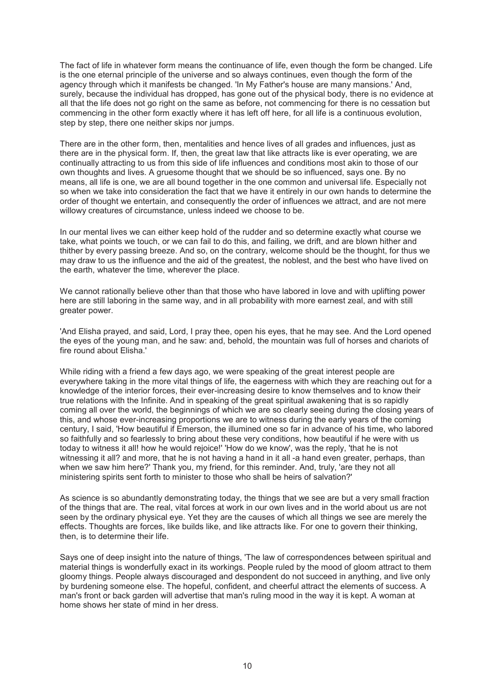The fact of life in whatever form means the continuance of life, even though the form be changed. Life is the one eternal principle of the universe and so always continues, even though the form of the agency through which it manifests be changed. 'In My Father's house are many mansions.' And, surely, because the individual has dropped, has gone out of the physical body, there is no evidence at all that the life does not go right on the same as before, not commencing for there is no cessation but commencing in the other form exactly where it has left off here, for all life is a continuous evolution, step by step, there one neither skips nor jumps.

There are in the other form, then, mentalities and hence lives of all grades and influences, just as there are in the physical form. If, then, the great law that like attracts like is ever operating, we are continually attracting to us from this side of life influences and conditions most akin to those of our own thoughts and lives. A gruesome thought that we should be so influenced, says one. By no means, all life is one, we are all bound together in the one common and universal life. Especially not so when we take into consideration the fact that we have it entirely in our own hands to determine the order of thought we entertain, and consequently the order of influences we attract, and are not mere willowy creatures of circumstance, unless indeed we choose to be.

In our mental lives we can either keep hold of the rudder and so determine exactly what course we take, what points we touch, or we can fail to do this, and failing, we drift, and are blown hither and thither by every passing breeze. And so, on the contrary, welcome should be the thought, for thus we may draw to us the influence and the aid of the greatest, the noblest, and the best who have lived on the earth, whatever the time, wherever the place.

We cannot rationally believe other than that those who have labored in love and with uplifting power here are still laboring in the same way, and in all probability with more earnest zeal, and with still greater power.

'And Elisha prayed, and said, Lord, I pray thee, open his eyes, that he may see. And the Lord opened the eyes of the young man, and he saw: and, behold, the mountain was full of horses and chariots of fire round about Elisha.'

While riding with a friend a few days ago, we were speaking of the great interest people are everywhere taking in the more vital things of life, the eagerness with which they are reaching out for a knowledge of the interior forces, their ever-increasing desire to know themselves and to know their true relations with the Infinite. And in speaking of the great spiritual awakening that is so rapidly coming all over the world, the beginnings of which we are so clearly seeing during the closing years of this, and whose ever-increasing proportions we are to witness during the early years of the coming century, I said, 'How beautiful if Emerson, the illumined one so far in advance of his time, who labored so faithfully and so fearlessly to bring about these very conditions, how beautiful if he were with us today to witness it all! how he would rejoice!' 'How do we know', was the reply, 'that he is not witnessing it all? and more, that he is not having a hand in it all -a hand even greater, perhaps, than when we saw him here?' Thank you, my friend, for this reminder. And, truly, 'are they not all ministering spirits sent forth to minister to those who shall be heirs of salvation?'

As science is so abundantly demonstrating today, the things that we see are but a very small fraction of the things that are. The real, vital forces at work in our own lives and in the world about us are not seen by the ordinary physical eye. Yet they are the causes of which all things we see are merely the effects. Thoughts are forces, like builds like, and like attracts like. For one to govern their thinking, then, is to determine their life.

Says one of deep insight into the nature of things, 'The law of correspondences between spiritual and material things is wonderfully exact in its workings. People ruled by the mood of gloom attract to them gloomy things. People always discouraged and despondent do not succeed in anything, and live only by burdening someone else. The hopeful, confident, and cheerful attract the elements of success. A man's front or back garden will advertise that man's ruling mood in the way it is kept. A woman at home shows her state of mind in her dress.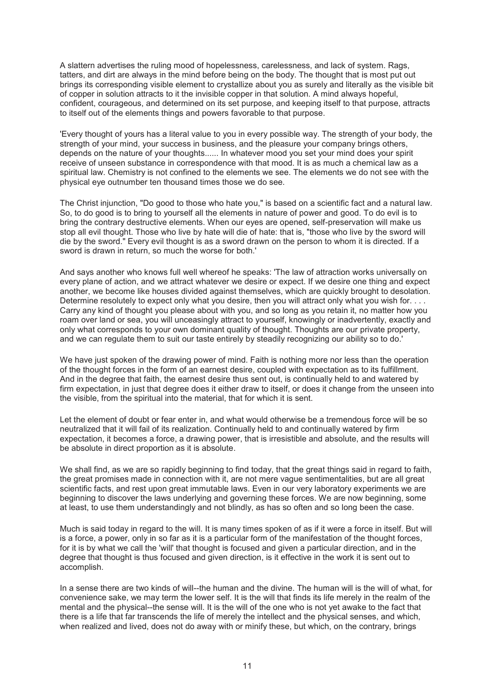A slattern advertises the ruling mood of hopelessness, carelessness, and lack of system. Rags, tatters, and dirt are always in the mind before being on the body. The thought that is most put out brings its corresponding visible element to crystallize about you as surely and literally as the visible bit of copper in solution attracts to it the invisible copper in that solution. A mind always hopeful, confident, courageous, and determined on its set purpose, and keeping itself to that purpose, attracts to itself out of the elements things and powers favorable to that purpose.

'Every thought of yours has a literal value to you in every possible way. The strength of your body, the strength of your mind, your success in business, and the pleasure your company brings others, depends on the nature of your thoughts...... In whatever mood you set your mind does your spirit receive of unseen substance in correspondence with that mood. It is as much a chemical law as a spiritual law. Chemistry is not confined to the elements we see. The elements we do not see with the physical eye outnumber ten thousand times those we do see.

The Christ injunction, "Do good to those who hate you," is based on a scientific fact and a natural law. So, to do good is to bring to yourself all the elements in nature of power and good. To do evil is to bring the contrary destructive elements. When our eyes are opened, self-preservation will make us stop all evil thought. Those who live by hate will die of hate: that is, "those who live by the sword will die by the sword." Every evil thought is as a sword drawn on the person to whom it is directed. If a sword is drawn in return, so much the worse for both.'

And says another who knows full well whereof he speaks: 'The law of attraction works universally on every plane of action, and we attract whatever we desire or expect. If we desire one thing and expect another, we become like houses divided against themselves, which are quickly brought to desolation. Determine resolutely to expect only what you desire, then you will attract only what you wish for. . . . Carry any kind of thought you please about with you, and so long as you retain it, no matter how you roam over land or sea, you will unceasingly attract to yourself, knowingly or inadvertently, exactly and only what corresponds to your own dominant quality of thought. Thoughts are our private property, and we can regulate them to suit our taste entirely by steadily recognizing our ability so to do.'

We have just spoken of the drawing power of mind. Faith is nothing more nor less than the operation of the thought forces in the form of an earnest desire, coupled with expectation as to its fulfillment. And in the degree that faith, the earnest desire thus sent out, is continually held to and watered by firm expectation, in just that degree does it either draw to itself, or does it change from the unseen into the visible, from the spiritual into the material, that for which it is sent.

Let the element of doubt or fear enter in, and what would otherwise be a tremendous force will be so neutralized that it will fail of its realization. Continually held to and continually watered by firm expectation, it becomes a force, a drawing power, that is irresistible and absolute, and the results will be absolute in direct proportion as it is absolute.

We shall find, as we are so rapidly beginning to find today, that the great things said in regard to faith, the great promises made in connection with it, are not mere vague sentimentalities, but are all great scientific facts, and rest upon great immutable laws. Even in our very laboratory experiments we are beginning to discover the laws underlying and governing these forces. We are now beginning, some at least, to use them understandingly and not blindly, as has so often and so long been the case.

Much is said today in regard to the will. It is many times spoken of as if it were a force in itself. But will is a force, a power, only in so far as it is a particular form of the manifestation of the thought forces, for it is by what we call the 'will' that thought is focused and given a particular direction, and in the degree that thought is thus focused and given direction, is it effective in the work it is sent out to accomplish.

In a sense there are two kinds of will--the human and the divine. The human will is the will of what, for convenience sake, we may term the lower self. It is the will that finds its life merely in the realm of the mental and the physical--the sense will. It is the will of the one who is not yet awake to the fact that there is a life that far transcends the life of merely the intellect and the physical senses, and which, when realized and lived, does not do away with or minify these, but which, on the contrary, brings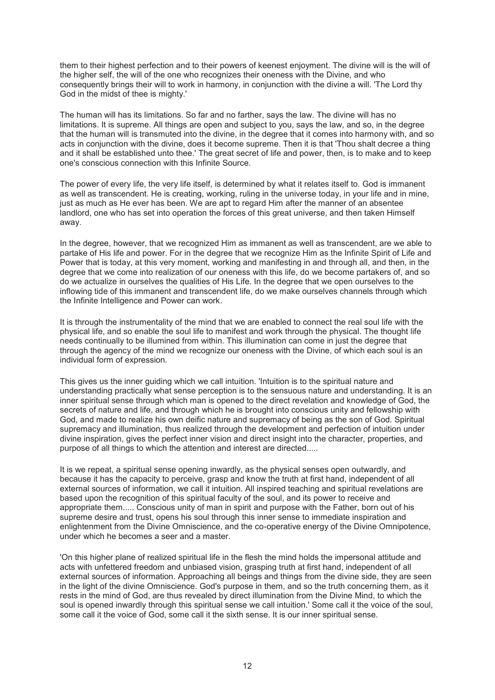them to their highest perfection and to their powers of keenest enjoyment. The divine will is the will of the higher self, the will of the one who recognizes their oneness with the Divine, and who consequently brings their will to work in harmony, in conjunction with the divine a will. 'The Lord thy God in the midst of thee is mighty.'

The human will has its limitations. So far and no farther, says the law. The divine will has no limitations. It is supreme. All things are open and subject to you, says the law, and so, in the degree that the human will is transmuted into the divine, in the degree that it comes into harmony with, and so acts in conjunction with the divine, does it become supreme. Then it is that 'Thou shalt decree a thing and it shall be established unto thee.' The great secret of life and power, then, is to make and to keep one's conscious connection with this Infinite Source.

The power of every life, the very life itself, is determined by what it relates itself to. God is immanent as well as transcendent. He is creating, working, ruling in the universe today, in your life and in mine, just as much as He ever has been. We are apt to regard Him after the manner of an absentee landlord, one who has set into operation the forces of this great universe, and then taken Himself away.

In the degree, however, that we recognized Him as immanent as well as transcendent, are we able to partake of His life and power. For in the degree that we recognize Him as the Infinite Spirit of Life and Power that is today, at this very moment, working and manifesting in and through all, and then, in the degree that we come into realization of our oneness with this life, do we become partakers of, and so do we actualize in ourselves the qualities of His Life. In the degree that we open ourselves to the inflowing tide of this immanent and transcendent life, do we make ourselves channels through which the Infinite Intelligence and Power can work.

It is through the instrumentality of the mind that we are enabled to connect the real soul life with the physical life, and so enable the soul life to manifest and work through the physical. The thought life needs continually to be illumined from within. This illumination can come in just the degree that through the agency of the mind we recognize our oneness with the Divine, of which each soul is an individual form of expression.

This gives us the inner guiding which we call intuition. 'Intuition is to the spiritual nature and understanding practically what sense perception is to the sensuous nature and understanding. It is an inner spiritual sense through which man is opened to the direct revelation and knowledge of God, the secrets of nature and life, and through which he is brought into conscious unity and fellowship with God, and made to realize his own deific nature and supremacy of being as the son of God. Spiritual supremacy and illumination, thus realized through the development and perfection of intuition under divine inspiration, gives the perfect inner vision and direct insight into the character, properties, and purpose of all things to which the attention and interest are directed.....

It is we repeat, a spiritual sense opening inwardly, as the physical senses open outwardly, and because it has the capacity to perceive, grasp and know the truth at first hand, independent of all external sources of information, we call it intuition. All inspired teaching and spiritual revelations are based upon the recognition of this spiritual faculty of the soul, and its power to receive and appropriate them..... Conscious unity of man in spirit and purpose with the Father, born out of his supreme desire and trust, opens his soul through this inner sense to immediate inspiration and enlightenment from the Divine Omniscience, and the co-operative energy of the Divine Omnipotence, under which he becomes a seer and a master.

'On this higher plane of realized spiritual life in the flesh the mind holds the impersonal attitude and acts with unfettered freedom and unbiased vision, grasping truth at first hand, independent of all external sources of information. Approaching all beings and things from the divine side, they are seen in the light of the divine Omniscience. God's purpose in them, and so the truth concerning them, as it rests in the mind of God, are thus revealed by direct illumination from the Divine Mind, to which the soul is opened inwardly through this spiritual sense we call intuition.' Some call it the voice of the soul, some call it the voice of God, some call it the sixth sense. It is our inner spiritual sense.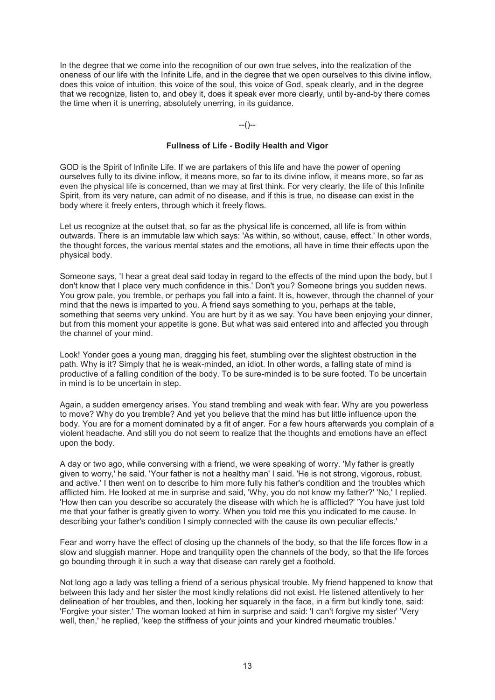In the degree that we come into the recognition of our own true selves, into the realization of the oneness of our life with the Infinite Life, and in the degree that we open ourselves to this divine inflow, does this voice of intuition, this voice of the soul, this voice of God, speak clearly, and in the degree that we recognize, listen to, and obey it, does it speak ever more clearly, until by-and-by there comes the time when it is unerring, absolutely unerring, in its guidance.

 $-(-)$ 

### **Fullness of Life - Bodily Health and Vigor**

GOD is the Spirit of Infinite Life. If we are partakers of this life and have the power of opening ourselves fully to its divine inflow, it means more, so far to its divine inflow, it means more, so far as even the physical life is concerned, than we may at first think. For very clearly, the life of this Infinite Spirit, from its very nature, can admit of no disease, and if this is true, no disease can exist in the body where it freely enters, through which it freely flows.

Let us recognize at the outset that, so far as the physical life is concerned, all life is from within outwards. There is an immutable law which says: 'As within, so without, cause, effect.' In other words, the thought forces, the various mental states and the emotions, all have in time their effects upon the physical body.

Someone says, 'I hear a great deal said today in regard to the effects of the mind upon the body, but I don't know that I place very much confidence in this.' Don't you? Someone brings you sudden news. You grow pale, you tremble, or perhaps you fall into a faint. It is, however, through the channel of your mind that the news is imparted to you. A friend says something to you, perhaps at the table, something that seems very unkind. You are hurt by it as we say. You have been enjoying your dinner, but from this moment your appetite is gone. But what was said entered into and affected you through the channel of your mind.

Look! Yonder goes a young man, dragging his feet, stumbling over the slightest obstruction in the path. Why is it? Simply that he is weak-minded, an idiot. In other words, a falling state of mind is productive of a falling condition of the body. To be sure-minded is to be sure footed. To be uncertain in mind is to be uncertain in step.

Again, a sudden emergency arises. You stand trembling and weak with fear. Why are you powerless to move? Why do you tremble? And yet you believe that the mind has but little influence upon the body. You are for a moment dominated by a fit of anger. For a few hours afterwards you complain of a violent headache. And still you do not seem to realize that the thoughts and emotions have an effect upon the body.

A day or two ago, while conversing with a friend, we were speaking of worry. 'My father is greatly given to worry,' he said. 'Your father is not a healthy man' I said. 'He is not strong, vigorous, robust, and active.' I then went on to describe to him more fully his father's condition and the troubles which afflicted him. He looked at me in surprise and said, 'Why, you do not know my father?' 'No,' I replied. 'How then can you describe so accurately the disease with which he is afflicted?' 'You have just told me that your father is greatly given to worry. When you told me this you indicated to me cause. In describing your father's condition I simply connected with the cause its own peculiar effects.'

Fear and worry have the effect of closing up the channels of the body, so that the life forces flow in a slow and sluggish manner. Hope and tranquility open the channels of the body, so that the life forces go bounding through it in such a way that disease can rarely get a foothold.

Not long ago a lady was telling a friend of a serious physical trouble. My friend happened to know that between this lady and her sister the most kindly relations did not exist. He listened attentively to her delineation of her troubles, and then, looking her squarely in the face, in a firm but kindly tone, said: 'Forgive your sister.' The woman looked at him in surprise and said: 'I can't forgive my sister' 'Very well, then,' he replied, 'keep the stiffness of your joints and your kindred rheumatic troubles.'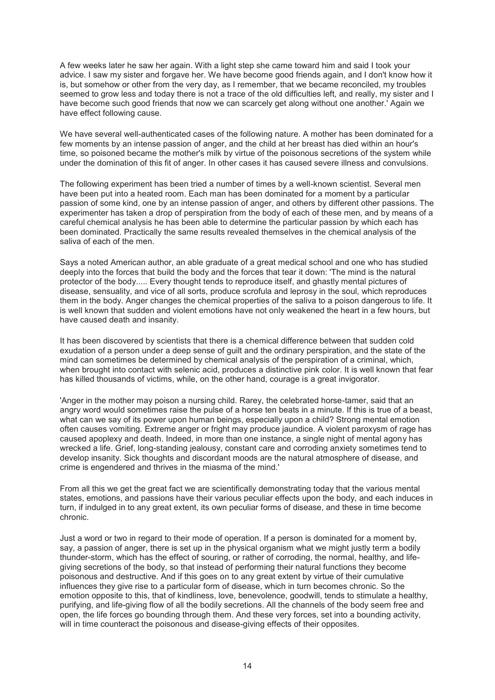A few weeks later he saw her again. With a light step she came toward him and said I took your advice. I saw my sister and forgave her. We have become good friends again, and I don't know how it is, but somehow or other from the very day, as I remember, that we became reconciled, my troubles seemed to grow less and today there is not a trace of the old difficulties left, and really, my sister and I have become such good friends that now we can scarcely get along without one another.' Again we have effect following cause.

We have several well-authenticated cases of the following nature. A mother has been dominated for a few moments by an intense passion of anger, and the child at her breast has died within an hour's time, so poisoned became the mother's milk by virtue of the poisonous secretions of the system while under the domination of this fit of anger. In other cases it has caused severe illness and convulsions.

The following experiment has been tried a number of times by a well-known scientist. Several men have been put into a heated room. Each man has been dominated for a moment by a particular passion of some kind, one by an intense passion of anger, and others by different other passions. The experimenter has taken a drop of perspiration from the body of each of these men, and by means of a careful chemical analysis he has been able to determine the particular passion by which each has been dominated. Practically the same results revealed themselves in the chemical analysis of the saliva of each of the men.

Says a noted American author, an able graduate of a great medical school and one who has studied deeply into the forces that build the body and the forces that tear it down: 'The mind is the natural protector of the body..... Every thought tends to reproduce itself, and ghastly mental pictures of disease, sensuality, and vice of all sorts, produce scrofula and leprosy in the soul, which reproduces them in the body. Anger changes the chemical properties of the saliva to a poison dangerous to life. It is well known that sudden and violent emotions have not only weakened the heart in a few hours, but have caused death and insanity.

It has been discovered by scientists that there is a chemical difference between that sudden cold exudation of a person under a deep sense of guilt and the ordinary perspiration, and the state of the mind can sometimes be determined by chemical analysis of the perspiration of a criminal, which, when brought into contact with selenic acid, produces a distinctive pink color. It is well known that fear has killed thousands of victims, while, on the other hand, courage is a great invigorator.

'Anger in the mother may poison a nursing child. Rarey, the celebrated horse-tamer, said that an angry word would sometimes raise the pulse of a horse ten beats in a minute. If this is true of a beast, what can we say of its power upon human beings, especially upon a child? Strong mental emotion often causes vomiting. Extreme anger or fright may produce jaundice. A violent paroxysm of rage has caused apoplexy and death. Indeed, in more than one instance, a single night of mental agony has wrecked a life. Grief, long-standing jealousy, constant care and corroding anxiety sometimes tend to develop insanity. Sick thoughts and discordant moods are the natural atmosphere of disease, and crime is engendered and thrives in the miasma of the mind.'

From all this we get the great fact we are scientifically demonstrating today that the various mental states, emotions, and passions have their various peculiar effects upon the body, and each induces in turn, if indulged in to any great extent, its own peculiar forms of disease, and these in time become chronic.

Just a word or two in regard to their mode of operation. If a person is dominated for a moment by, say, a passion of anger, there is set up in the physical organism what we might justly term a bodily thunder-storm, which has the effect of souring, or rather of corroding, the normal, healthy, and lifegiving secretions of the body, so that instead of performing their natural functions they become poisonous and destructive. And if this goes on to any great extent by virtue of their cumulative influences they give rise to a particular form of disease, which in turn becomes chronic. So the emotion opposite to this, that of kindliness, love, benevolence, goodwill, tends to stimulate a healthy, purifying, and life-giving flow of all the bodily secretions. All the channels of the body seem free and open, the life forces go bounding through them. And these very forces, set into a bounding activity, will in time counteract the poisonous and disease-giving effects of their opposites.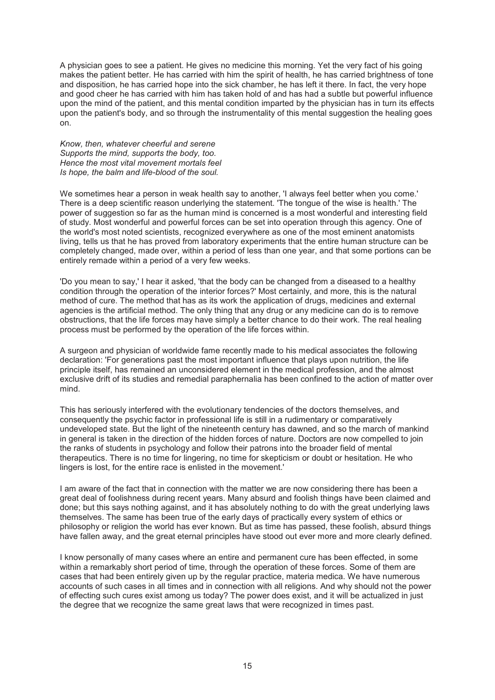A physician goes to see a patient. He gives no medicine this morning. Yet the very fact of his going makes the patient better. He has carried with him the spirit of health, he has carried brightness of tone and disposition, he has carried hope into the sick chamber, he has left it there. In fact, the very hope and good cheer he has carried with him has taken hold of and has had a subtle but powerful influence upon the mind of the patient, and this mental condition imparted by the physician has in turn its effects upon the patient's body, and so through the instrumentality of this mental suggestion the healing goes on.

*Know, then, whatever cheerful and serene Supports the mind, supports the body, too. Hence the most vital movement mortals feel Is hope, the balm and life-blood of the soul.* 

We sometimes hear a person in weak health say to another, 'I always feel better when you come.' There is a deep scientific reason underlying the statement. 'The tongue of the wise is health.' The power of suggestion so far as the human mind is concerned is a most wonderful and interesting field of study. Most wonderful and powerful forces can be set into operation through this agency. One of the world's most noted scientists, recognized everywhere as one of the most eminent anatomists living, tells us that he has proved from laboratory experiments that the entire human structure can be completely changed, made over, within a period of less than one year, and that some portions can be entirely remade within a period of a very few weeks.

'Do you mean to say,' I hear it asked, 'that the body can be changed from a diseased to a healthy condition through the operation of the interior forces?' Most certainly, and more, this is the natural method of cure. The method that has as its work the application of drugs, medicines and external agencies is the artificial method. The only thing that any drug or any medicine can do is to remove obstructions, that the life forces may have simply a better chance to do their work. The real healing process must be performed by the operation of the life forces within.

A surgeon and physician of worldwide fame recently made to his medical associates the following declaration: 'For generations past the most important influence that plays upon nutrition, the life principle itself, has remained an unconsidered element in the medical profession, and the almost exclusive drift of its studies and remedial paraphernalia has been confined to the action of matter over mind.

This has seriously interfered with the evolutionary tendencies of the doctors themselves, and consequently the psychic factor in professional life is still in a rudimentary or comparatively undeveloped state. But the light of the nineteenth century has dawned, and so the march of mankind in general is taken in the direction of the hidden forces of nature. Doctors are now compelled to join the ranks of students in psychology and follow their patrons into the broader field of mental therapeutics. There is no time for lingering, no time for skepticism or doubt or hesitation. He who lingers is lost, for the entire race is enlisted in the movement.'

I am aware of the fact that in connection with the matter we are now considering there has been a great deal of foolishness during recent years. Many absurd and foolish things have been claimed and done; but this says nothing against, and it has absolutely nothing to do with the great underlying laws themselves. The same has been true of the early days of practically every system of ethics or philosophy or religion the world has ever known. But as time has passed, these foolish, absurd things have fallen away, and the great eternal principles have stood out ever more and more clearly defined.

I know personally of many cases where an entire and permanent cure has been effected, in some within a remarkably short period of time, through the operation of these forces. Some of them are cases that had been entirely given up by the regular practice, materia medica. We have numerous accounts of such cases in all times and in connection with all religions. And why should not the power of effecting such cures exist among us today? The power does exist, and it will be actualized in just the degree that we recognize the same great laws that were recognized in times past.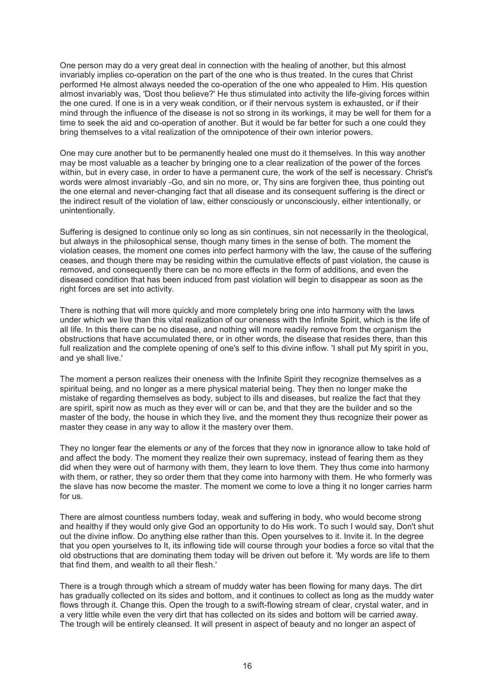One person may do a very great deal in connection with the healing of another, but this almost invariably implies co-operation on the part of the one who is thus treated. In the cures that Christ performed He almost always needed the co-operation of the one who appealed to Him. His question almost invariably was, 'Dost thou believe?' He thus stimulated into activity the life-giving forces within the one cured. If one is in a very weak condition, or if their nervous system is exhausted, or if their mind through the influence of the disease is not so strong in its workings, it may be well for them for a time to seek the aid and co-operation of another. But it would be far better for such a one could they bring themselves to a vital realization of the omnipotence of their own interior powers.

One may cure another but to be permanently healed one must do it themselves. In this way another may be most valuable as a teacher by bringing one to a clear realization of the power of the forces within, but in every case, in order to have a permanent cure, the work of the self is necessary. Christ's words were almost invariably -Go, and sin no more, or, Thy sins are forgiven thee, thus pointing out the one eternal and never-changing fact that all disease and its consequent suffering is the direct or the indirect result of the violation of law, either consciously or unconsciously, either intentionally, or unintentionally.

Suffering is designed to continue only so long as sin continues, sin not necessarily in the theological, but always in the philosophical sense, though many times in the sense of both. The moment the violation ceases, the moment one comes into perfect harmony with the law, the cause of the suffering ceases, and though there may be residing within the cumulative effects of past violation, the cause is removed, and consequently there can be no more effects in the form of additions, and even the diseased condition that has been induced from past violation will begin to disappear as soon as the right forces are set into activity.

There is nothing that will more quickly and more completely bring one into harmony with the laws under which we live than this vital realization of our oneness with the Infinite Spirit, which is the life of all life. In this there can be no disease, and nothing will more readily remove from the organism the obstructions that have accumulated there, or in other words, the disease that resides there, than this full realization and the complete opening of one's self to this divine inflow. 'I shall put My spirit in you, and ye shall live.'

The moment a person realizes their oneness with the Infinite Spirit they recognize themselves as a spiritual being, and no longer as a mere physical material being. They then no longer make the mistake of regarding themselves as body, subject to ills and diseases, but realize the fact that they are spirit, spirit now as much as they ever will or can be, and that they are the builder and so the master of the body, the house in which they live, and the moment they thus recognize their power as master they cease in any way to allow it the mastery over them.

They no longer fear the elements or any of the forces that they now in ignorance allow to take hold of and affect the body. The moment they realize their own supremacy, instead of fearing them as they did when they were out of harmony with them, they learn to love them. They thus come into harmony with them, or rather, they so order them that they come into harmony with them. He who formerly was the slave has now become the master. The moment we come to love a thing it no longer carries harm for us.

There are almost countless numbers today, weak and suffering in body, who would become strong and healthy if they would only give God an opportunity to do His work. To such I would say, Don't shut out the divine inflow. Do anything else rather than this. Open yourselves to it. Invite it. In the degree that you open yourselves to It, its inflowing tide will course through your bodies a force so vital that the old obstructions that are dominating them today will be driven out before it. 'My words are life to them that find them, and wealth to all their flesh.'

There is a trough through which a stream of muddy water has been flowing for many days. The dirt has gradually collected on its sides and bottom, and it continues to collect as long as the muddy water flows through it. Change this. Open the trough to a swift-flowing stream of clear, crystal water, and in a very little while even the very dirt that has collected on its sides and bottom will be carried away. The trough will be entirely cleansed. It will present in aspect of beauty and no longer an aspect of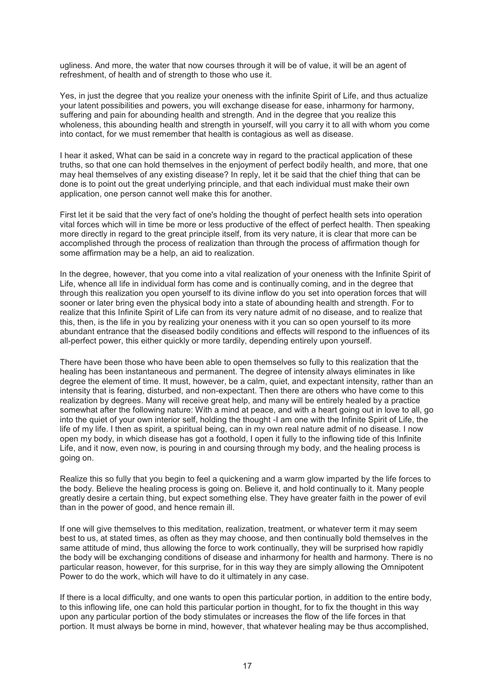ugliness. And more, the water that now courses through it will be of value, it will be an agent of refreshment, of health and of strength to those who use it.

Yes, in just the degree that you realize your oneness with the infinite Spirit of Life, and thus actualize your latent possibilities and powers, you will exchange disease for ease, inharmony for harmony, suffering and pain for abounding health and strength. And in the degree that you realize this wholeness, this abounding health and strength in yourself, will you carry it to all with whom you come into contact, for we must remember that health is contagious as well as disease.

I hear it asked, What can be said in a concrete way in regard to the practical application of these truths, so that one can hold themselves in the enjoyment of perfect bodily health, and more, that one may heal themselves of any existing disease? In reply, let it be said that the chief thing that can be done is to point out the great underlying principle, and that each individual must make their own application, one person cannot well make this for another.

First let it be said that the very fact of one's holding the thought of perfect health sets into operation vital forces which will in time be more or less productive of the effect of perfect health. Then speaking more directly in regard to the great principle itself, from its very nature, it is clear that more can be accomplished through the process of realization than through the process of affirmation though for some affirmation may be a help, an aid to realization.

In the degree, however, that you come into a vital realization of your oneness with the Infinite Spirit of Life, whence all life in individual form has come and is continually coming, and in the degree that through this realization you open yourself to its divine inflow do you set into operation forces that will sooner or later bring even the physical body into a state of abounding health and strength. For to realize that this Infinite Spirit of Life can from its very nature admit of no disease, and to realize that this, then, is the life in you by realizing your oneness with it you can so open yourself to its more abundant entrance that the diseased bodily conditions and effects will respond to the influences of its all-perfect power, this either quickly or more tardily, depending entirely upon yourself.

There have been those who have been able to open themselves so fully to this realization that the healing has been instantaneous and permanent. The degree of intensity always eliminates in like degree the element of time. It must, however, be a calm, quiet, and expectant intensity, rather than an intensity that is fearing, disturbed, and non-expectant. Then there are others who have come to this realization by degrees. Many will receive great help, and many will be entirely healed by a practice somewhat after the following nature: With a mind at peace, and with a heart going out in love to all, go into the quiet of your own interior self, holding the thought -I am one with the Infinite Spirit of Life, the life of my life. I then as spirit, a spiritual being, can in my own real nature admit of no disease. I now open my body, in which disease has got a foothold, I open it fully to the inflowing tide of this Infinite Life, and it now, even now, is pouring in and coursing through my body, and the healing process is going on.

Realize this so fully that you begin to feel a quickening and a warm glow imparted by the life forces to the body. Believe the healing process is going on. Believe it, and hold continually to it. Many people greatly desire a certain thing, but expect something else. They have greater faith in the power of evil than in the power of good, and hence remain ill.

If one will give themselves to this meditation, realization, treatment, or whatever term it may seem best to us, at stated times, as often as they may choose, and then continually bold themselves in the same attitude of mind, thus allowing the force to work continually, they will be surprised how rapidly the body will be exchanging conditions of disease and inharmony for health and harmony. There is no particular reason, however, for this surprise, for in this way they are simply allowing the Omnipotent Power to do the work, which will have to do it ultimately in any case.

If there is a local difficulty, and one wants to open this particular portion, in addition to the entire body, to this inflowing life, one can hold this particular portion in thought, for to fix the thought in this way upon any particular portion of the body stimulates or increases the flow of the life forces in that portion. It must always be borne in mind, however, that whatever healing may be thus accomplished,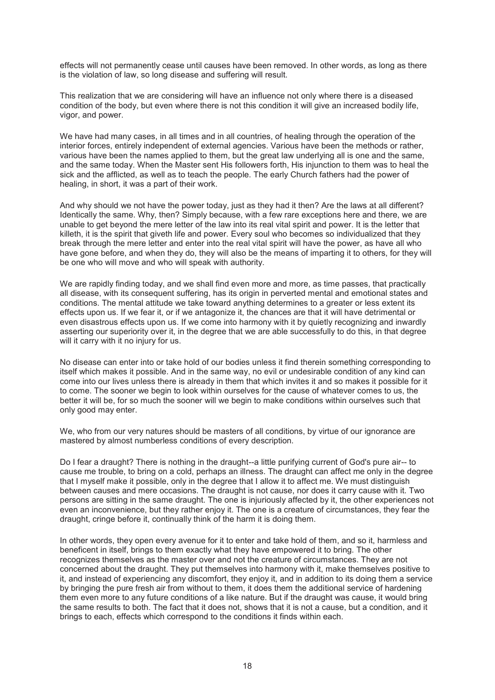effects will not permanently cease until causes have been removed. In other words, as long as there is the violation of law, so long disease and suffering will result.

This realization that we are considering will have an influence not only where there is a diseased condition of the body, but even where there is not this condition it will give an increased bodily life, vigor, and power.

We have had many cases, in all times and in all countries, of healing through the operation of the interior forces, entirely independent of external agencies. Various have been the methods or rather, various have been the names applied to them, but the great law underlying all is one and the same, and the same today. When the Master sent His followers forth, His injunction to them was to heal the sick and the afflicted, as well as to teach the people. The early Church fathers had the power of healing, in short, it was a part of their work.

And why should we not have the power today, just as they had it then? Are the laws at all different? Identically the same. Why, then? Simply because, with a few rare exceptions here and there, we are unable to get beyond the mere letter of the law into its real vital spirit and power. It is the letter that killeth, it is the spirit that giveth life and power. Every soul who becomes so individualized that they break through the mere letter and enter into the real vital spirit will have the power, as have all who have gone before, and when they do, they will also be the means of imparting it to others, for they will be one who will move and who will speak with authority.

We are rapidly finding today, and we shall find even more and more, as time passes, that practically all disease, with its consequent suffering, has its origin in perverted mental and emotional states and conditions. The mental attitude we take toward anything determines to a greater or less extent its effects upon us. If we fear it, or if we antagonize it, the chances are that it will have detrimental or even disastrous effects upon us. If we come into harmony with it by quietly recognizing and inwardly asserting our superiority over it, in the degree that we are able successfully to do this, in that degree will it carry with it no injury for us.

No disease can enter into or take hold of our bodies unless it find therein something corresponding to itself which makes it possible. And in the same way, no evil or undesirable condition of any kind can come into our lives unless there is already in them that which invites it and so makes it possible for it to come. The sooner we begin to look within ourselves for the cause of whatever comes to us, the better it will be, for so much the sooner will we begin to make conditions within ourselves such that only good may enter.

We, who from our very natures should be masters of all conditions, by virtue of our ignorance are mastered by almost numberless conditions of every description.

Do I fear a draught? There is nothing in the draught--a little purifying current of God's pure air-- to cause me trouble, to bring on a cold, perhaps an illness. The draught can affect me only in the degree that I myself make it possible, only in the degree that I allow it to affect me. We must distinguish between causes and mere occasions. The draught is not cause, nor does it carry cause with it. Two persons are sitting in the same draught. The one is injuriously affected by it, the other experiences not even an inconvenience, but they rather enjoy it. The one is a creature of circumstances, they fear the draught, cringe before it, continually think of the harm it is doing them.

In other words, they open every avenue for it to enter and take hold of them, and so it, harmless and beneficent in itself, brings to them exactly what they have empowered it to bring. The other recognizes themselves as the master over and not the creature of circumstances. They are not concerned about the draught. They put themselves into harmony with it, make themselves positive to it, and instead of experiencing any discomfort, they enjoy it, and in addition to its doing them a service by bringing the pure fresh air from without to them, it does them the additional service of hardening them even more to any future conditions of a like nature. But if the draught was cause, it would bring the same results to both. The fact that it does not, shows that it is not a cause, but a condition, and it brings to each, effects which correspond to the conditions it finds within each.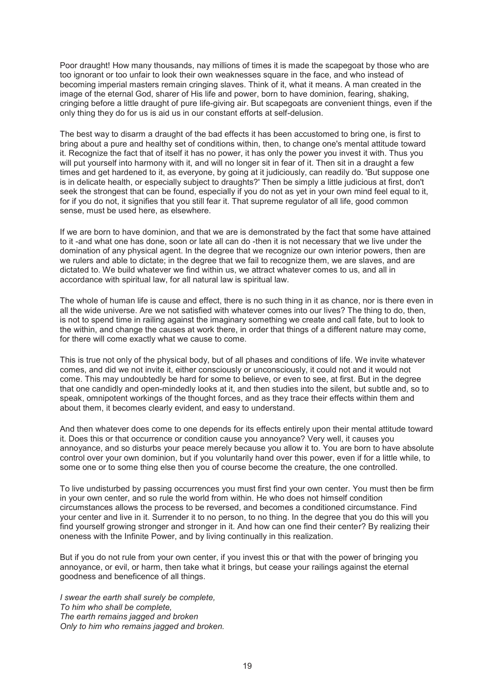Poor draught! How many thousands, nay millions of times it is made the scapegoat by those who are too ignorant or too unfair to look their own weaknesses square in the face, and who instead of becoming imperial masters remain cringing slaves. Think of it, what it means. A man created in the image of the eternal God, sharer of His life and power, born to have dominion, fearing, shaking, cringing before a little draught of pure life-giving air. But scapegoats are convenient things, even if the only thing they do for us is aid us in our constant efforts at self-delusion.

The best way to disarm a draught of the bad effects it has been accustomed to bring one, is first to bring about a pure and healthy set of conditions within, then, to change one's mental attitude toward it. Recognize the fact that of itself it has no power, it has only the power you invest it with. Thus you will put yourself into harmony with it, and will no longer sit in fear of it. Then sit in a draught a few times and get hardened to it, as everyone, by going at it judiciously, can readily do. 'But suppose one is in delicate health, or especially subject to draughts?' Then be simply a little judicious at first, don't seek the strongest that can be found, especially if you do not as yet in your own mind feel equal to it, for if you do not, it signifies that you still fear it. That supreme regulator of all life, good common sense, must be used here, as elsewhere.

If we are born to have dominion, and that we are is demonstrated by the fact that some have attained to it -and what one has done, soon or late all can do -then it is not necessary that we live under the domination of any physical agent. In the degree that we recognize our own interior powers, then are we rulers and able to dictate; in the degree that we fail to recognize them, we are slaves, and are dictated to. We build whatever we find within us, we attract whatever comes to us, and all in accordance with spiritual law, for all natural law is spiritual law.

The whole of human life is cause and effect, there is no such thing in it as chance, nor is there even in all the wide universe. Are we not satisfied with whatever comes into our lives? The thing to do, then, is not to spend time in railing against the imaginary something we create and call fate, but to look to the within, and change the causes at work there, in order that things of a different nature may come, for there will come exactly what we cause to come.

This is true not only of the physical body, but of all phases and conditions of life. We invite whatever comes, and did we not invite it, either consciously or unconsciously, it could not and it would not come. This may undoubtedly be hard for some to believe, or even to see, at first. But in the degree that one candidly and open-mindedly looks at it, and then studies into the silent, but subtle and, so to speak, omnipotent workings of the thought forces, and as they trace their effects within them and about them, it becomes clearly evident, and easy to understand.

And then whatever does come to one depends for its effects entirely upon their mental attitude toward it. Does this or that occurrence or condition cause you annoyance? Very well, it causes you annoyance, and so disturbs your peace merely because you allow it to. You are born to have absolute control over your own dominion, but if you voluntarily hand over this power, even if for a little while, to some one or to some thing else then you of course become the creature, the one controlled.

To live undisturbed by passing occurrences you must first find your own center. You must then be firm in your own center, and so rule the world from within. He who does not himself condition circumstances allows the process to be reversed, and becomes a conditioned circumstance. Find your center and live in it. Surrender it to no person, to no thing. In the degree that you do this will you find yourself growing stronger and stronger in it. And how can one find their center? By realizing their oneness with the Infinite Power, and by living continually in this realization.

But if you do not rule from your own center, if you invest this or that with the power of bringing you annoyance, or evil, or harm, then take what it brings, but cease your railings against the eternal goodness and beneficence of all things.

*I swear the earth shall surely be complete, To him who shall be complete, The earth remains jagged and broken Only to him who remains jagged and broken.*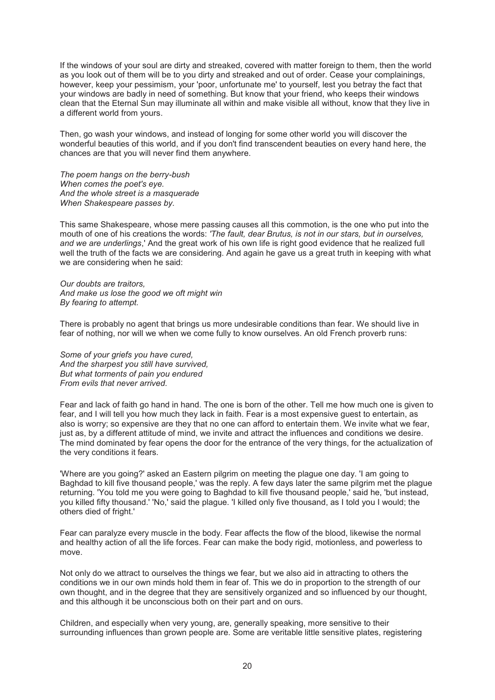If the windows of your soul are dirty and streaked, covered with matter foreign to them, then the world as you look out of them will be to you dirty and streaked and out of order. Cease your complainings, however, keep your pessimism, your 'poor, unfortunate me' to yourself, lest you betray the fact that your windows are badly in need of something. But know that your friend, who keeps their windows clean that the Eternal Sun may illuminate all within and make visible all without, know that they live in a different world from yours.

Then, go wash your windows, and instead of longing for some other world you will discover the wonderful beauties of this world, and if you don't find transcendent beauties on every hand here, the chances are that you will never find them anywhere.

*The poem hangs on the berry-bush When comes the poet's eye. And the whole street is a masquerade When Shakespeare passes by.*

This same Shakespeare, whose mere passing causes all this commotion, is the one who put into the mouth of one of his creations the words: *'The fault, dear Brutus, is not in our stars, but in ourselves, and we are underlings*,' And the great work of his own life is right good evidence that he realized full well the truth of the facts we are considering. And again he gave us a great truth in keeping with what we are considering when he said:

*Our doubts are traitors, And make us lose the good we oft might win By fearing to attempt.* 

There is probably no agent that brings us more undesirable conditions than fear. We should live in fear of nothing, nor will we when we come fully to know ourselves. An old French proverb runs:

*Some of your griefs you have cured, And the sharpest you still have survived, But what torments of pain you endured From evils that never arrived.*

Fear and lack of faith go hand in hand. The one is born of the other. Tell me how much one is given to fear, and I will tell you how much they lack in faith. Fear is a most expensive guest to entertain, as also is worry; so expensive are they that no one can afford to entertain them. We invite what we fear, just as, by a different attitude of mind, we invite and attract the influences and conditions we desire. The mind dominated by fear opens the door for the entrance of the very things, for the actualization of the very conditions it fears.

'Where are you going?' asked an Eastern pilgrim on meeting the plague one day. 'I am going to Baghdad to kill five thousand people,' was the reply. A few days later the same pilgrim met the plague returning. 'You told me you were going to Baghdad to kill five thousand people,' said he, 'but instead, you killed fifty thousand.' 'No,' said the plague. 'I killed only five thousand, as I told you I would; the others died of fright.'

Fear can paralyze every muscle in the body. Fear affects the flow of the blood, likewise the normal and healthy action of all the life forces. Fear can make the body rigid, motionless, and powerless to move.

Not only do we attract to ourselves the things we fear, but we also aid in attracting to others the conditions we in our own minds hold them in fear of. This we do in proportion to the strength of our own thought, and in the degree that they are sensitively organized and so influenced by our thought, and this although it be unconscious both on their part and on ours.

Children, and especially when very young, are, generally speaking, more sensitive to their surrounding influences than grown people are. Some are veritable little sensitive plates, registering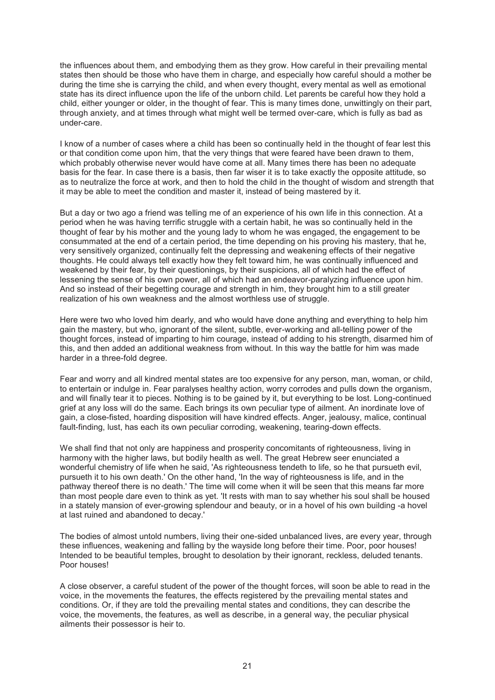the influences about them, and embodying them as they grow. How careful in their prevailing mental states then should be those who have them in charge, and especially how careful should a mother be during the time she is carrying the child, and when every thought, every mental as well as emotional state has its direct influence upon the life of the unborn child. Let parents be careful how they hold a child, either younger or older, in the thought of fear. This is many times done, unwittingly on their part, through anxiety, and at times through what might well be termed over-care, which is fully as bad as under-care.

I know of a number of cases where a child has been so continually held in the thought of fear lest this or that condition come upon him, that the very things that were feared have been drawn to them, which probably otherwise never would have come at all. Many times there has been no adequate basis for the fear. In case there is a basis, then far wiser it is to take exactly the opposite attitude, so as to neutralize the force at work, and then to hold the child in the thought of wisdom and strength that it may be able to meet the condition and master it, instead of being mastered by it.

But a day or two ago a friend was telling me of an experience of his own life in this connection. At a period when he was having terrific struggle with a certain habit, he was so continually held in the thought of fear by his mother and the young lady to whom he was engaged, the engagement to be consummated at the end of a certain period, the time depending on his proving his mastery, that he, very sensitively organized, continually felt the depressing and weakening effects of their negative thoughts. He could always tell exactly how they felt toward him, he was continually influenced and weakened by their fear, by their questionings, by their suspicions, all of which had the effect of lessening the sense of his own power, all of which had an endeavor-paralyzing influence upon him. And so instead of their begetting courage and strength in him, they brought him to a still greater realization of his own weakness and the almost worthless use of struggle.

Here were two who loved him dearly, and who would have done anything and everything to help him gain the mastery, but who, ignorant of the silent, subtle, ever-working and all-telling power of the thought forces, instead of imparting to him courage, instead of adding to his strength, disarmed him of this, and then added an additional weakness from without. In this way the battle for him was made harder in a three-fold degree.

Fear and worry and all kindred mental states are too expensive for any person, man, woman, or child, to entertain or indulge in. Fear paralyses healthy action, worry corrodes and pulls down the organism, and will finally tear it to pieces. Nothing is to be gained by it, but everything to be lost. Long-continued grief at any loss will do the same. Each brings its own peculiar type of ailment. An inordinate love of gain, a close-fisted, hoarding disposition will have kindred effects. Anger, jealousy, malice, continual fault-finding, lust, has each its own peculiar corroding, weakening, tearing-down effects.

We shall find that not only are happiness and prosperity concomitants of righteousness, living in harmony with the higher laws, but bodily health as well. The great Hebrew seer enunciated a wonderful chemistry of life when he said, 'As righteousness tendeth to life, so he that pursueth evil, pursueth it to his own death.' On the other hand, 'In the way of righteousness is life, and in the pathway thereof there is no death.' The time will come when it will be seen that this means far more than most people dare even to think as yet. 'It rests with man to say whether his soul shall be housed in a stately mansion of ever-growing splendour and beauty, or in a hovel of his own building -a hovel at last ruined and abandoned to decay.'

The bodies of almost untold numbers, living their one-sided unbalanced lives, are every year, through these influences, weakening and falling by the wayside long before their time. Poor, poor houses! Intended to be beautiful temples, brought to desolation by their ignorant, reckless, deluded tenants. Poor houses!

A close observer, a careful student of the power of the thought forces, will soon be able to read in the voice, in the movements the features, the effects registered by the prevailing mental states and conditions. Or, if they are told the prevailing mental states and conditions, they can describe the voice, the movements, the features, as well as describe, in a general way, the peculiar physical ailments their possessor is heir to.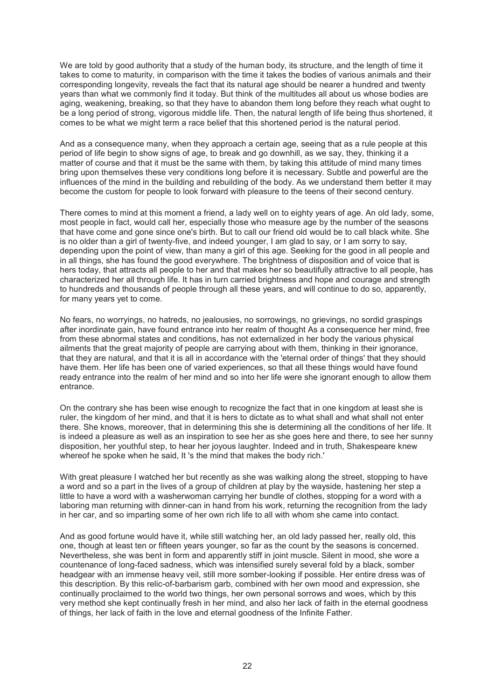We are told by good authority that a study of the human body, its structure, and the length of time it takes to come to maturity, in comparison with the time it takes the bodies of various animals and their corresponding longevity, reveals the fact that its natural age should be nearer a hundred and twenty years than what we commonly find it today. But think of the multitudes all about us whose bodies are aging, weakening, breaking, so that they have to abandon them long before they reach what ought to be a long period of strong, vigorous middle life. Then, the natural length of life being thus shortened, it comes to be what we might term a race belief that this shortened period is the natural period.

And as a consequence many, when they approach a certain age, seeing that as a rule people at this period of life begin to show signs of age, to break and go downhill, as we say, they, thinking it a matter of course and that it must be the same with them, by taking this attitude of mind many times bring upon themselves these very conditions long before it is necessary. Subtle and powerful are the influences of the mind in the building and rebuilding of the body. As we understand them better it may become the custom for people to look forward with pleasure to the teens of their second century.

There comes to mind at this moment a friend, a lady well on to eighty years of age. An old lady, some, most people in fact, would call her, especially those who measure age by the number of the seasons that have come and gone since one's birth. But to call our friend old would be to call black white. She is no older than a girl of twenty-five, and indeed younger, I am glad to say, or I am sorry to say, depending upon the point of view, than many a girl of this age. Seeking for the good in all people and in all things, she has found the good everywhere. The brightness of disposition and of voice that is hers today, that attracts all people to her and that makes her so beautifully attractive to all people, has characterized her all through life. It has in turn carried brightness and hope and courage and strength to hundreds and thousands of people through all these years, and will continue to do so, apparently, for many years yet to come.

No fears, no worryings, no hatreds, no jealousies, no sorrowings, no grievings, no sordid graspings after inordinate gain, have found entrance into her realm of thought As a consequence her mind, free from these abnormal states and conditions, has not externalized in her body the various physical ailments that the great majority of people are carrying about with them, thinking in their ignorance, that they are natural, and that it is all in accordance with the 'eternal order of things' that they should have them. Her life has been one of varied experiences, so that all these things would have found ready entrance into the realm of her mind and so into her life were she ignorant enough to allow them entrance.

On the contrary she has been wise enough to recognize the fact that in one kingdom at least she is ruler, the kingdom of her mind, and that it is hers to dictate as to what shall and what shall not enter there. She knows, moreover, that in determining this she is determining all the conditions of her life. It is indeed a pleasure as well as an inspiration to see her as she goes here and there, to see her sunny disposition, her youthful step, to hear her joyous laughter. Indeed and in truth, Shakespeare knew whereof he spoke when he said, It 's the mind that makes the body rich.'

With great pleasure I watched her but recently as she was walking along the street, stopping to have a word and so a part in the lives of a group of children at play by the wayside, hastening her step a little to have a word with a washerwoman carrying her bundle of clothes, stopping for a word with a laboring man returning with dinner-can in hand from his work, returning the recognition from the lady in her car, and so imparting some of her own rich life to all with whom she came into contact.

And as good fortune would have it, while still watching her, an old lady passed her, really old, this one, though at least ten or fifteen years younger, so far as the count by the seasons is concerned. Nevertheless, she was bent in form and apparently stiff in joint muscle. Silent in mood, she wore a countenance of long-faced sadness, which was intensified surely several fold by a black, somber headgear with an immense heavy veil, still more somber-looking if possible. Her entire dress was of this description. By this relic-of-barbarism garb, combined with her own mood and expression, she continually proclaimed to the world two things, her own personal sorrows and woes, which by this very method she kept continually fresh in her mind, and also her lack of faith in the eternal goodness of things, her lack of faith in the love and eternal goodness of the Infinite Father.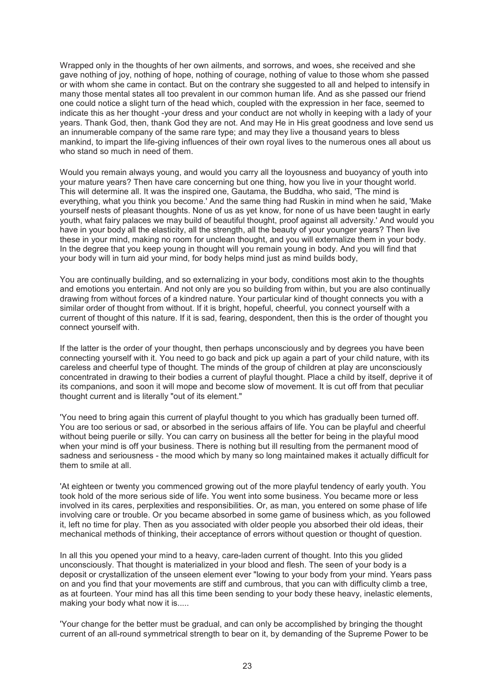Wrapped only in the thoughts of her own ailments, and sorrows, and woes, she received and she gave nothing of joy, nothing of hope, nothing of courage, nothing of value to those whom she passed or with whom she came in contact. But on the contrary she suggested to all and helped to intensify in many those mental states all too prevalent in our common human life. And as she passed our friend one could notice a slight turn of the head which, coupled with the expression in her face, seemed to indicate this as her thought -your dress and your conduct are not wholly in keeping with a lady of your years. Thank God, then, thank God they are not. And may He in His great goodness and love send us an innumerable company of the same rare type; and may they live a thousand years to bless mankind, to impart the life-giving influences of their own royal lives to the numerous ones all about us who stand so much in need of them.

Would you remain always young, and would you carry all the loyousness and buoyancy of youth into your mature years? Then have care concerning but one thing, how you live in your thought world. This will determine all. It was the inspired one, Gautama, the Buddha, who said, 'The mind is everything, what you think you become.' And the same thing had Ruskin in mind when he said, 'Make yourself nests of pleasant thoughts. None of us as yet know, for none of us have been taught in early youth, what fairy palaces we may build of beautiful thought, proof against all adversity.' And would you have in your body all the elasticity, all the strength, all the beauty of your younger years? Then live these in your mind, making no room for unclean thought, and you will externalize them in your body. In the degree that you keep young in thought will you remain young in body. And you will find that your body will in turn aid your mind, for body helps mind just as mind builds body,

You are continually building, and so externalizing in your body, conditions most akin to the thoughts and emotions you entertain. And not only are you so building from within, but you are also continually drawing from without forces of a kindred nature. Your particular kind of thought connects you with a similar order of thought from without. If it is bright, hopeful, cheerful, you connect yourself with a current of thought of this nature. If it is sad, fearing, despondent, then this is the order of thought you connect yourself with.

If the latter is the order of your thought, then perhaps unconsciously and by degrees you have been connecting yourself with it. You need to go back and pick up again a part of your child nature, with its careless and cheerful type of thought. The minds of the group of children at play are unconsciously concentrated in drawing to their bodies a current of playful thought. Place a child by itself, deprive it of its companions, and soon it will mope and become slow of movement. It is cut off from that peculiar thought current and is literally "out of its element."

'You need to bring again this current of playful thought to you which has gradually been turned off. You are too serious or sad, or absorbed in the serious affairs of life. You can be playful and cheerful without being puerile or silly. You can carry on business all the better for being in the playful mood when your mind is off your business. There is nothing but ill resulting from the permanent mood of sadness and seriousness - the mood which by many so long maintained makes it actually difficult for them to smile at all.

'At eighteen or twenty you commenced growing out of the more playful tendency of early youth. You took hold of the more serious side of life. You went into some business. You became more or less involved in its cares, perplexities and responsibilities. Or, as man, you entered on some phase of life involving care or trouble. Or you became absorbed in some game of business which, as you followed it, left no time for play. Then as you associated with older people you absorbed their old ideas, their mechanical methods of thinking, their acceptance of errors without question or thought of question.

In all this you opened your mind to a heavy, care-laden current of thought. Into this you glided unconsciously. That thought is materialized in your blood and flesh. The seen of your body is a deposit or crystallization of the unseen element ever "lowing to your body from your mind. Years pass on and you find that your movements are stiff and cumbrous, that you can with difficulty climb a tree, as at fourteen. Your mind has all this time been sending to your body these heavy, inelastic elements, making your body what now it is.....

'Your change for the better must be gradual, and can only be accomplished by bringing the thought current of an all-round symmetrical strength to bear on it, by demanding of the Supreme Power to be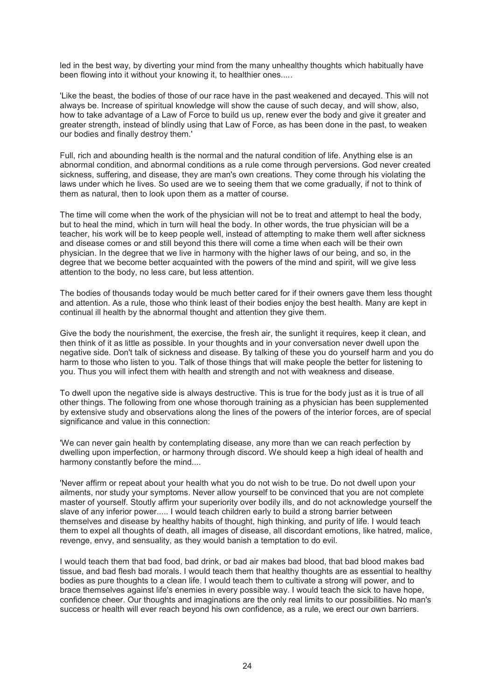led in the best way, by diverting your mind from the many unhealthy thoughts which habitually have been flowing into it without your knowing it, to healthier ones.....

'Like the beast, the bodies of those of our race have in the past weakened and decayed. This will not always be. Increase of spiritual knowledge will show the cause of such decay, and will show, also, how to take advantage of a Law of Force to build us up, renew ever the body and give it greater and greater strength, instead of blindly using that Law of Force, as has been done in the past, to weaken our bodies and finally destroy them.'

Full, rich and abounding health is the normal and the natural condition of life. Anything else is an abnormal condition, and abnormal conditions as a rule come through perversions. God never created sickness, suffering, and disease, they are man's own creations. They come through his violating the laws under which he lives. So used are we to seeing them that we come gradually, if not to think of them as natural, then to look upon them as a matter of course.

The time will come when the work of the physician will not be to treat and attempt to heal the body, but to heal the mind, which in turn will heal the body. In other words, the true physician will be a teacher, his work will be to keep people well, instead of attempting to make them well after sickness and disease comes or and still beyond this there will come a time when each will be their own physician. In the degree that we live in harmony with the higher laws of our being, and so, in the degree that we become better acquainted with the powers of the mind and spirit, will we give less attention to the body, no less care, but less attention.

The bodies of thousands today would be much better cared for if their owners gave them less thought and attention. As a rule, those who think least of their bodies enjoy the best health. Many are kept in continual ill health by the abnormal thought and attention they give them.

Give the body the nourishment, the exercise, the fresh air, the sunlight it requires, keep it clean, and then think of it as little as possible. In your thoughts and in your conversation never dwell upon the negative side. Don't talk of sickness and disease. By talking of these you do yourself harm and you do harm to those who listen to you. Talk of those things that will make people the better for listening to you. Thus you will infect them with health and strength and not with weakness and disease.

To dwell upon the negative side is always destructive. This is true for the body just as it is true of all other things. The following from one whose thorough training as a physician has been supplemented by extensive study and observations along the lines of the powers of the interior forces, are of special significance and value in this connection:

'We can never gain health by contemplating disease, any more than we can reach perfection by dwelling upon imperfection, or harmony through discord. We should keep a high ideal of health and harmony constantly before the mind....

'Never affirm or repeat about your health what you do not wish to be true. Do not dwell upon your ailments, nor study your symptoms. Never allow yourself to be convinced that you are not complete master of yourself. Stoutly affirm your superiority over bodily ills, and do not acknowledge yourself the slave of any inferior power..... I would teach children early to build a strong barrier between themselves and disease by healthy habits of thought, high thinking, and purity of life. I would teach them to expel all thoughts of death, all images of disease, all discordant emotions, like hatred, malice, revenge, envy, and sensuality, as they would banish a temptation to do evil.

I would teach them that bad food, bad drink, or bad air makes bad blood, that bad blood makes bad tissue, and bad flesh bad morals. I would teach them that healthy thoughts are as essential to healthy bodies as pure thoughts to a clean life. I would teach them to cultivate a strong will power, and to brace themselves against life's enemies in every possible way. I would teach the sick to have hope, confidence cheer. Our thoughts and imaginations are the only real limits to our possibilities. No man's success or health will ever reach beyond his own confidence, as a rule, we erect our own barriers.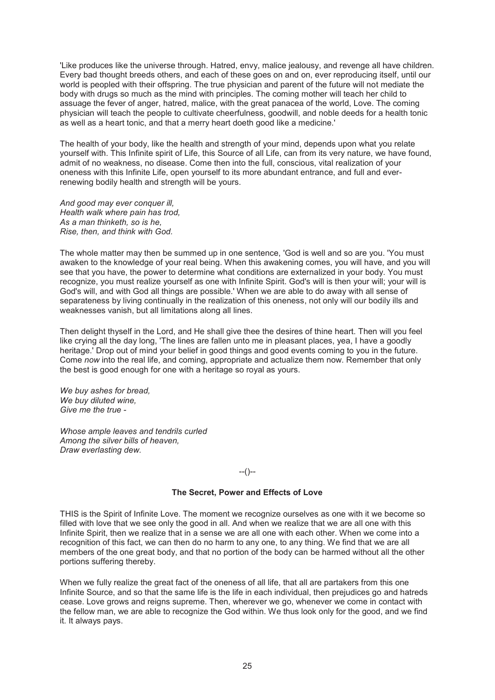'Like produces like the universe through. Hatred, envy, malice jealousy, and revenge all have children. Every bad thought breeds others, and each of these goes on and on, ever reproducing itself, until our world is peopled with their offspring. The true physician and parent of the future will not mediate the body with drugs so much as the mind with principles. The coming mother will teach her child to assuage the fever of anger, hatred, malice, with the great panacea of the world, Love. The coming physician will teach the people to cultivate cheerfulness, goodwill, and noble deeds for a health tonic as well as a heart tonic, and that a merry heart doeth good like a medicine.'

The health of your body, like the health and strength of your mind, depends upon what you relate yourself with. This Infinite spirit of Life, this Source of all Life, can from its very nature, we have found, admit of no weakness, no disease. Come then into the full, conscious, vital realization of your oneness with this Infinite Life, open yourself to its more abundant entrance, and full and everrenewing bodily health and strength will be yours.

*And good may ever conquer ill, Health walk where pain has trod, As a man thinketh, so is he, Rise, then, and think with God.*

The whole matter may then be summed up in one sentence, 'God is well and so are you. 'You must awaken to the knowledge of your real being. When this awakening comes, you will have, and you will see that you have, the power to determine what conditions are externalized in your body. You must recognize, you must realize yourself as one with Infinite Spirit. God's will is then your will; your will is God's will, and with God all things are possible.' When we are able to do away with all sense of separateness by living continually in the realization of this oneness, not only will our bodily ills and weaknesses vanish, but all limitations along all lines.

Then delight thyself in the Lord, and He shall give thee the desires of thine heart. Then will you feel like crying all the day long, 'The lines are fallen unto me in pleasant places, yea, I have a goodly heritage.' Drop out of mind your belief in good things and good events coming to you in the future. Come *now* into the real life, and coming, appropriate and actualize them now. Remember that only the best is good enough for one with a heritage so royal as yours.

*We buy ashes for bread, We buy diluted wine, Give me the true -*

*Whose ample leaves and tendrils curled Among the silver bills of heaven, Draw everlasting dew.*

# --()--

#### **The Secret, Power and Effects of Love**

THIS is the Spirit of Infinite Love. The moment we recognize ourselves as one with it we become so filled with love that we see only the good in all. And when we realize that we are all one with this Infinite Spirit, then we realize that in a sense we are all one with each other. When we come into a recognition of this fact, we can then do no harm to any one, to any thing. We find that we are all members of the one great body, and that no portion of the body can be harmed without all the other portions suffering thereby.

When we fully realize the great fact of the oneness of all life, that all are partakers from this one Infinite Source, and so that the same life is the life in each individual, then prejudices go and hatreds cease. Love grows and reigns supreme. Then, wherever we go, whenever we come in contact with the fellow man, we are able to recognize the God within. We thus look only for the good, and we find it. It always pays.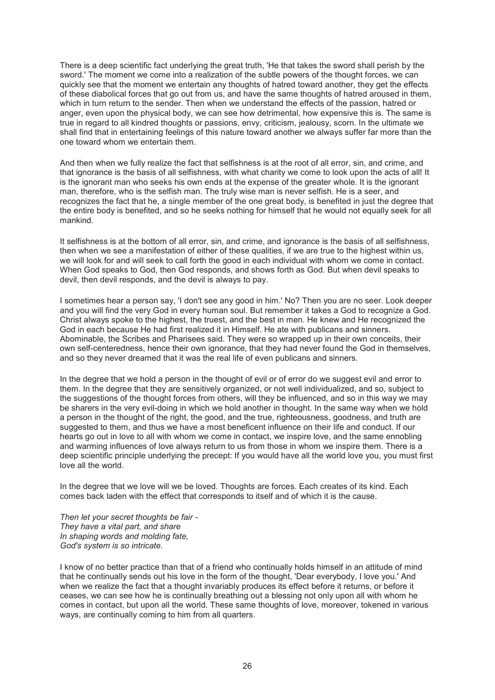There is a deep scientific fact underlying the great truth, 'He that takes the sword shall perish by the sword.' The moment we come into a realization of the subtle powers of the thought forces, we can quickly see that the moment we entertain any thoughts of hatred toward another, they get the effects of these diabolical forces that go out from us, and have the same thoughts of hatred aroused in them, which in turn return to the sender. Then when we understand the effects of the passion, hatred or anger, even upon the physical body, we can see how detrimental, how expensive this is. The same is true in regard to all kindred thoughts or passions, envy, criticism, jealousy, scorn. In the ultimate we shall find that in entertaining feelings of this nature toward another we always suffer far more than the one toward whom we entertain them.

And then when we fully realize the fact that selfishness is at the root of all error, sin, and crime, and that ignorance is the basis of all selfishness, with what charity we come to look upon the acts of all! It is the ignorant man who seeks his own ends at the expense of the greater whole. It is the ignorant man, therefore, who is the selfish man. The truly wise man is never selfish. He is a seer, and recognizes the fact that he, a single member of the one great body, is benefited in just the degree that the entire body is benefited, and so he seeks nothing for himself that he would not equally seek for all mankind.

It selfishness is at the bottom of all error, sin, and crime, and ignorance is the basis of all selfishness, then when we see a manifestation of either of these qualities, if we are true to the highest within us, we will look for and will seek to call forth the good in each individual with whom we come in contact. When God speaks to God, then God responds, and shows forth as God. But when devil speaks to devil, then devil responds, and the devil is always to pay.

I sometimes hear a person say, 'I don't see any good in him.' No? Then you are no seer. Look deeper and you will find the very God in every human soul. But remember it takes a God to recognize a God. Christ always spoke to the highest, the truest, and the best in men. He knew and He recognized the God in each because He had first realized it in Himself. He ate with publicans and sinners. Abominable, the Scribes and Pharisees said. They were so wrapped up in their own conceits, their own self-centeredness, hence their own ignorance, that they had never found the God in themselves, and so they never dreamed that it was the real life of even publicans and sinners.

In the degree that we hold a person in the thought of evil or of error do we suggest evil and error to them. In the degree that they are sensitively organized, or not well individualized, and so, subject to the suggestions of the thought forces from others, will they be influenced, and so in this way we may be sharers in the very evil-doing in which we hold another in thought. In the same way when we hold a person in the thought of the right, the good, and the true, righteousness, goodness, and truth are suggested to them, and thus we have a most beneficent influence on their life and conduct. If our hearts go out in love to all with whom we come in contact, we inspire love, and the same ennobling and warming influences of love always return to us from those in whom we inspire them. There is a deep scientific principle underlying the precept: If you would have all the world love you, you must first love all the world.

In the degree that we love will we be loved. Thoughts are forces. Each creates of its kind. Each comes back laden with the effect that corresponds to itself and of which it is the cause.

*Then let your secret thoughts be fair - They have a vital part, and share In shaping words and molding fate, God's system is so intricate.*

I know of no better practice than that of a friend who continually holds himself in an attitude of mind that he continually sends out his love in the form of the thought, 'Dear everybody, I love you.' And when we realize the fact that a thought invariably produces its effect before it returns, or before it ceases, we can see how he is continually breathing out a blessing not only upon all with whom he comes in contact, but upon all the world. These same thoughts of love, moreover, tokened in various ways, are continually coming to him from all quarters.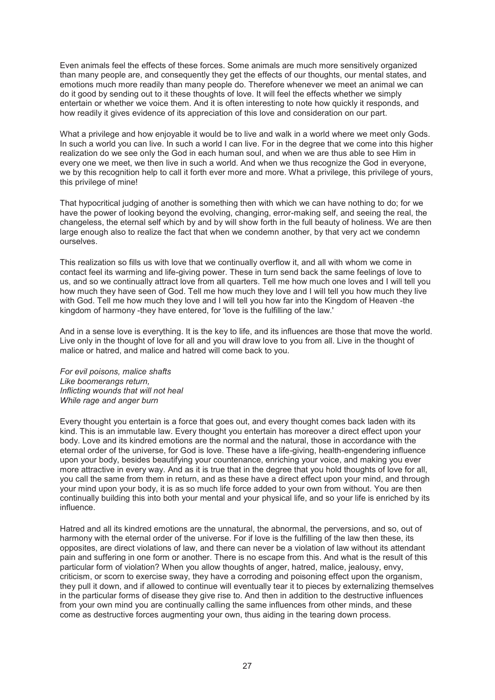Even animals feel the effects of these forces. Some animals are much more sensitively organized than many people are, and consequently they get the effects of our thoughts, our mental states, and emotions much more readily than many people do. Therefore whenever we meet an animal we can do it good by sending out to it these thoughts of love. It will feel the effects whether we simply entertain or whether we voice them. And it is often interesting to note how quickly it responds, and how readily it gives evidence of its appreciation of this love and consideration on our part.

What a privilege and how enjoyable it would be to live and walk in a world where we meet only Gods. In such a world you can live. In such a world I can live. For in the degree that we come into this higher realization do we see only the God in each human soul, and when we are thus able to see Him in every one we meet, we then live in such a world. And when we thus recognize the God in everyone, we by this recognition help to call it forth ever more and more. What a privilege, this privilege of yours, this privilege of mine!

That hypocritical judging of another is something then with which we can have nothing to do; for we have the power of looking beyond the evolving, changing, error-making self, and seeing the real, the changeless, the eternal self which by and by will show forth in the full beauty of holiness. We are then large enough also to realize the fact that when we condemn another, by that very act we condemn ourselves.

This realization so fills us with love that we continually overflow it, and all with whom we come in contact feel its warming and life-giving power. These in turn send back the same feelings of love to us, and so we continually attract love from all quarters. Tell me how much one loves and I will tell you how much they have seen of God. Tell me how much they love and I will tell you how much they live with God. Tell me how much they love and I will tell you how far into the Kingdom of Heaven -the kingdom of harmony -they have entered, for 'love is the fulfilling of the law.'

And in a sense love is everything. It is the key to life, and its influences are those that move the world. Live only in the thought of love for all and you will draw love to you from all. Live in the thought of malice or hatred, and malice and hatred will come back to you.

*For evil poisons, malice shafts Like boomerangs return, Inflicting wounds that will not heal While rage and anger burn*

Every thought you entertain is a force that goes out, and every thought comes back laden with its kind. This is an immutable law. Every thought you entertain has moreover a direct effect upon your body. Love and its kindred emotions are the normal and the natural, those in accordance with the eternal order of the universe, for God is love. These have a life-giving, health-engendering influence upon your body, besides beautifying your countenance, enriching your voice, and making you ever more attractive in every way. And as it is true that in the degree that you hold thoughts of love for all, you call the same from them in return, and as these have a direct effect upon your mind, and through your mind upon your body, it is as so much life force added to your own from without. You are then continually building this into both your mental and your physical life, and so your life is enriched by its influence.

Hatred and all its kindred emotions are the unnatural, the abnormal, the perversions, and so, out of harmony with the eternal order of the universe. For if love is the fulfilling of the law then these, its opposites, are direct violations of law, and there can never be a violation of law without its attendant pain and suffering in one form or another. There is no escape from this. And what is the result of this particular form of violation? When you allow thoughts of anger, hatred, malice, jealousy, envy, criticism, or scorn to exercise sway, they have a corroding and poisoning effect upon the organism, they pull it down, and if allowed to continue will eventually tear it to pieces by externalizing themselves in the particular forms of disease they give rise to. And then in addition to the destructive influences from your own mind you are continually calling the same influences from other minds, and these come as destructive forces augmenting your own, thus aiding in the tearing down process.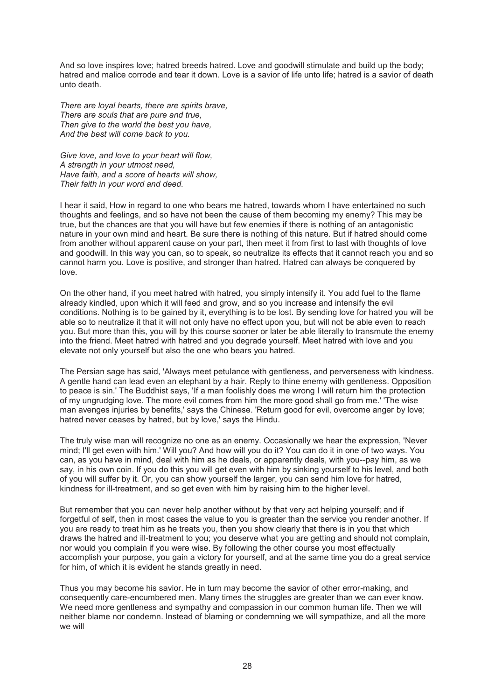And so love inspires love; hatred breeds hatred. Love and goodwill stimulate and build up the body; hatred and malice corrode and tear it down. Love is a savior of life unto life; hatred is a savior of death unto death.

*There are loyal hearts, there are spirits brave, There are souls that are pure and true, Then give to the world the best you have, And the best will come back to you.*

*Give love, and love to your heart will flow, A strength in your utmost need, Have faith, and a score of hearts will show, Their faith in your word and deed.* 

I hear it said, How in regard to one who bears me hatred, towards whom I have entertained no such thoughts and feelings, and so have not been the cause of them becoming my enemy? This may be true, but the chances are that you will have but few enemies if there is nothing of an antagonistic nature in your own mind and heart. Be sure there is nothing of this nature. But if hatred should come from another without apparent cause on your part, then meet it from first to last with thoughts of love and goodwill. In this way you can, so to speak, so neutralize its effects that it cannot reach you and so cannot harm you. Love is positive, and stronger than hatred. Hatred can always be conquered by love.

On the other hand, if you meet hatred with hatred, you simply intensify it. You add fuel to the flame already kindled, upon which it will feed and grow, and so you increase and intensify the evil conditions. Nothing is to be gained by it, everything is to be lost. By sending love for hatred you will be able so to neutralize it that it will not only have no effect upon you, but will not be able even to reach you. But more than this, you will by this course sooner or later be able literally to transmute the enemy into the friend. Meet hatred with hatred and you degrade yourself. Meet hatred with love and you elevate not only yourself but also the one who bears you hatred.

The Persian sage has said, 'Always meet petulance with gentleness, and perverseness with kindness. A gentle hand can lead even an elephant by a hair. Reply to thine enemy with gentleness. Opposition to peace is sin.' The Buddhist says, 'If a man foolishly does me wrong I will return him the protection of my ungrudging love. The more evil comes from him the more good shall go from me.' 'The wise man avenges injuries by benefits,' says the Chinese. 'Return good for evil, overcome anger by love; hatred never ceases by hatred, but by love,' says the Hindu.

The truly wise man will recognize no one as an enemy. Occasionally we hear the expression, 'Never mind; I'll get even with him.' Will you? And how will you do it? You can do it in one of two ways. You can, as you have in mind, deal with him as he deals, or apparently deals, with you--pay him, as we say, in his own coin. If you do this you will get even with him by sinking yourself to his level, and both of you will suffer by it. Or, you can show yourself the larger, you can send him love for hatred, kindness for ill-treatment, and so get even with him by raising him to the higher level.

But remember that you can never help another without by that very act helping yourself; and if forgetful of self, then in most cases the value to you is greater than the service you render another. If you are ready to treat him as he treats you, then you show clearly that there is in you that which draws the hatred and ill-treatment to you; you deserve what you are getting and should not complain, nor would you complain if you were wise. By following the other course you most effectually accomplish your purpose, you gain a victory for yourself, and at the same time you do a great service for him, of which it is evident he stands greatly in need.

Thus you may become his savior. He in turn may become the savior of other error-making, and consequently care-encumbered men. Many times the struggles are greater than we can ever know. We need more gentleness and sympathy and compassion in our common human life. Then we will neither blame nor condemn. Instead of blaming or condemning we will sympathize, and all the more we will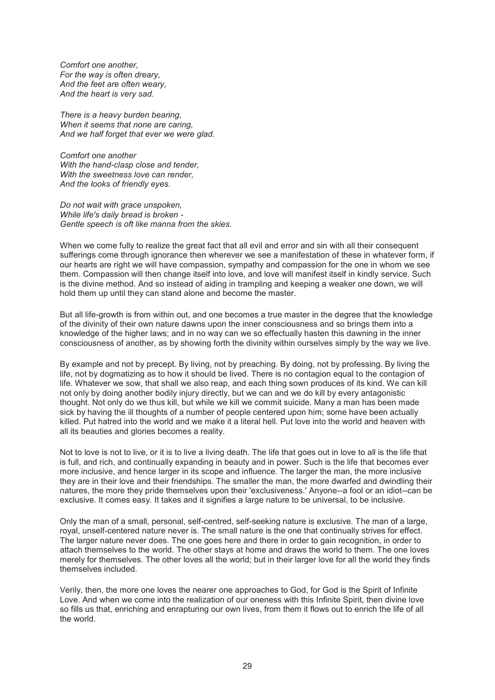*Comfort one another, For the way is often dreary, And the feet are often weary, And the heart is very sad.*

*There is a heavy burden bearing, When it seems that none are caring, And we half forget that ever we were glad.*

*Comfort one another With the hand-clasp close and tender, With the sweetness love can render, And the looks of friendly eyes.*

*Do not wait with grace unspoken, While life's daily bread is broken - Gentle speech is oft like manna from the skies.*

When we come fully to realize the great fact that all evil and error and sin with all their consequent sufferings come through ignorance then wherever we see a manifestation of these in whatever form, if our hearts are right we will have compassion, sympathy and compassion for the one in whom we see them. Compassion will then change itself into love, and love will manifest itself in kindly service. Such is the divine method. And so instead of aiding in trampling and keeping a weaker one down, we will hold them up until they can stand alone and become the master.

But all life-growth is from within out, and one becomes a true master in the degree that the knowledge of the divinity of their own nature dawns upon the inner consciousness and so brings them into a knowledge of the higher laws; and in no way can we so effectually hasten this dawning in the inner consciousness of another, as by showing forth the divinity within ourselves simply by the way we live.

By example and not by precept. By living, not by preaching. By doing, not by professing. By living the life, not by dogmatizing as to how it should be lived. There is no contagion equal to the contagion of life. Whatever we sow, that shall we also reap, and each thing sown produces of its kind. We can kill not only by doing another bodily injury directly, but we can and we do kill by every antagonistic thought. Not only do we thus kill, but while we kill we commit suicide. Many a man has been made sick by having the ill thoughts of a number of people centered upon him; some have been actually killed. Put hatred into the world and we make it a literal hell. Put love into the world and heaven with all its beauties and glories becomes a reality.

Not to love is not to live, or it is to live a living death. The life that goes out in love to all is the life that is full, and rich, and continually expanding in beauty and in power. Such is the life that becomes ever more inclusive, and hence larger in its scope and influence. The larger the man, the more inclusive they are in their love and their friendships. The smaller the man, the more dwarfed and dwindling their natures, the more they pride themselves upon their 'exclusiveness.' Anyone--a fool or an idiot--can be exclusive. It comes easy. It takes and it signifies a large nature to be universal, to be inclusive.

Only the man of a small, personal, self-centred, self-seeking nature is exclusive. The man of a large, royal, unself-centered nature never is. The small nature is the one that continually strives for effect. The larger nature never does. The one goes here and there in order to gain recognition, in order to attach themselves to the world. The other stays at home and draws the world to them. The one loves merely for themselves. The other loves all the world; but in their larger love for all the world they finds themselves included.

Verily, then, the more one loves the nearer one approaches to God, for God is the Spirit of Infinite Love. And when we come into the realization of our oneness with this Infinite Spirit, then divine love so fills us that, enriching and enrapturing our own lives, from them it flows out to enrich the life of all the world.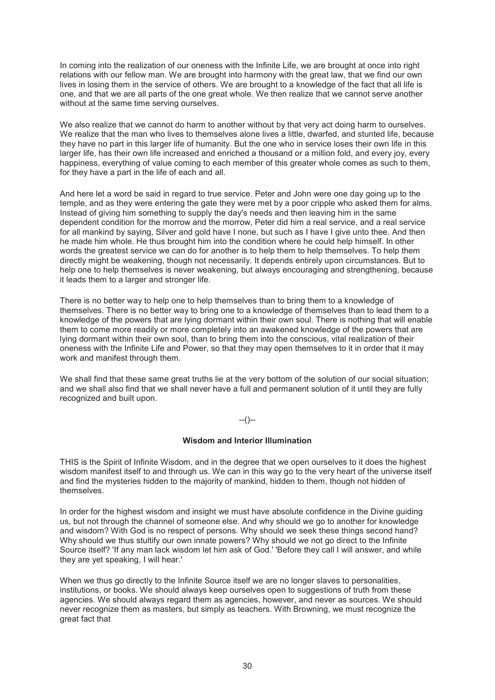In coming into the realization of our oneness with the Infinite Life, we are brought at once into right relations with our fellow man. We are brought into harmony with the great law, that we find our own lives in losing them in the service of others. We are brought to a knowledge of the fact that all life is one, and that we are all parts of the one great whole. We then realize that we cannot serve another without at the same time serving ourselves.

We also realize that we cannot do harm to another without by that very act doing harm to ourselves. We realize that the man who lives to themselves alone lives a little, dwarfed, and stunted life, because they have no part in this larger life of humanity. But the one who in service loses their own life in this larger life, has their own life increased and enriched a thousand or a million fold, and every joy, every happiness, everything of value coming to each member of this greater whole comes as such to them, for they have a part in the life of each and all.

And here let a word be said in regard to true service. Peter and John were one day going up to the temple, and as they were entering the gate they were met by a poor cripple who asked them for alms. Instead of giving him something to supply the day's needs and then leaving him in the same dependent condition for the morrow and the morrow, Peter did him a real service, and a real service for all mankind by saying, Silver and gold have I none, but such as I have I give unto thee. And then he made him whole. He thus brought him into the condition where he could help himself. In other words the greatest service we can do for another is to help them to help themselves. To help them directly might be weakening, though not necessarily. It depends entirely upon circumstances. But to help one to help themselves is never weakening, but always encouraging and strengthening, because it leads them to a larger and stronger life.

There is no better way to help one to help themselves than to bring them to a knowledge of themselves. There is no better way to bring one to a knowledge of themselves than to lead them to a knowledge of the powers that are lying dormant within their own soul. There is nothing that will enable them to come more readily or more completely into an awakened knowledge of the powers that are lying dormant within their own soul, than to bring them into the conscious, vital realization of their oneness with the Infinite Life and Power, so that they may open themselves to it in order that it may work and manifest through them.

We shall find that these same great truths lie at the very bottom of the solution of our social situation; and we shall also find that we shall never have a full and permanent solution of it until they are fully recognized and built upon.

--()--

#### **Wisdom and Interior Illumination**

THIS is the Spirit of Infinite Wisdom, and in the degree that we open ourselves to it does the highest wisdom manifest itself to and through us. We can in this way go to the very heart of the universe itself and find the mysteries hidden to the majority of mankind, hidden to them, though not hidden of themselves.

In order for the highest wisdom and insight we must have absolute confidence in the Divine guiding us, but not through the channel of someone else. And why should we go to another for knowledge and wisdom? With God is no respect of persons. Why should we seek these things second hand? Why should we thus stultify our own innate powers? Why should we not go direct to the Infinite Source itself? 'If any man lack wisdom let him ask of God.' 'Before they call I will answer, and while they are yet speaking, I will hear.'

When we thus go directly to the Infinite Source itself we are no longer slaves to personalities, institutions, or books. We should always keep ourselves open to suggestions of truth from these agencies. We should always regard them as agencies, however, and never as sources. We should never recognize them as masters, but simply as teachers. With Browning, we must recognize the great fact that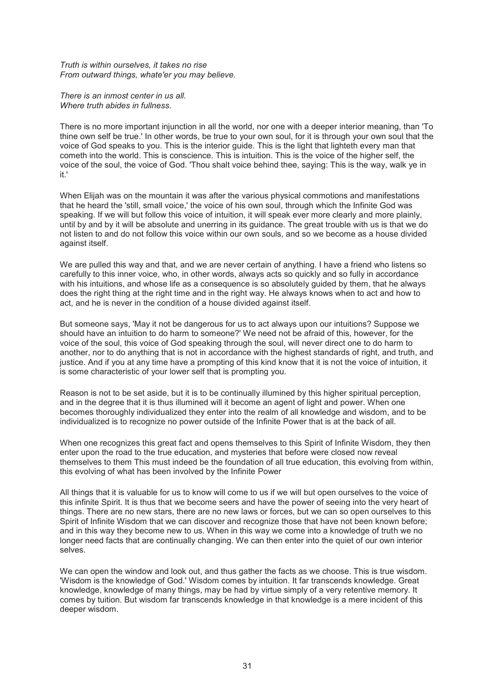*Truth is within ourselves, it takes no rise From outward things, whate'er you may believe.*

*There is an inmost center in us all. Where truth abides in fullness.*

There is no more important injunction in all the world, nor one with a deeper interior meaning, than 'To thine own self be true.' In other words, be true to your own soul, for it is through your own soul that the voice of God speaks to you. This is the interior guide. This is the light that lighteth every man that cometh into the world. This is conscience. This is intuition. This is the voice of the higher self, the voice of the soul, the voice of God. 'Thou shalt voice behind thee, saying: This is the way, walk ye in it.'

When Elijah was on the mountain it was after the various physical commotions and manifestations that he heard the 'still, small voice,' the voice of his own soul, through which the Infinite God was speaking. If we will but follow this voice of intuition, it will speak ever more clearly and more plainly, until by and by it will be absolute and unerring in its guidance. The great trouble with us is that we do not listen to and do not follow this voice within our own souls, and so we become as a house divided against itself.

We are pulled this way and that, and we are never certain of anything. I have a friend who listens so carefully to this inner voice, who, in other words, always acts so quickly and so fully in accordance with his intuitions, and whose life as a consequence is so absolutely guided by them, that he always does the right thing at the right time and in the right way. He always knows when to act and how to act, and he is never in the condition of a house divided against itself.

But someone says, 'May it not be dangerous for us to act always upon our intuitions? Suppose we should have an intuition to do harm to someone?' We need not be afraid of this, however, for the voice of the soul, this voice of God speaking through the soul, will never direct one to do harm to another, nor to do anything that is not in accordance with the highest standards of right, and truth, and justice. And if you at any time have a prompting of this kind know that it is not the voice of intuition, it is some characteristic of your lower self that is prompting you.

Reason is not to be set aside, but it is to be continually illumined by this higher spiritual perception, and in the degree that it is thus illumined will it become an agent of light and power. When one becomes thoroughly individualized they enter into the realm of all knowledge and wisdom, and to be individualized is to recognize no power outside of the Infinite Power that is at the back of all.

When one recognizes this great fact and opens themselves to this Spirit of Infinite Wisdom, they then enter upon the road to the true education, and mysteries that before were closed now reveal themselves to them This must indeed be the foundation of all true education, this evolving from within, this evolving of what has been involved by the Infinite Power

All things that it is valuable for us to know will come to us if we will but open ourselves to the voice of this infinite Spirit. It is thus that we become seers and have the power of seeing into the very heart of things. There are no new stars, there are no new laws or forces, but we can so open ourselves to this Spirit of Infinite Wisdom that we can discover and recognize those that have not been known before; and in this way they become new to us. When in this way we come into a knowledge of truth we no longer need facts that are continually changing. We can then enter into the quiet of our own interior selves.

We can open the window and look out, and thus gather the facts as we choose. This is true wisdom. 'Wisdom is the knowledge of God.' Wisdom comes by intuition. It far transcends knowledge. Great knowledge, knowledge of many things, may be had by virtue simply of a very retentive memory. It comes by tuition. But wisdom far transcends knowledge in that knowledge is a mere incident of this deeper wisdom.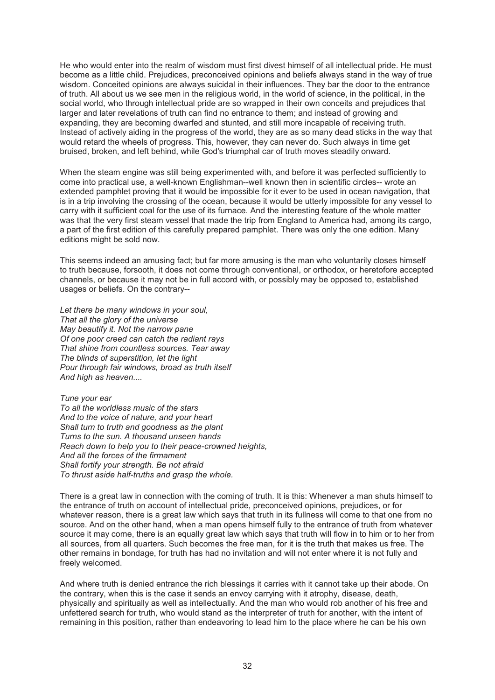He who would enter into the realm of wisdom must first divest himself of all intellectual pride. He must become as a little child. Prejudices, preconceived opinions and beliefs always stand in the way of true wisdom. Conceited opinions are always suicidal in their influences. They bar the door to the entrance of truth. All about us we see men in the religious world, in the world of science, in the political, in the social world, who through intellectual pride are so wrapped in their own conceits and prejudices that larger and later revelations of truth can find no entrance to them; and instead of growing and expanding, they are becoming dwarfed and stunted, and still more incapable of receiving truth. Instead of actively aiding in the progress of the world, they are as so many dead sticks in the way that would retard the wheels of progress. This, however, they can never do. Such always in time get bruised, broken, and left behind, while God's triumphal car of truth moves steadily onward.

When the steam engine was still being experimented with, and before it was perfected sufficiently to come into practical use, a well-known Englishman--well known then in scientific circles-- wrote an extended pamphlet proving that it would be impossible for it ever to be used in ocean navigation, that is in a trip involving the crossing of the ocean, because it would be utterly impossible for any vessel to carry with it sufficient coal for the use of its furnace. And the interesting feature of the whole matter was that the very first steam vessel that made the trip from England to America had, among its cargo, a part of the first edition of this carefully prepared pamphlet. There was only the one edition. Many editions might be sold now.

This seems indeed an amusing fact; but far more amusing is the man who voluntarily closes himself to truth because, forsooth, it does not come through conventional, or orthodox, or heretofore accepted channels, or because it may not be in full accord with, or possibly may be opposed to, established usages or beliefs. On the contrary--

*Let there be many windows in your soul, That all the glory of the universe May beautify it. Not the narrow pane Of one poor creed can catch the radiant rays That shine from countless sources. Tear away The blinds of superstition, let the light Pour through fair windows, broad as truth itself And high as heaven....*

*Tune your ear To all the worldless music of the stars And to the voice of nature, and your heart Shall turn to truth and goodness as the plant Turns to the sun. A thousand unseen hands Reach down to help you to their peace-crowned heights, And all the forces of the firmament Shall fortify your strength. Be not afraid To thrust aside half-truths and grasp the whole.*

There is a great law in connection with the coming of truth. It is this: Whenever a man shuts himself to the entrance of truth on account of intellectual pride, preconceived opinions, prejudices, or for whatever reason, there is a great law which says that truth in its fullness will come to that one from no source. And on the other hand, when a man opens himself fully to the entrance of truth from whatever source it may come, there is an equally great law which says that truth will flow in to him or to her from all sources, from all quarters. Such becomes the free man, for it is the truth that makes us free. The other remains in bondage, for truth has had no invitation and will not enter where it is not fully and freely welcomed.

And where truth is denied entrance the rich blessings it carries with it cannot take up their abode. On the contrary, when this is the case it sends an envoy carrying with it atrophy, disease, death, physically and spiritually as well as intellectually. And the man who would rob another of his free and unfettered search for truth, who would stand as the interpreter of truth for another, with the intent of remaining in this position, rather than endeavoring to lead him to the place where he can be his own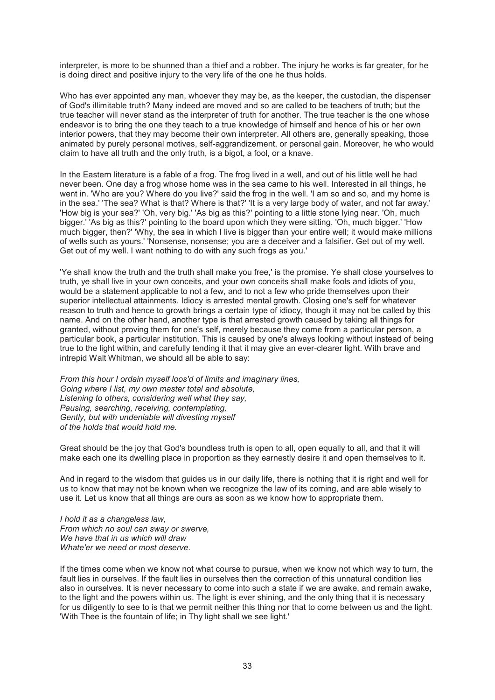interpreter, is more to be shunned than a thief and a robber. The injury he works is far greater, for he is doing direct and positive injury to the very life of the one he thus holds.

Who has ever appointed any man, whoever they may be, as the keeper, the custodian, the dispenser of God's illimitable truth? Many indeed are moved and so are called to be teachers of truth; but the true teacher will never stand as the interpreter of truth for another. The true teacher is the one whose endeavor is to bring the one they teach to a true knowledge of himself and hence of his or her own interior powers, that they may become their own interpreter. All others are, generally speaking, those animated by purely personal motives, self-aggrandizement, or personal gain. Moreover, he who would claim to have all truth and the only truth, is a bigot, a fool, or a knave.

In the Eastern literature is a fable of a frog. The frog lived in a well, and out of his little well he had never been. One day a frog whose home was in the sea came to his well. Interested in all things, he went in. 'Who are you? Where do you live?' said the frog in the well. 'I am so and so, and my home is in the sea.' 'The sea? What is that? Where is that?' 'It is a very large body of water, and not far away.' 'How big is your sea?' 'Oh, very big.' 'As big as this?' pointing to a little stone lying near. 'Oh, much bigger.' 'As big as this?' pointing to the board upon which they were sitting. 'Oh, much bigger.' 'How much bigger, then?' 'Why, the sea in which I live is bigger than your entire well; it would make millions of wells such as yours.' 'Nonsense, nonsense; you are a deceiver and a falsifier. Get out of my well. Get out of my well. I want nothing to do with any such frogs as you.'

'Ye shall know the truth and the truth shall make you free,' is the promise. Ye shall close yourselves to truth, ye shall live in your own conceits, and your own conceits shall make fools and idiots of you, would be a statement applicable to not a few, and to not a few who pride themselves upon their superior intellectual attainments. Idiocy is arrested mental growth. Closing one's self for whatever reason to truth and hence to growth brings a certain type of idiocy, though it may not be called by this name. And on the other hand, another type is that arrested growth caused by taking all things for granted, without proving them for one's self, merely because they come from a particular person, a particular book, a particular institution. This is caused by one's always looking without instead of being true to the light within, and carefully tending it that it may give an ever-clearer light. With brave and intrepid Walt Whitman, we should all be able to say:

*From this hour I ordain myself loos'd of limits and imaginary lines, Going where I list, my own master total and absolute, Listening to others, considering well what they say, Pausing, searching, receiving, contemplating, Gently, but with undeniable will divesting myself of the holds that would hold me.*

Great should be the joy that God's boundless truth is open to all, open equally to all, and that it will make each one its dwelling place in proportion as they earnestly desire it and open themselves to it.

And in regard to the wisdom that guides us in our daily life, there is nothing that it is right and well for us to know that may not be known when we recognize the law of its coming, and are able wisely to use it. Let us know that all things are ours as soon as we know how to appropriate them.

*I hold it as a changeless law, From which no soul can sway or swerve, We have that in us which will draw Whate'er we need or most deserve.*

If the times come when we know not what course to pursue, when we know not which way to turn, the fault lies in ourselves. If the fault lies in ourselves then the correction of this unnatural condition lies also in ourselves. It is never necessary to come into such a state if we are awake, and remain awake, to the light and the powers within us. The light is ever shining, and the only thing that it is necessary for us diligently to see to is that we permit neither this thing nor that to come between us and the light. 'With Thee is the fountain of life; in Thy light shall we see light.'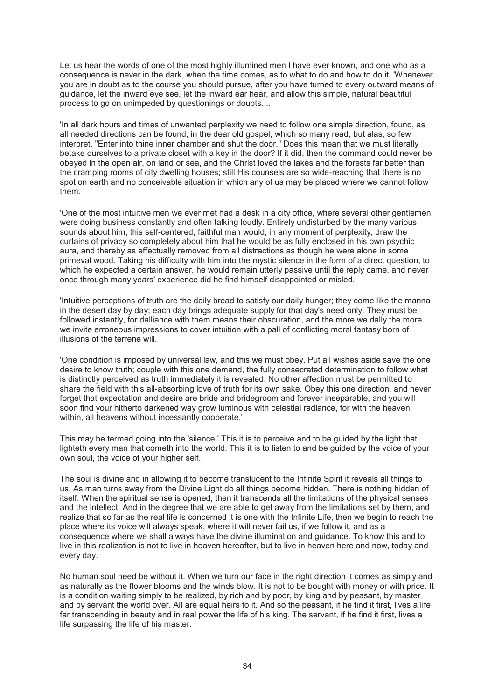Let us hear the words of one of the most highly illumined men I have ever known, and one who as a consequence is never in the dark, when the time comes, as to what to do and how to do it. 'Whenever you are in doubt as to the course you should pursue, after you have turned to every outward means of guidance, let the inward eye see, let the inward ear hear, and allow this simple, natural beautiful process to go on unimpeded by questionings or doubts....

'In all dark hours and times of unwanted perplexity we need to follow one simple direction, found, as all needed directions can be found, in the dear old gospel, which so many read, but alas, so few interpret. "Enter into thine inner chamber and shut the door." Does this mean that we must literally betake ourselves to a private closet with a key in the door? If it did, then the command could never be obeyed in the open air, on land or sea, and the Christ loved the lakes and the forests far better than the cramping rooms of city dwelling houses; still His counsels are so wide-reaching that there is no spot on earth and no conceivable situation in which any of us may be placed where we cannot follow them.

'One of the most intuitive men we ever met had a desk in a city office, where several other gentlemen were doing business constantly and often talking loudly. Entirely undisturbed by the many various sounds about him, this self-centered, faithful man would, in any moment of perplexity, draw the curtains of privacy so completely about him that he would be as fully enclosed in his own psychic aura, and thereby as effectually removed from all distractions as though he were alone in some primeval wood. Taking his difficulty with him into the mystic silence in the form of a direct question, to which he expected a certain answer, he would remain utterly passive until the reply came, and never once through many years' experience did he find himself disappointed or misled.

'Intuitive perceptions of truth are the daily bread to satisfy our daily hunger; they come like the manna in the desert day by day; each day brings adequate supply for that day's need only. They must be followed instantly, for dalliance with them means their obscuration, and the more we dally the more we invite erroneous impressions to cover intuition with a pall of conflicting moral fantasy born of illusions of the terrene will.

'One condition is imposed by universal law, and this we must obey. Put all wishes aside save the one desire to know truth; couple with this one demand, the fully consecrated determination to follow what is distinctly perceived as truth immediately it is revealed. No other affection must be permitted to share the field with this all-absorbing love of truth for its own sake. Obey this one direction, and never forget that expectation and desire are bride and bridegroom and forever inseparable, and you will soon find your hitherto darkened way grow luminous with celestial radiance, for with the heaven within, all heavens without incessantly cooperate.'

This may be termed going into the 'silence.' This it is to perceive and to be guided by the light that lighteth every man that cometh into the world. This it is to listen to and be guided by the voice of your own soul, the voice of your higher self.

The soul is divine and in allowing it to become translucent to the Infinite Spirit it reveals all things to us. As man turns away from the Divine Light do all things become hidden. There is nothing hidden of itself. When the spiritual sense is opened, then it transcends all the limitations of the physical senses and the intellect. And in the degree that we are able to get away from the limitations set by them, and realize that so far as the real life is concerned it is one with the Infinite Life, then we begin to reach the place where its voice will always speak, where it will never fail us, if we follow it, and as a consequence where we shall always have the divine illumination and guidance. To know this and to live in this realization is not to live in heaven hereafter, but to live in heaven here and now, today and every day.

No human soul need be without it. When we turn our face in the right direction it comes as simply and as naturally as the flower blooms and the winds blow. It is not to be bought with money or with price. It is a condition waiting simply to be realized, by rich and by poor, by king and by peasant, by master and by servant the world over. All are equal heirs to it. And so the peasant, if he find it first, lives a life far transcending in beauty and in real power the life of his king. The servant, if he find it first, lives a life surpassing the life of his master.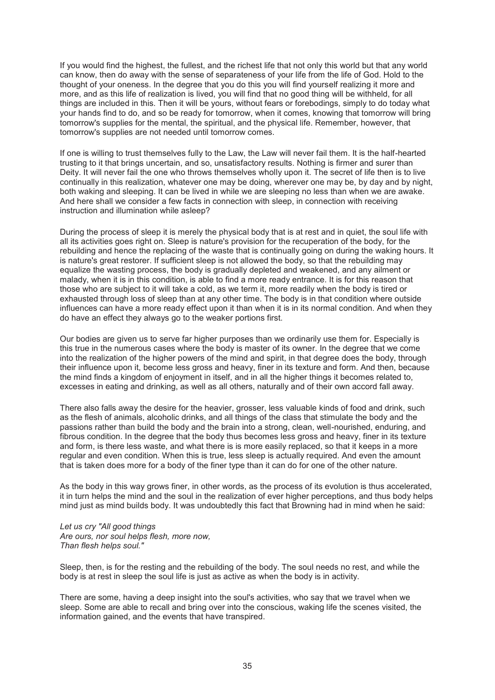If you would find the highest, the fullest, and the richest life that not only this world but that any world can know, then do away with the sense of separateness of your life from the life of God. Hold to the thought of your oneness. In the degree that you do this you will find yourself realizing it more and more, and as this life of realization is lived, you will find that no good thing will be withheld, for all things are included in this. Then it will be yours, without fears or forebodings, simply to do today what your hands find to do, and so be ready for tomorrow, when it comes, knowing that tomorrow will bring tomorrow's supplies for the mental, the spiritual, and the physical life. Remember, however, that tomorrow's supplies are not needed until tomorrow comes.

If one is willing to trust themselves fully to the Law, the Law will never fail them. It is the half-hearted trusting to it that brings uncertain, and so, unsatisfactory results. Nothing is firmer and surer than Deity. It will never fail the one who throws themselves wholly upon it. The secret of life then is to live continually in this realization, whatever one may be doing, wherever one may be, by day and by night, both waking and sleeping. It can be lived in while we are sleeping no less than when we are awake. And here shall we consider a few facts in connection with sleep, in connection with receiving instruction and illumination while asleep?

During the process of sleep it is merely the physical body that is at rest and in quiet, the soul life with all its activities goes right on. Sleep is nature's provision for the recuperation of the body, for the rebuilding and hence the replacing of the waste that is continually going on during the waking hours. It is nature's great restorer. If sufficient sleep is not allowed the body, so that the rebuilding may equalize the wasting process, the body is gradually depleted and weakened, and any ailment or malady, when it is in this condition, is able to find a more ready entrance. It is for this reason that those who are subject to it will take a cold, as we term it, more readily when the body is tired or exhausted through loss of sleep than at any other time. The body is in that condition where outside influences can have a more ready effect upon it than when it is in its normal condition. And when they do have an effect they always go to the weaker portions first.

Our bodies are given us to serve far higher purposes than we ordinarily use them for. Especially is this true in the numerous cases where the body is master of its owner. In the degree that we come into the realization of the higher powers of the mind and spirit, in that degree does the body, through their influence upon it, become less gross and heavy, finer in its texture and form. And then, because the mind finds a kingdom of enjoyment in itself, and in all the higher things it becomes related to, excesses in eating and drinking, as well as all others, naturally and of their own accord fall away.

There also falls away the desire for the heavier, grosser, less valuable kinds of food and drink, such as the flesh of animals, alcoholic drinks, and all things of the class that stimulate the body and the passions rather than build the body and the brain into a strong, clean, well-nourished, enduring, and fibrous condition. In the degree that the body thus becomes less gross and heavy, finer in its texture and form, is there less waste, and what there is is more easily replaced, so that it keeps in a more regular and even condition. When this is true, less sleep is actually required. And even the amount that is taken does more for a body of the finer type than it can do for one of the other nature.

As the body in this way grows finer, in other words, as the process of its evolution is thus accelerated, it in turn helps the mind and the soul in the realization of ever higher perceptions, and thus body helps mind just as mind builds body. It was undoubtedly this fact that Browning had in mind when he said:

*Let us cry "All good things Are ours, nor soul helps flesh, more now, Than flesh helps soul."*

Sleep, then, is for the resting and the rebuilding of the body. The soul needs no rest, and while the body is at rest in sleep the soul life is just as active as when the body is in activity.

There are some, having a deep insight into the soul's activities, who say that we travel when we sleep. Some are able to recall and bring over into the conscious, waking life the scenes visited, the information gained, and the events that have transpired.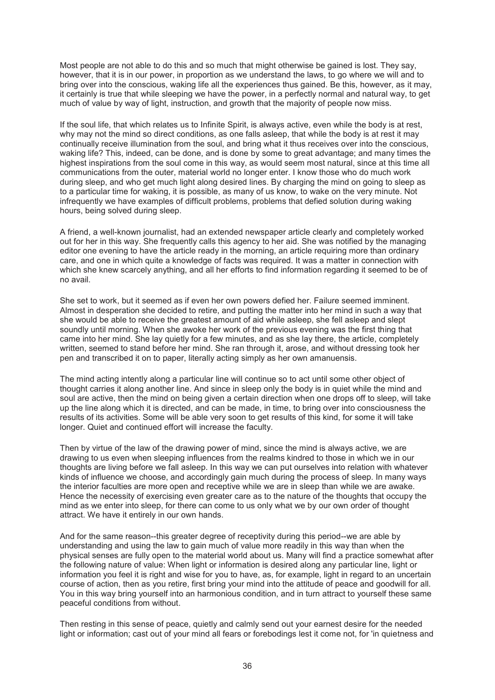Most people are not able to do this and so much that might otherwise be gained is lost. They say, however, that it is in our power, in proportion as we understand the laws, to go where we will and to bring over into the conscious, waking life all the experiences thus gained. Be this, however, as it may, it certainly is true that while sleeping we have the power, in a perfectly normal and natural way, to get much of value by way of light, instruction, and growth that the majority of people now miss.

If the soul life, that which relates us to Infinite Spirit, is always active, even while the body is at rest, why may not the mind so direct conditions, as one falls asleep, that while the body is at rest it may continually receive illumination from the soul, and bring what it thus receives over into the conscious, waking life? This, indeed, can be done, and is done by some to great advantage; and many times the highest inspirations from the soul come in this way, as would seem most natural, since at this time all communications from the outer, material world no longer enter. I know those who do much work during sleep, and who get much light along desired lines. By charging the mind on going to sleep as to a particular time for waking, it is possible, as many of us know, to wake on the very minute. Not infrequently we have examples of difficult problems, problems that defied solution during waking hours, being solved during sleep.

A friend, a well-known journalist, had an extended newspaper article clearly and completely worked out for her in this way. She frequently calls this agency to her aid. She was notified by the managing editor one evening to have the article ready in the morning, an article requiring more than ordinary care, and one in which quite a knowledge of facts was required. It was a matter in connection with which she knew scarcely anything, and all her efforts to find information regarding it seemed to be of no avail.

She set to work, but it seemed as if even her own powers defied her. Failure seemed imminent. Almost in desperation she decided to retire, and putting the matter into her mind in such a way that she would be able to receive the greatest amount of aid while asleep, she fell asleep and slept soundly until morning. When she awoke her work of the previous evening was the first thing that came into her mind. She lay quietly for a few minutes, and as she lay there, the article, completely written, seemed to stand before her mind. She ran through it, arose, and without dressing took her pen and transcribed it on to paper, literally acting simply as her own amanuensis.

The mind acting intently along a particular line will continue so to act until some other object of thought carries it along another line. And since in sleep only the body is in quiet while the mind and soul are active, then the mind on being given a certain direction when one drops off to sleep, will take up the line along which it is directed, and can be made, in time, to bring over into consciousness the results of its activities. Some will be able very soon to get results of this kind, for some it will take longer. Quiet and continued effort will increase the faculty.

Then by virtue of the law of the drawing power of mind, since the mind is always active, we are drawing to us even when sleeping influences from the realms kindred to those in which we in our thoughts are living before we fall asleep. In this way we can put ourselves into relation with whatever kinds of influence we choose, and accordingly gain much during the process of sleep. In many ways the interior faculties are more open and receptive while we are in sleep than while we are awake. Hence the necessity of exercising even greater care as to the nature of the thoughts that occupy the mind as we enter into sleep, for there can come to us only what we by our own order of thought attract. We have it entirely in our own hands.

And for the same reason--this greater degree of receptivity during this period--we are able by understanding and using the law to gain much of value more readily in this way than when the physical senses are fully open to the material world about us. Many will find a practice somewhat after the following nature of value: When light or information is desired along any particular line, light or information you feel it is right and wise for you to have, as, for example, light in regard to an uncertain course of action, then as you retire, first bring your mind into the attitude of peace and goodwill for all. You in this way bring yourself into an harmonious condition, and in turn attract to yourself these same peaceful conditions from without.

Then resting in this sense of peace, quietly and calmly send out your earnest desire for the needed light or information; cast out of your mind all fears or forebodings lest it come not, for 'in quietness and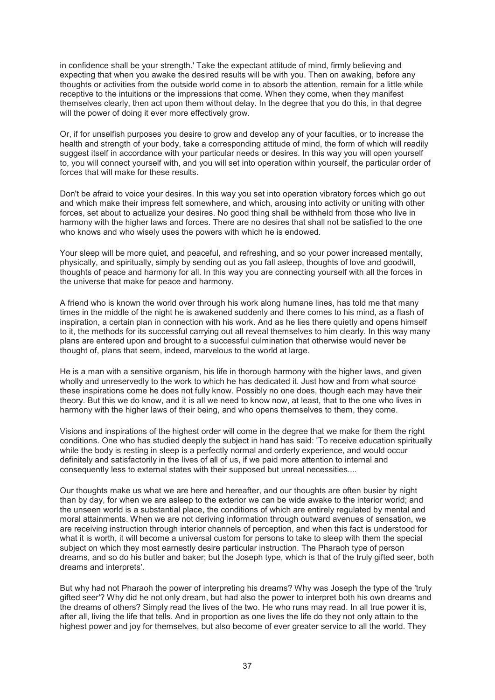in confidence shall be your strength.' Take the expectant attitude of mind, firmly believing and expecting that when you awake the desired results will be with you. Then on awaking, before any thoughts or activities from the outside world come in to absorb the attention, remain for a little while receptive to the intuitions or the impressions that come. When they come, when they manifest themselves clearly, then act upon them without delay. In the degree that you do this, in that degree will the power of doing it ever more effectively grow.

Or, if for unselfish purposes you desire to grow and develop any of your faculties, or to increase the health and strength of your body, take a corresponding attitude of mind, the form of which will readily suggest itself in accordance with your particular needs or desires. In this way you will open yourself to, you will connect yourself with, and you will set into operation within yourself, the particular order of forces that will make for these results.

Don't be afraid to voice your desires. In this way you set into operation vibratory forces which go out and which make their impress felt somewhere, and which, arousing into activity or uniting with other forces, set about to actualize your desires. No good thing shall be withheld from those who live in harmony with the higher laws and forces. There are no desires that shall not be satisfied to the one who knows and who wisely uses the powers with which he is endowed.

Your sleep will be more quiet, and peaceful, and refreshing, and so your power increased mentally, physically, and spiritually, simply by sending out as you fall asleep, thoughts of love and goodwill, thoughts of peace and harmony for all. In this way you are connecting yourself with all the forces in the universe that make for peace and harmony.

A friend who is known the world over through his work along humane lines, has told me that many times in the middle of the night he is awakened suddenly and there comes to his mind, as a flash of inspiration, a certain plan in connection with his work. And as he lies there quietly and opens himself to it, the methods for its successful carrying out all reveal themselves to him clearly. In this way many plans are entered upon and brought to a successful culmination that otherwise would never be thought of, plans that seem, indeed, marvelous to the world at large.

He is a man with a sensitive organism, his life in thorough harmony with the higher laws, and given wholly and unreservedly to the work to which he has dedicated it. Just how and from what source these inspirations come he does not fully know. Possibly no one does, though each may have their theory. But this we do know, and it is all we need to know now, at least, that to the one who lives in harmony with the higher laws of their being, and who opens themselves to them, they come.

Visions and inspirations of the highest order will come in the degree that we make for them the right conditions. One who has studied deeply the subject in hand has said: 'To receive education spiritually while the body is resting in sleep is a perfectly normal and orderly experience, and would occur definitely and satisfactorily in the lives of all of us, if we paid more attention to internal and consequently less to external states with their supposed but unreal necessities....

Our thoughts make us what we are here and hereafter, and our thoughts are often busier by night than by day, for when we are asleep to the exterior we can be wide awake to the interior world; and the unseen world is a substantial place, the conditions of which are entirely regulated by mental and moral attainments. When we are not deriving information through outward avenues of sensation, we are receiving instruction through interior channels of perception, and when this fact is understood for what it is worth, it will become a universal custom for persons to take to sleep with them the special subject on which they most earnestly desire particular instruction. The Pharaoh type of person dreams, and so do his butler and baker; but the Joseph type, which is that of the truly gifted seer, both dreams and interprets'.

But why had not Pharaoh the power of interpreting his dreams? Why was Joseph the type of the 'truly gifted seer'? Why did he not only dream, but had also the power to interpret both his own dreams and the dreams of others? Simply read the lives of the two. He who runs may read. In all true power it is, after all, living the life that tells. And in proportion as one lives the life do they not only attain to the highest power and joy for themselves, but also become of ever greater service to all the world. They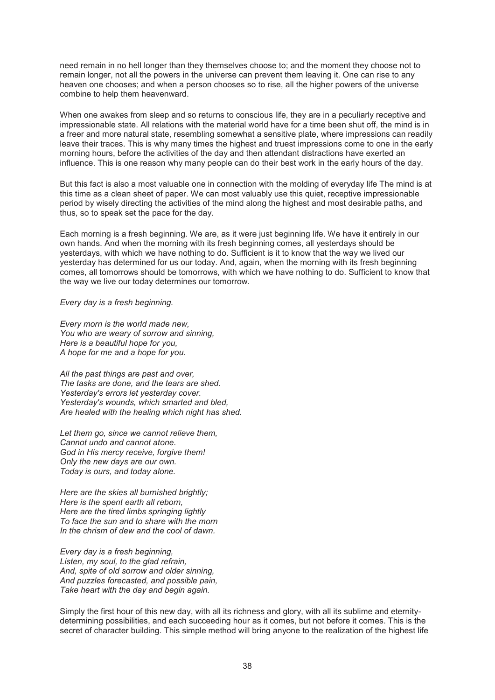need remain in no hell longer than they themselves choose to; and the moment they choose not to remain longer, not all the powers in the universe can prevent them leaving it. One can rise to any heaven one chooses; and when a person chooses so to rise, all the higher powers of the universe combine to help them heavenward.

When one awakes from sleep and so returns to conscious life, they are in a peculiarly receptive and impressionable state. All relations with the material world have for a time been shut off, the mind is in a freer and more natural state, resembling somewhat a sensitive plate, where impressions can readily leave their traces. This is why many times the highest and truest impressions come to one in the early morning hours, before the activities of the day and then attendant distractions have exerted an influence. This is one reason why many people can do their best work in the early hours of the day.

But this fact is also a most valuable one in connection with the molding of everyday life The mind is at this time as a clean sheet of paper. We can most valuably use this quiet, receptive impressionable period by wisely directing the activities of the mind along the highest and most desirable paths, and thus, so to speak set the pace for the day.

Each morning is a fresh beginning. We are, as it were just beginning life. We have it entirely in our own hands. And when the morning with its fresh beginning comes, all yesterdays should be yesterdays, with which we have nothing to do. Sufficient is it to know that the way we lived our yesterday has determined for us our today. And, again, when the morning with its fresh beginning comes, all tomorrows should be tomorrows, with which we have nothing to do. Sufficient to know that the way we live our today determines our tomorrow.

#### *Every day is a fresh beginning.*

*Every morn is the world made new, You who are weary of sorrow and sinning, Here is a beautiful hope for you, A hope for me and a hope for you.*

*All the past things are past and over, The tasks are done, and the tears are shed. Yesterday's errors let yesterday cover. Yesterday's wounds, which smarted and bled, Are healed with the healing which night has shed.*

*Let them go, since we cannot relieve them, Cannot undo and cannot atone. God in His mercy receive, forgive them! Only the new days are our own. Today is ours, and today alone.*

*Here are the skies all burnished brightly; Here is the spent earth all reborn, Here are the tired limbs springing lightly To face the sun and to share with the morn In the chrism of dew and the cool of dawn.*

*Every day is a fresh beginning, Listen, my soul, to the glad refrain, And, spite of old sorrow and older sinning, And puzzles forecasted, and possible pain, Take heart with the day and begin again.*

Simply the first hour of this new day, with all its richness and glory, with all its sublime and eternitydetermining possibilities, and each succeeding hour as it comes, but not before it comes. This is the secret of character building. This simple method will bring anyone to the realization of the highest life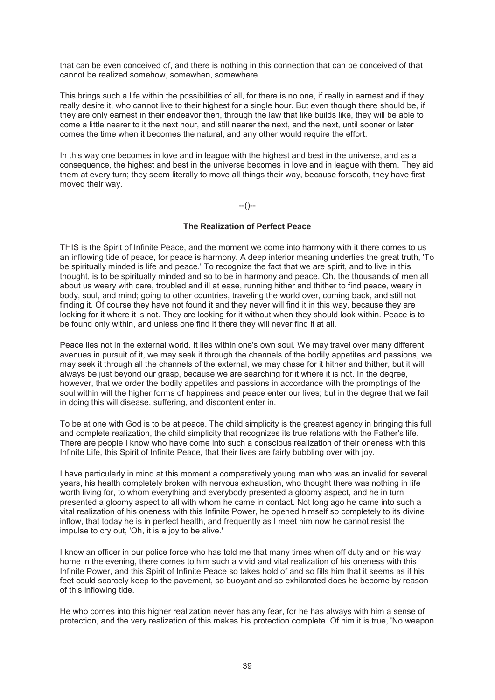that can be even conceived of, and there is nothing in this connection that can be conceived of that cannot be realized somehow, somewhen, somewhere.

This brings such a life within the possibilities of all, for there is no one, if really in earnest and if they really desire it, who cannot live to their highest for a single hour. But even though there should be, if they are only earnest in their endeavor then, through the law that like builds like, they will be able to come a little nearer to it the next hour, and still nearer the next, and the next, until sooner or later comes the time when it becomes the natural, and any other would require the effort.

In this way one becomes in love and in league with the highest and best in the universe, and as a consequence, the highest and best in the universe becomes in love and in league with them. They aid them at every turn; they seem literally to move all things their way, because forsooth, they have first moved their way.

--()--

#### **The Realization of Perfect Peace**

THIS is the Spirit of Infinite Peace, and the moment we come into harmony with it there comes to us an inflowing tide of peace, for peace is harmony. A deep interior meaning underlies the great truth, 'To be spiritually minded is life and peace.' To recognize the fact that we are spirit, and to live in this thought, is to be spiritually minded and so to be in harmony and peace. Oh, the thousands of men all about us weary with care, troubled and ill at ease, running hither and thither to find peace, weary in body, soul, and mind; going to other countries, traveling the world over, coming back, and still not finding it. Of course they have not found it and they never will find it in this way, because they are looking for it where it is not. They are looking for it without when they should look within. Peace is to be found only within, and unless one find it there they will never find it at all.

Peace lies not in the external world. It lies within one's own soul. We may travel over many different avenues in pursuit of it, we may seek it through the channels of the bodily appetites and passions, we may seek it through all the channels of the external, we may chase for it hither and thither, but it will always be just beyond our grasp, because we are searching for it where it is not. In the degree, however, that we order the bodily appetites and passions in accordance with the promptings of the soul within will the higher forms of happiness and peace enter our lives; but in the degree that we fail in doing this will disease, suffering, and discontent enter in.

To be at one with God is to be at peace. The child simplicity is the greatest agency in bringing this full and complete realization, the child simplicity that recognizes its true relations with the Father's life. There are people I know who have come into such a conscious realization of their oneness with this Infinite Life, this Spirit of Infinite Peace, that their lives are fairly bubbling over with joy.

I have particularly in mind at this moment a comparatively young man who was an invalid for several years, his health completely broken with nervous exhaustion, who thought there was nothing in life worth living for, to whom everything and everybody presented a gloomy aspect, and he in turn presented a gloomy aspect to all with whom he came in contact. Not long ago he came into such a vital realization of his oneness with this Infinite Power, he opened himself so completely to its divine inflow, that today he is in perfect health, and frequently as I meet him now he cannot resist the impulse to cry out, 'Oh, it is a joy to be alive.'

I know an officer in our police force who has told me that many times when off duty and on his way home in the evening, there comes to him such a vivid and vital realization of his oneness with this Infinite Power, and this Spirit of Infinite Peace so takes hold of and so fills him that it seems as if his feet could scarcely keep to the pavement, so buoyant and so exhilarated does he become by reason of this inflowing tide.

He who comes into this higher realization never has any fear, for he has always with him a sense of protection, and the very realization of this makes his protection complete. Of him it is true, 'No weapon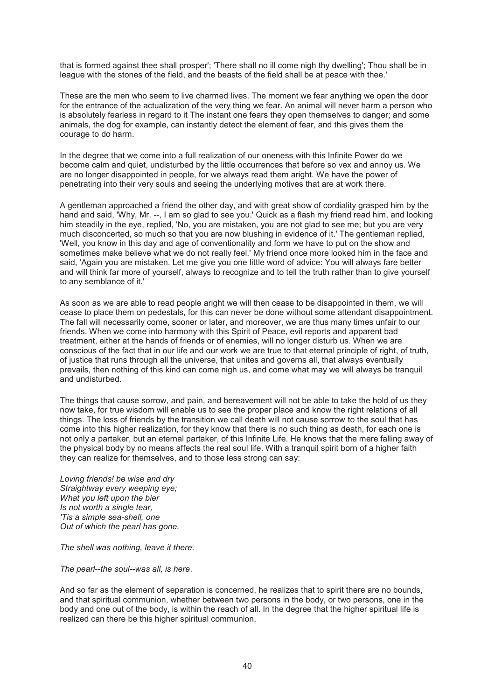that is formed against thee shall prosper'; 'There shall no ill come nigh thy dwelling'; Thou shall be in league with the stones of the field, and the beasts of the field shall be at peace with thee.'

These are the men who seem to live charmed lives. The moment we fear anything we open the door for the entrance of the actualization of the very thing we fear. An animal will never harm a person who is absolutely fearless in regard to it The instant one fears they open themselves to danger; and some animals, the dog for example, can instantly detect the element of fear, and this gives them the courage to do harm.

In the degree that we come into a full realization of our oneness with this Infinite Power do we become calm and quiet, undisturbed by the little occurrences that before so vex and annoy us. We are no longer disappointed in people, for we always read them aright. We have the power of penetrating into their very souls and seeing the underlying motives that are at work there.

A gentleman approached a friend the other day, and with great show of cordiality grasped him by the hand and said, 'Why, Mr. --, I am so glad to see you.' Quick as a flash my friend read him, and looking him steadily in the eye, replied, 'No, you are mistaken, you are not glad to see me; but you are very much disconcerted, so much so that you are now blushing in evidence of it.' The gentleman replied, 'Well, you know in this day and age of conventionality and form we have to put on the show and sometimes make believe what we do not really feel.' My friend once more looked him in the face and said, 'Again you are mistaken. Let me give you one little word of advice: You will always fare better and will think far more of yourself, always to recognize and to tell the truth rather than to give yourself to any semblance of it.'

As soon as we are able to read people aright we will then cease to be disappointed in them, we will cease to place them on pedestals, for this can never be done without some attendant disappointment. The fall will necessarily come, sooner or later, and moreover, we are thus many times unfair to our friends. When we come into harmony with this Spirit of Peace, evil reports and apparent bad treatment, either at the hands of friends or of enemies, will no longer disturb us. When we are conscious of the fact that in our life and our work we are true to that eternal principle of right, of truth, of justice that runs through all the universe, that unites and governs all, that always eventually prevails, then nothing of this kind can come nigh us, and come what may we will always be tranquil and undisturbed.

The things that cause sorrow, and pain, and bereavement will not be able to take the hold of us they now take, for true wisdom will enable us to see the proper place and know the right relations of all things. The loss of friends by the transition we call death will not cause sorrow to the soul that has come into this higher realization, for they know that there is no such thing as death, for each one is not only a partaker, but an eternal partaker, of this Infinite Life. He knows that the mere falling away of the physical body by no means affects the real soul life. With a tranquil spirit born of a higher faith they can realize for themselves, and to those less strong can say:

*Loving friends! be wise and dry Straightway every weeping eye; What you left upon the bier Is not worth a single tear, 'Tis a simple sea-shell, one Out of which the pearl has gone.*

*The shell was nothing, leave it there.*

*The pearl--the soul--was all, is here*.

And so far as the element of separation is concerned, he realizes that to spirit there are no bounds, and that spiritual communion, whether between two persons in the body, or two persons, one in the body and one out of the body, is within the reach of all. In the degree that the higher spiritual life is realized can there be this higher spiritual communion.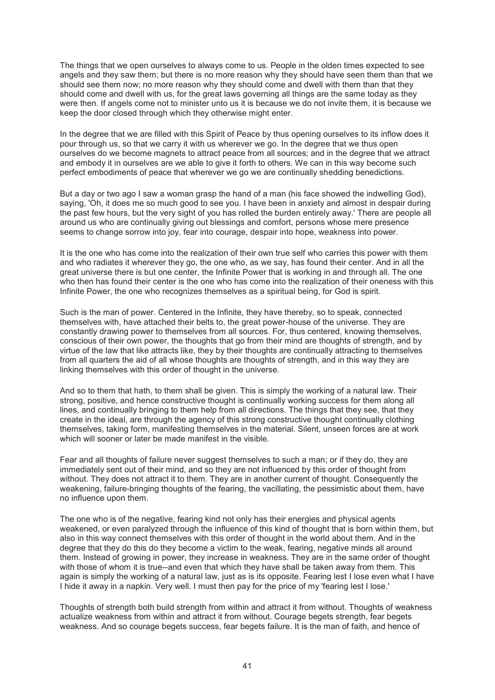The things that we open ourselves to always come to us. People in the olden times expected to see angels and they saw them; but there is no more reason why they should have seen them than that we should see them now; no more reason why they should come and dwell with them than that they should come and dwell with us, for the great laws governing all things are the same today as they were then. If angels come not to minister unto us it is because we do not invite them, it is because we keep the door closed through which they otherwise might enter.

In the degree that we are filled with this Spirit of Peace by thus opening ourselves to its inflow does it pour through us, so that we carry it with us wherever we go. In the degree that we thus open ourselves do we become magnets to attract peace from all sources; and in the degree that we attract and embody it in ourselves are we able to give it forth to others. We can in this way become such perfect embodiments of peace that wherever we go we are continually shedding benedictions.

But a day or two ago I saw a woman grasp the hand of a man (his face showed the indwelling God), saying, 'Oh, it does me so much good to see you. I have been in anxiety and almost in despair during the past few hours, but the very sight of you has rolled the burden entirely away.' There are people all around us who are continually giving out blessings and comfort, persons whose mere presence seems to change sorrow into joy, fear into courage, despair into hope, weakness into power.

It is the one who has come into the realization of their own true self who carries this power with them and who radiates it wherever they go, the one who, as we say, has found their center. And in all the great universe there is but one center, the Infinite Power that is working in and through all. The one who then has found their center is the one who has come into the realization of their oneness with this Infinite Power, the one who recognizes themselves as a spiritual being, for God is spirit.

Such is the man of power. Centered in the Infinite, they have thereby, so to speak, connected themselves with, have attached their belts to, the great power-house of the universe. They are constantly drawing power to themselves from all sources. For, thus centered, knowing themselves, conscious of their own power, the thoughts that go from their mind are thoughts of strength, and by virtue of the law that like attracts like, they by their thoughts are continually attracting to themselves from all quarters the aid of all whose thoughts are thoughts of strength, and in this way they are linking themselves with this order of thought in the universe.

And so to them that hath, to them shall be given. This is simply the working of a natural law. Their strong, positive, and hence constructive thought is continually working success for them along all lines, and continually bringing to them help from all directions. The things that they see, that they create in the ideal, are through the agency of this strong constructive thought continually clothing themselves, taking form, manifesting themselves in the material. Silent, unseen forces are at work which will sooner or later be made manifest in the visible.

Fear and all thoughts of failure never suggest themselves to such a man; or if they do, they are immediately sent out of their mind, and so they are not influenced by this order of thought from without. They does not attract it to them. They are in another current of thought. Consequently the weakening, failure-bringing thoughts of the fearing, the vacillating, the pessimistic about them, have no influence upon them.

The one who is of the negative, fearing kind not only has their energies and physical agents weakened, or even paralyzed through the influence of this kind of thought that is born within them, but also in this way connect themselves with this order of thought in the world about them. And in the degree that they do this do they become a victim to the weak, fearing, negative minds all around them. Instead of growing in power, they increase in weakness. They are in the same order of thought with those of whom it is true--and even that which they have shall be taken away from them. This again is simply the working of a natural law, just as is its opposite. Fearing lest I lose even what I have I hide it away in a napkin. Very well. I must then pay for the price of my 'fearing lest I lose.'

Thoughts of strength both build strength from within and attract it from without. Thoughts of weakness actualize weakness from within and attract it from without. Courage begets strength, fear begets weakness. And so courage begets success, fear begets failure. It is the man of faith, and hence of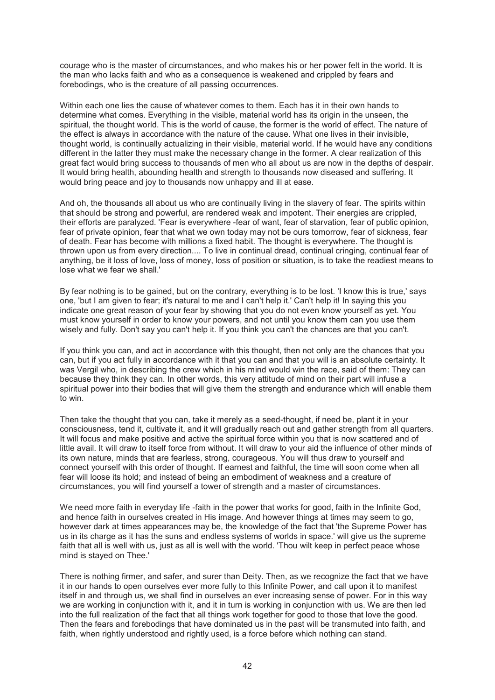courage who is the master of circumstances, and who makes his or her power felt in the world. It is the man who lacks faith and who as a consequence is weakened and crippled by fears and forebodings, who is the creature of all passing occurrences.

Within each one lies the cause of whatever comes to them. Each has it in their own hands to determine what comes. Everything in the visible, material world has its origin in the unseen, the spiritual, the thought world. This is the world of cause, the former is the world of effect. The nature of the effect is always in accordance with the nature of the cause. What one lives in their invisible, thought world, is continually actualizing in their visible, material world. If he would have any conditions different in the latter they must make the necessary change in the former. A clear realization of this great fact would bring success to thousands of men who all about us are now in the depths of despair. It would bring health, abounding health and strength to thousands now diseased and suffering. It would bring peace and joy to thousands now unhappy and ill at ease.

And oh, the thousands all about us who are continually living in the slavery of fear. The spirits within that should be strong and powerful, are rendered weak and impotent. Their energies are crippled, their efforts are paralyzed. 'Fear is everywhere -fear of want, fear of starvation, fear of public opinion, fear of private opinion, fear that what we own today may not be ours tomorrow, fear of sickness, fear of death. Fear has become with millions a fixed habit. The thought is everywhere. The thought is thrown upon us from every direction.... To live in continual dread, continual cringing, continual fear of anything, be it loss of love, loss of money, loss of position or situation, is to take the readiest means to lose what we fear we shall.'

By fear nothing is to be gained, but on the contrary, everything is to be lost. 'I know this is true,' says one, 'but I am given to fear; it's natural to me and I can't help it.' Can't help it! In saying this you indicate one great reason of your fear by showing that you do not even know yourself as yet. You must know yourself in order to know your powers, and not until you know them can you use them wisely and fully. Don't say you can't help it. If you think you can't the chances are that you can't.

If you think you can, and act in accordance with this thought, then not only are the chances that you can, but if you act fully in accordance with it that you can and that you will is an absolute certainty. It was Vergil who, in describing the crew which in his mind would win the race, said of them: They can because they think they can. In other words, this very attitude of mind on their part will infuse a spiritual power into their bodies that will give them the strength and endurance which will enable them to win.

Then take the thought that you can, take it merely as a seed-thought, if need be, plant it in your consciousness, tend it, cultivate it, and it will gradually reach out and gather strength from all quarters. It will focus and make positive and active the spiritual force within you that is now scattered and of little avail. It will draw to itself force from without. It will draw to your aid the influence of other minds of its own nature, minds that are fearless, strong, courageous. You will thus draw to yourself and connect yourself with this order of thought. If earnest and faithful, the time will soon come when all fear will loose its hold; and instead of being an embodiment of weakness and a creature of circumstances, you will find yourself a tower of strength and a master of circumstances.

We need more faith in everyday life -faith in the power that works for good, faith in the Infinite God, and hence faith in ourselves created in His image. And however things at times may seem to go, however dark at times appearances may be, the knowledge of the fact that 'the Supreme Power has us in its charge as it has the suns and endless systems of worlds in space.' will give us the supreme faith that all is well with us, just as all is well with the world. 'Thou wilt keep in perfect peace whose mind is stayed on Thee.'

There is nothing firmer, and safer, and surer than Deity. Then, as we recognize the fact that we have it in our hands to open ourselves ever more fully to this Infinite Power, and call upon it to manifest itself in and through us, we shall find in ourselves an ever increasing sense of power. For in this way we are working in conjunction with it, and it in turn is working in conjunction with us. We are then led into the full realization of the fact that all things work together for good to those that love the good. Then the fears and forebodings that have dominated us in the past will be transmuted into faith, and faith, when rightly understood and rightly used, is a force before which nothing can stand.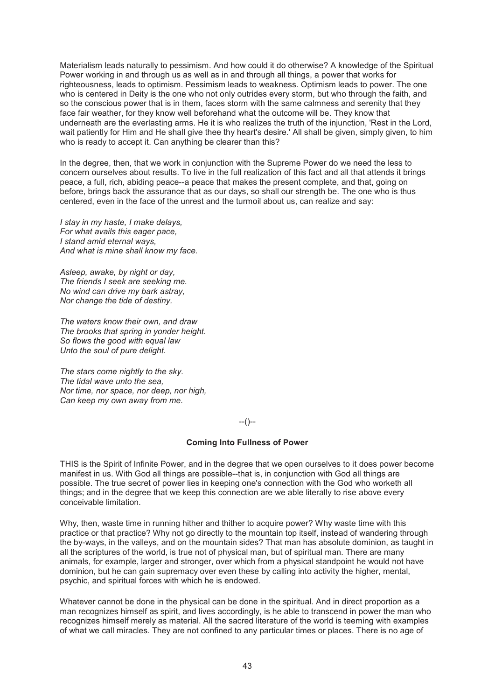Materialism leads naturally to pessimism. And how could it do otherwise? A knowledge of the Spiritual Power working in and through us as well as in and through all things, a power that works for righteousness, leads to optimism. Pessimism leads to weakness. Optimism leads to power. The one who is centered in Deity is the one who not only outrides every storm, but who through the faith, and so the conscious power that is in them, faces storm with the same calmness and serenity that they face fair weather, for they know well beforehand what the outcome will be. They know that underneath are the everlasting arms. He it is who realizes the truth of the injunction, 'Rest in the Lord, wait patiently for Him and He shall give thee thy heart's desire.' All shall be given, simply given, to him who is ready to accept it. Can anything be clearer than this?

In the degree, then, that we work in conjunction with the Supreme Power do we need the less to concern ourselves about results. To live in the full realization of this fact and all that attends it brings peace, a full, rich, abiding peace--a peace that makes the present complete, and that, going on before, brings back the assurance that as our days, so shall our strength be. The one who is thus centered, even in the face of the unrest and the turmoil about us, can realize and say:

*I stay in my haste, I make delays, For what avails this eager pace, I stand amid eternal ways, And what is mine shall know my face.*

*Asleep, awake, by night or day, The friends I seek are seeking me. No wind can drive my bark astray, Nor change the tide of destiny.*

*The waters know their own, and draw The brooks that spring in yonder height. So flows the good with equal law Unto the soul of pure delight.*

*The stars come nightly to the sky. The tidal wave unto the sea, Nor time, nor space, nor deep, nor high, Can keep my own away from me.*

 $-(-)$ 

#### **Coming Into Fullness of Power**

THIS is the Spirit of Infinite Power, and in the degree that we open ourselves to it does power become manifest in us. With God all things are possible--that is, in conjunction with God all things are possible. The true secret of power lies in keeping one's connection with the God who worketh all things; and in the degree that we keep this connection are we able literally to rise above every conceivable limitation.

Why, then, waste time in running hither and thither to acquire power? Why waste time with this practice or that practice? Why not go directly to the mountain top itself, instead of wandering through the by-ways, in the valleys, and on the mountain sides? That man has absolute dominion, as taught in all the scriptures of the world, is true not of physical man, but of spiritual man. There are many animals, for example, larger and stronger, over which from a physical standpoint he would not have dominion, but he can gain supremacy over even these by calling into activity the higher, mental, psychic, and spiritual forces with which he is endowed.

Whatever cannot be done in the physical can be done in the spiritual. And in direct proportion as a man recognizes himself as spirit, and lives accordingly, is he able to transcend in power the man who recognizes himself merely as material. All the sacred literature of the world is teeming with examples of what we call miracles. They are not confined to any particular times or places. There is no age of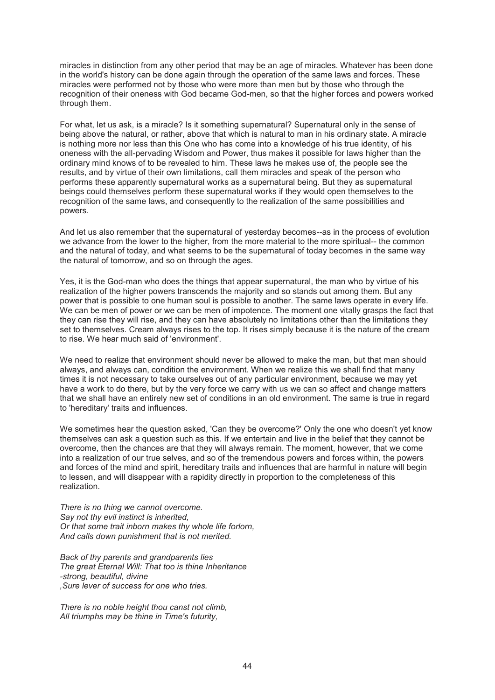miracles in distinction from any other period that may be an age of miracles. Whatever has been done in the world's history can be done again through the operation of the same laws and forces. These miracles were performed not by those who were more than men but by those who through the recognition of their oneness with God became God-men, so that the higher forces and powers worked through them.

For what, let us ask, is a miracle? Is it something supernatural? Supernatural only in the sense of being above the natural, or rather, above that which is natural to man in his ordinary state. A miracle is nothing more nor less than this One who has come into a knowledge of his true identity, of his oneness with the all-pervading Wisdom and Power, thus makes it possible for laws higher than the ordinary mind knows of to be revealed to him. These laws he makes use of, the people see the results, and by virtue of their own limitations, call them miracles and speak of the person who performs these apparently supernatural works as a supernatural being. But they as supernatural beings could themselves perform these supernatural works if they would open themselves to the recognition of the same laws, and consequently to the realization of the same possibilities and powers.

And let us also remember that the supernatural of yesterday becomes--as in the process of evolution we advance from the lower to the higher, from the more material to the more spiritual-- the common and the natural of today, and what seems to be the supernatural of today becomes in the same way the natural of tomorrow, and so on through the ages.

Yes, it is the God-man who does the things that appear supernatural, the man who by virtue of his realization of the higher powers transcends the majority and so stands out among them. But any power that is possible to one human soul is possible to another. The same laws operate in every life. We can be men of power or we can be men of impotence. The moment one vitally grasps the fact that they can rise they will rise, and they can have absolutely no limitations other than the limitations they set to themselves. Cream always rises to the top. It rises simply because it is the nature of the cream to rise. We hear much said of 'environment'.

We need to realize that environment should never be allowed to make the man, but that man should always, and always can, condition the environment. When we realize this we shall find that many times it is not necessary to take ourselves out of any particular environment, because we may yet have a work to do there, but by the very force we carry with us we can so affect and change matters that we shall have an entirely new set of conditions in an old environment. The same is true in regard to 'hereditary' traits and influences.

We sometimes hear the question asked, 'Can they be overcome?' Only the one who doesn't yet know themselves can ask a question such as this. If we entertain and live in the belief that they cannot be overcome, then the chances are that they will always remain. The moment, however, that we come into a realization of our true selves, and so of the tremendous powers and forces within, the powers and forces of the mind and spirit, hereditary traits and influences that are harmful in nature will begin to lessen, and will disappear with a rapidity directly in proportion to the completeness of this realization.

*There is no thing we cannot overcome. Say not thy evil instinct is inherited, Or that some trait inborn makes thy whole life forlorn, And calls down punishment that is not merited.*

*Back of thy parents and grandparents lies The great Eternal Will: That too is thine Inheritance -strong, beautiful, divine ,Sure lever of success for one who tries.*

*There is no noble height thou canst not climb, All triumphs may be thine in Time's futurity,*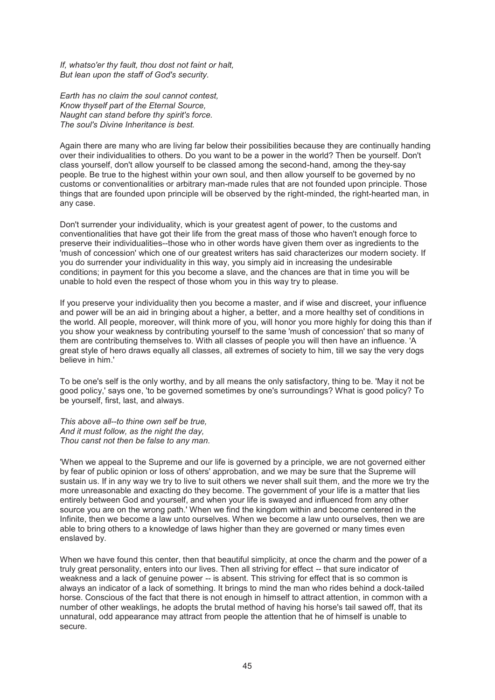*If, whatso'er thy fault, thou dost not faint or halt, But lean upon the staff of God's security.*

*Earth has no claim the soul cannot contest, Know thyself part of the Eternal Source, Naught can stand before thy spirit's force. The soul's Divine Inheritance is best.*

Again there are many who are living far below their possibilities because they are continually handing over their individualities to others. Do you want to be a power in the world? Then be yourself. Don't class yourself, don't allow yourself to be classed among the second-hand, among the they-say people. Be true to the highest within your own soul, and then allow yourself to be governed by no customs or conventionalities or arbitrary man-made rules that are not founded upon principle. Those things that are founded upon principle will be observed by the right-minded, the right-hearted man, in any case.

Don't surrender your individuality, which is your greatest agent of power, to the customs and conventionalities that have got their life from the great mass of those who haven't enough force to preserve their individualities--those who in other words have given them over as ingredients to the 'mush of concession' which one of our greatest writers has said characterizes our modern society. If you do surrender your individuality in this way, you simply aid in increasing the undesirable conditions; in payment for this you become a slave, and the chances are that in time you will be unable to hold even the respect of those whom you in this way try to please.

If you preserve your individuality then you become a master, and if wise and discreet, your influence and power will be an aid in bringing about a higher, a better, and a more healthy set of conditions in the world. All people, moreover, will think more of you, will honor you more highly for doing this than if you show your weakness by contributing yourself to the same 'mush of concession' that so many of them are contributing themselves to. With all classes of people you will then have an influence. 'A great style of hero draws equally all classes, all extremes of society to him, till we say the very dogs believe in him.'

To be one's self is the only worthy, and by all means the only satisfactory, thing to be. 'May it not be good policy,' says one, 'to be governed sometimes by one's surroundings? What is good policy? To be yourself, first, last, and always.

*This above all--to thine own self be true, And it must follow, as the night the day, Thou canst not then be false to any man.* 

'When we appeal to the Supreme and our life is governed by a principle, we are not governed either by fear of public opinion or loss of others' approbation, and we may be sure that the Supreme will sustain us. If in any way we try to live to suit others we never shall suit them, and the more we try the more unreasonable and exacting do they become. The government of your life is a matter that lies entirely between God and yourself, and when your life is swayed and influenced from any other source you are on the wrong path.' When we find the kingdom within and become centered in the Infinite, then we become a law unto ourselves. When we become a law unto ourselves, then we are able to bring others to a knowledge of laws higher than they are governed or many times even enslaved by.

When we have found this center, then that beautiful simplicity, at once the charm and the power of a truly great personality, enters into our lives. Then all striving for effect *--* that sure indicator of weakness and a lack of genuine power *--* is absent. This striving for effect that is so common is always an indicator of a lack of something. It brings to mind the man who rides behind a dock-tailed horse. Conscious of the fact that there is not enough in himself to attract attention, in common with a number of other weaklings, he adopts the brutal method of having his horse's tail sawed off, that its unnatural, odd appearance may attract from people the attention that he of himself is unable to secure.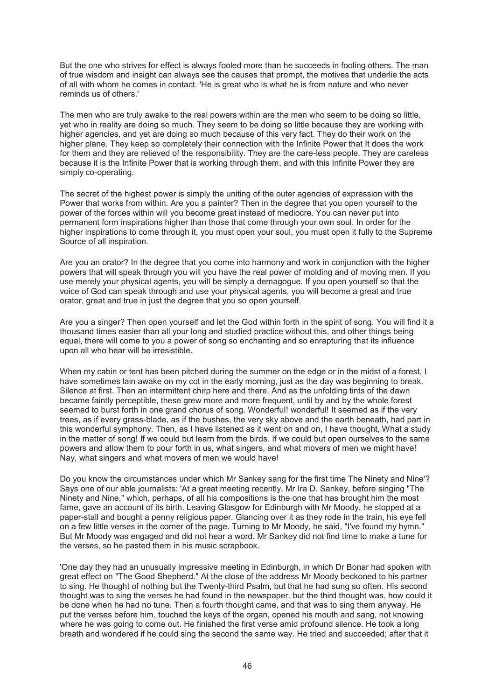But the one who strives for effect is always fooled more than he succeeds in fooling others. The man of true wisdom and insight can always see the causes that prompt, the motives that underlie the acts of all with whom he comes in contact. 'He is great who is what he is from nature and who never reminds us of others.'

The men who are truly awake to the real powers within are the men who seem to be doing so little, yet who in reality are doing so much. They seem to be doing so little because they are working with higher agencies, and yet are doing so much because of this very fact. They do their work on the higher plane. They keep so completely their connection with the Infinite Power that It does the work for them and they are relieved of the responsibility. They are the care-less people. They are careless because it is the Infinite Power that is working through them, and with this Infinite Power they are simply co-operating.

The secret of the highest power is simply the uniting of the outer agencies of expression with the Power that works from within. Are you a painter? Then in the degree that you open yourself to the power of the forces within will you become great instead of mediocre. You can never put into permanent form inspirations higher than those that come through your own soul. In order for the higher inspirations to come through it, you must open your soul, you must open it fully to the Supreme Source of all inspiration.

Are you an orator? In the degree that you come into harmony and work in conjunction with the higher powers that will speak through you will you have the real power of molding and of moving men. If you use merely your physical agents, you will be simply a demagogue. If you open yourself so that the voice of God can speak through and use your physical agents, you will become a great and true orator, great and true in just the degree that you so open yourself.

Are you a singer? Then open yourself and let the God within forth in the spirit of song. You will find it a thousand times easier than all your long and studied practice without this, and other things being equal, there will come to you a power of song so enchanting and so enrapturing that its influence upon all who hear will be irresistible.

When my cabin or tent has been pitched during the summer on the edge or in the midst of a forest, I have sometimes lain awake on my cot in the early morning, just as the day was beginning to break. Silence at first. Then an intermittent chirp here and there. And as the unfolding tints of the dawn became faintly perceptible, these grew more and more frequent, until by and by the whole forest seemed to burst forth in one grand chorus of song. Wonderful! wonderful! It seemed as if the very trees, as if every grass-blade, as if the bushes, the very sky above and the earth beneath, had part in this wonderful symphony. Then, as I have listened as it went on and on, I have thought, What a study in the matter of song! If we could but learn from the birds. If we could but open ourselves to the same powers and allow them to pour forth in us, what singers, and what movers of men we might have! Nay, what singers and what movers of men we would have!

Do you know the circumstances under which Mr Sankey sang for the first time The Ninety and Nine'? Says one of our able journalists: 'At a great meeting recently, Mr Ira D. Sankey, before singing "The Ninety and Nine," which, perhaps, of all his compositions is the one that has brought him the most fame, gave an account of its birth. Leaving Glasgow for Edinburgh with Mr Moody, he stopped at a paper-stall and bought a penny religious paper. Glancing over it as they rode in the train, his eye fell on a few little verses in the corner of the page. Turning to Mr Moody, he said, "I've found my hymn." But Mr Moody was engaged and did not hear a word. Mr Sankey did not find time to make a tune for the verses, so he pasted them in his music scrapbook.

'One day they had an unusually impressive meeting in Edinburgh, in which Dr Bonar had spoken with great effect on "The Good Shepherd." At the close of the address Mr Moody beckoned to his partner to sing. He thought of nothing but the Twenty-third Psalm, but that he had sung so often. His second thought was to sing the verses he had found in the newspaper, but the third thought was, how could it be done when he had no tune. Then a fourth thought came, and that was to sing them anyway. He put the verses before him, touched the keys of the organ, opened his mouth and sang, not knowing where he was going to come out. He finished the first verse amid profound silence. He took a long breath and wondered if he could sing the second the same way. He tried and succeeded; after that it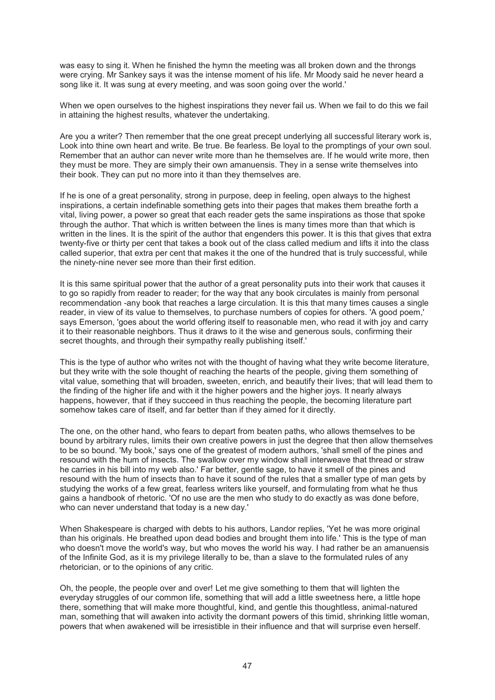was easy to sing it. When he finished the hymn the meeting was all broken down and the throngs were crying. Mr Sankey says it was the intense moment of his life. Mr Moody said he never heard a song like it. It was sung at every meeting, and was soon going over the world.'

When we open ourselves to the highest inspirations they never fail us. When we fail to do this we fail in attaining the highest results, whatever the undertaking.

Are you a writer? Then remember that the one great precept underlying all successful literary work is, Look into thine own heart and write. Be true. Be fearless. Be loyal to the promptings of your own soul. Remember that an author can never write more than he themselves are. If he would write more, then they must be more. They are simply their own amanuensis. They in a sense write themselves into their book. They can put no more into it than they themselves are.

If he is one of a great personality, strong in purpose, deep in feeling, open always to the highest inspirations, a certain indefinable something gets into their pages that makes them breathe forth a vital, living power, a power so great that each reader gets the same inspirations as those that spoke through the author. That which is written between the lines is many times more than that which is written in the lines. It is the spirit of the author that engenders this power. It is this that gives that extra twenty-five or thirty per cent that takes a book out of the class called medium and lifts it into the class called superior, that extra per cent that makes it the one of the hundred that is truly successful, while the ninety-nine never see more than their first edition.

It is this same spiritual power that the author of a great personality puts into their work that causes it to go so rapidly from reader to reader; for the way that any book circulates is mainly from personal recommendation -any book that reaches a large circulation. It is this that many times causes a single reader, in view of its value to themselves, to purchase numbers of copies for others. 'A good poem,' says Emerson, 'goes about the world offering itself to reasonable men, who read it with joy and carry it to their reasonable neighbors. Thus it draws to it the wise and generous souls, confirming their secret thoughts, and through their sympathy really publishing itself.'

This is the type of author who writes not with the thought of having what they write become literature, but they write with the sole thought of reaching the hearts of the people, giving them something of vital value, something that will broaden, sweeten, enrich, and beautify their lives; that will lead them to the finding of the higher life and with it the higher powers and the higher joys. It nearly always happens, however, that if they succeed in thus reaching the people, the becoming literature part somehow takes care of itself, and far better than if they aimed for it directly.

The one, on the other hand, who fears to depart from beaten paths, who allows themselves to be bound by arbitrary rules, limits their own creative powers in just the degree that then allow themselves to be so bound. 'My book,' says one of the greatest of modern authors, 'shall smell of the pines and resound with the hum of insects. The swallow over my window shall interweave that thread or straw he carries in his bill into my web also.' Far better, gentle sage, to have it smell of the pines and resound with the hum of insects than to have it sound of the rules that a smaller type of man gets by studying the works of a few great, fearless writers like yourself, and formulating from what he thus gains a handbook of rhetoric. 'Of no use are the men who study to do exactly as was done before, who can never understand that today is a new day.'

When Shakespeare is charged with debts to his authors, Landor replies, 'Yet he was more original than his originals. He breathed upon dead bodies and brought them into life.' This is the type of man who doesn't move the world's way, but who moves the world his way. I had rather be an amanuensis of the Infinite God, as it is my privilege literally to be, than a slave to the formulated rules of any rhetorician, or to the opinions of any critic.

Oh, the people, the people over and over! Let me give something to them that will lighten the everyday struggles of our common life, something that will add a little sweetness here, a little hope there, something that will make more thoughtful, kind, and gentle this thoughtless, animal-natured man, something that will awaken into activity the dormant powers of this timid, shrinking little woman, powers that when awakened will be irresistible in their influence and that will surprise even herself.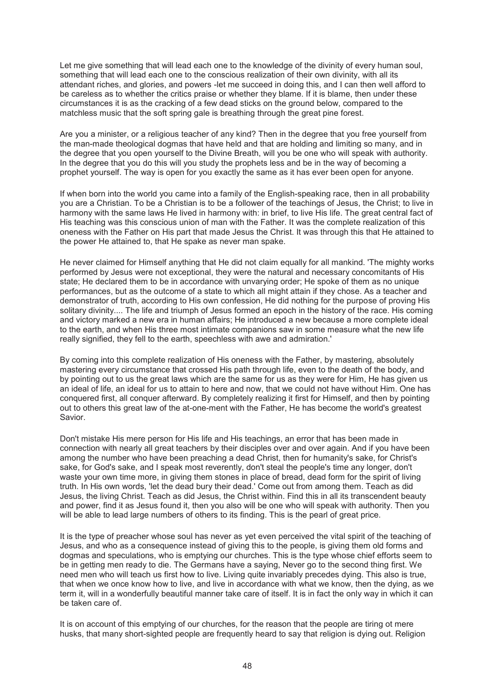Let me give something that will lead each one to the knowledge of the divinity of every human soul, something that will lead each one to the conscious realization of their own divinity, with all its attendant riches, and glories, and powers -let me succeed in doing this, and I can then well afford to be careless as to whether the critics praise or whether they blame. If it is blame, then under these circumstances it is as the cracking of a few dead sticks on the ground below, compared to the matchless music that the soft spring gale is breathing through the great pine forest.

Are you a minister, or a religious teacher of any kind? Then in the degree that you free yourself from the man-made theological dogmas that have held and that are holding and limiting so many, and in the degree that you open yourself to the Divine Breath, will you be one who will speak with authority. In the degree that you do this will you study the prophets less and be in the way of becoming a prophet yourself. The way is open for you exactly the same as it has ever been open for anyone.

If when born into the world you came into a family of the English-speaking race, then in all probability you are a Christian. To be a Christian is to be a follower of the teachings of Jesus, the Christ; to live in harmony with the same laws He lived in harmony with: in brief, to live His life. The great central fact of His teaching was this conscious union of man with the Father. It was the complete realization of this oneness with the Father on His part that made Jesus the Christ. It was through this that He attained to the power He attained to, that He spake as never man spake.

He never claimed for Himself anything that He did not claim equally for all mankind. 'The mighty works performed by Jesus were not exceptional, they were the natural and necessary concomitants of His state; He declared them to be in accordance with unvarying order; He spoke of them as no unique performances, but as the outcome of a state to which all might attain if they chose. As a teacher and demonstrator of truth, according to His own confession, He did nothing for the purpose of proving His solitary divinity.... The life and triumph of Jesus formed an epoch in the history of the race. His coming and victory marked a new era in human affairs; He introduced a new because a more complete ideal to the earth, and when His three most intimate companions saw in some measure what the new life really signified, they fell to the earth, speechless with awe and admiration.'

By coming into this complete realization of His oneness with the Father, by mastering, absolutely mastering every circumstance that crossed His path through life, even to the death of the body, and by pointing out to us the great laws which are the same for us as they were for Him, He has given us an ideal of life, an ideal for us to attain to here and now, that we could not have without Him. One has conquered first, all conquer afterward. By completely realizing it first for Himself, and then by pointing out to others this great law of the at-one-ment with the Father, He has become the world's greatest Savior.

Don't mistake His mere person for His life and His teachings, an error that has been made in connection with nearly all great teachers by their disciples over and over again. And if you have been among the number who have been preaching a dead Christ, then for humanity's sake, for Christ's sake, for God's sake, and I speak most reverently, don't steal the people's time any longer, don't waste your own time more, in giving them stones in place of bread, dead form for the spirit of living truth. In His own words, 'let the dead bury their dead.' Come out from among them. Teach as did Jesus, the living Christ. Teach as did Jesus, the Christ within. Find this in all its transcendent beauty and power, find it as Jesus found it, then you also will be one who will speak with authority. Then you will be able to lead large numbers of others to its finding. This is the pearl of great price.

It is the type of preacher whose soul has never as yet even perceived the vital spirit of the teaching of Jesus, and who as a consequence instead of giving this to the people, is giving them old forms and dogmas and speculations, who is emptying our churches. This is the type whose chief efforts seem to be in getting men ready to die. The Germans have a saying, Never go to the second thing first. We need men who will teach us first how to live. Living quite invariably precedes dying. This also is true, that when we once know how to live, and live in accordance with what we know, then the dying, as we term it, will in a wonderfully beautiful manner take care of itself. It is in fact the only way in which it can be taken care of.

It is on account of this emptying of our churches, for the reason that the people are tiring ot mere husks, that many short-sighted people are frequently heard to say that religion is dying out. Religion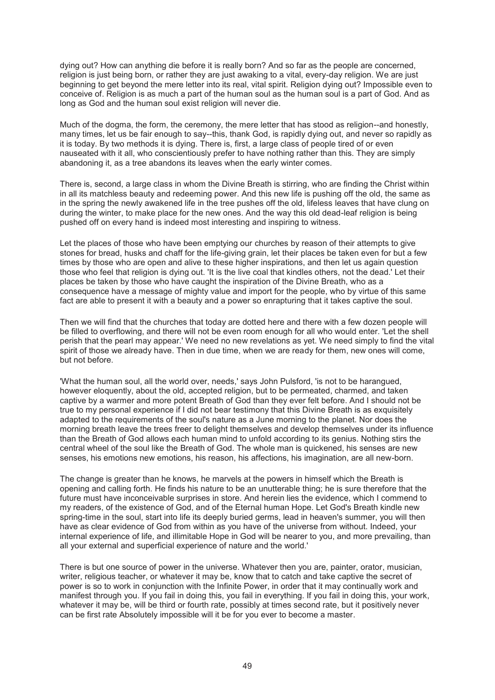dying out? How can anything die before it is really born? And so far as the people are concerned, religion is just being born, or rather they are just awaking to a vital, every-day religion. We are just beginning to get beyond the mere letter into its real, vital spirit. Religion dying out? Impossible even to conceive of. Religion is as much a part of the human soul as the human soul is a part of God. And as long as God and the human soul exist religion will never die.

Much of the dogma, the form, the ceremony, the mere letter that has stood as religion--and honestly, many times, let us be fair enough to say--this, thank God, is rapidly dying out, and never so rapidly as it is today. By two methods it is dying. There is, first, a large class of people tired of or even nauseated with it all, who conscientiously prefer to have nothing rather than this. They are simply abandoning it, as a tree abandons its leaves when the early winter comes.

There is, second, a large class in whom the Divine Breath is stirring, who are finding the Christ within in all its matchless beauty and redeeming power. And this new life is pushing off the old, the same as in the spring the newly awakened life in the tree pushes off the old, lifeless leaves that have clung on during the winter, to make place for the new ones. And the way this old dead-leaf religion is being pushed off on every hand is indeed most interesting and inspiring to witness.

Let the places of those who have been emptying our churches by reason of their attempts to give stones for bread, husks and chaff for the life-giving grain, let their places be taken even for but a few times by those who are open and alive to these higher inspirations, and then let us again question those who feel that religion is dying out. 'It is the live coal that kindles others, not the dead.' Let their places be taken by those who have caught the inspiration of the Divine Breath, who as a consequence have a message of mighty value and import for the people, who by virtue of this same fact are able to present it with a beauty and a power so enrapturing that it takes captive the soul.

Then we will find that the churches that today are dotted here and there with a few dozen people will be filled to overflowing, and there will not be even room enough for all who would enter. 'Let the shell perish that the pearl may appear.' We need no new revelations as yet. We need simply to find the vital spirit of those we already have. Then in due time, when we are ready for them, new ones will come, but not before.

'What the human soul, all the world over, needs,' says John Pulsford, 'is not to be harangued, however eloquently, about the old, accepted religion, but to be permeated, charmed, and taken captive by a warmer and more potent Breath of God than they ever felt before. And I should not be true to my personal experience if I did not bear testimony that this Divine Breath is as exquisitely adapted to the requirements of the soul's nature as a June morning to the planet. Nor does the morning breath leave the trees freer to delight themselves and develop themselves under its influence than the Breath of God allows each human mind to unfold according to its genius. Nothing stirs the central wheel of the soul like the Breath of God. The whole man is quickened, his senses are new senses, his emotions new emotions, his reason, his affections, his imagination, are all new-born.

The change is greater than he knows, he marvels at the powers in himself which the Breath is opening and calling forth. He finds his nature to be an unutterable thing; he is sure therefore that the future must have inconceivable surprises in store. And herein lies the evidence, which I commend to my readers, of the existence of God, and of the Eternal human Hope. Let God's Breath kindle new spring-time in the soul, start into life its deeply buried germs, lead in heaven's summer, you will then have as clear evidence of God from within as you have of the universe from without. Indeed, your internal experience of life, and illimitable Hope in God will be nearer to you, and more prevailing, than all your external and superficial experience of nature and the world.'

There is but one source of power in the universe. Whatever then you are, painter, orator, musician, writer, religious teacher, or whatever it may be, know that to catch and take captive the secret of power is so to work in conjunction with the Infinite Power, in order that it may continually work and manifest through you. If you fail in doing this, you fail in everything. If you fail in doing this, your work, whatever it may be, will be third or fourth rate, possibly at times second rate, but it positively never can be first rate Absolutely impossible will it be for you ever to become a master.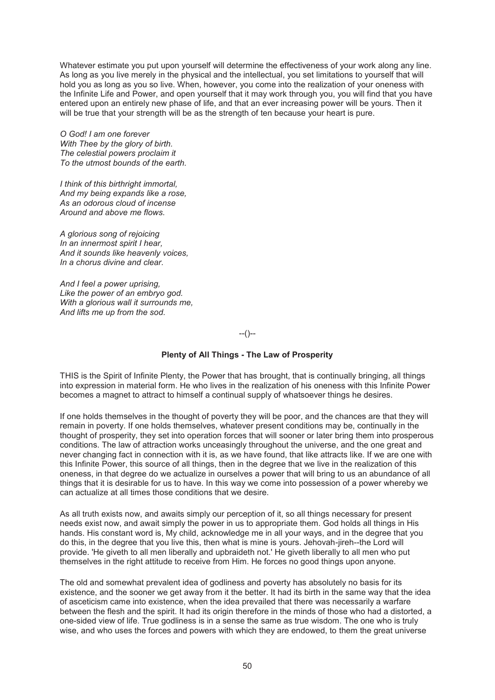Whatever estimate you put upon yourself will determine the effectiveness of your work along any line. As long as you live merely in the physical and the intellectual, you set limitations to yourself that will hold you as long as you so live. When, however, you come into the realization of your oneness with the Infinite Life and Power, and open yourself that it may work through you, you will find that you have entered upon an entirely new phase of life, and that an ever increasing power will be yours. Then it will be true that your strength will be as the strength of ten because your heart is pure.

*O God! I am one forever With Thee by the glory of birth. The celestial powers proclaim it To the utmost bounds of the earth.*

*I think of this birthright immortal, And my being expands like a rose, As an odorous cloud of incense Around and above me flows.*

*A glorious song of rejoicing In an innermost spirit I hear, And it sounds like heavenly voices, In a chorus divine and clear.*

*And I feel a power uprising, Like the power of an embryo god. With a glorious wall it surrounds me, And lifts me up from the sod.*

 $-(-)$ 

# **Plenty of All Things - The Law of Prosperity**

THIS is the Spirit of Infinite Plenty, the Power that has brought, that is continually bringing, all things into expression in material form. He who lives in the realization of his oneness with this Infinite Power becomes a magnet to attract to himself a continual supply of whatsoever things he desires.

If one holds themselves in the thought of poverty they will be poor, and the chances are that they will remain in poverty. If one holds themselves, whatever present conditions may be, continually in the thought of prosperity, they set into operation forces that will sooner or later bring them into prosperous conditions. The law of attraction works unceasingly throughout the universe, and the one great and never changing fact in connection with it is, as we have found, that like attracts like. If we are one with this Infinite Power, this source of all things, then in the degree that we live in the realization of this oneness, in that degree do we actualize in ourselves a power that will bring to us an abundance of all things that it is desirable for us to have. In this way we come into possession of a power whereby we can actualize at all times those conditions that we desire.

As all truth exists now, and awaits simply our perception of it, so all things necessary for present needs exist now, and await simply the power in us to appropriate them. God holds all things in His hands. His constant word is, My child, acknowledge me in all your ways, and in the degree that you do this, in the degree that you live this, then what is mine is yours. Jehovah-jireh--the Lord will provide. 'He giveth to all men liberally and upbraideth not.' He giveth liberally to all men who put themselves in the right attitude to receive from Him. He forces no good things upon anyone.

The old and somewhat prevalent idea of godliness and poverty has absolutely no basis for its existence, and the sooner we get away from it the better. It had its birth in the same way that the idea of asceticism came into existence, when the idea prevailed that there was necessarily a warfare between the flesh and the spirit. It had its origin therefore in the minds of those who had a distorted, a one-sided view of life. True godliness is in a sense the same as true wisdom. The one who is truly wise, and who uses the forces and powers with which they are endowed, to them the great universe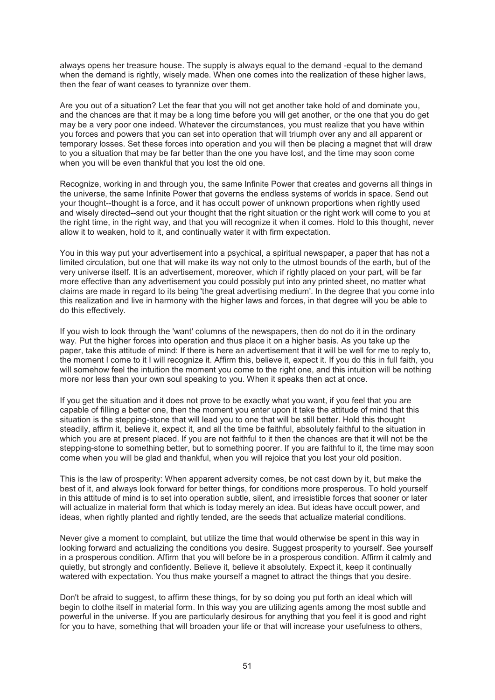always opens her treasure house. The supply is always equal to the demand -equal to the demand when the demand is rightly, wisely made. When one comes into the realization of these higher laws, then the fear of want ceases to tyrannize over them.

Are you out of a situation? Let the fear that you will not get another take hold of and dominate you, and the chances are that it may be a long time before you will get another, or the one that you do get may be a very poor one indeed. Whatever the circumstances, you must realize that you have within you forces and powers that you can set into operation that will triumph over any and all apparent or temporary losses. Set these forces into operation and you will then be placing a magnet that will draw to you a situation that may be far better than the one you have lost, and the time may soon come when you will be even thankful that you lost the old one.

Recognize, working in and through you, the same Infinite Power that creates and governs all things in the universe, the same Infinite Power that governs the endless systems of worlds in space. Send out your thought--thought is a force, and it has occult power of unknown proportions when rightly used and wisely directed--send out your thought that the right situation or the right work will come to you at the right time, in the right way, and that you will recognize it when it comes. Hold to this thought, never allow it to weaken, hold to it, and continually water it with firm expectation.

You in this way put your advertisement into a psychical, a spiritual newspaper, a paper that has not a limited circulation, but one that will make its way not only to the utmost bounds of the earth, but of the very universe itself. It is an advertisement, moreover, which if rightly placed on your part, will be far more effective than any advertisement you could possibly put into any printed sheet, no matter what claims are made in regard to its being 'the great advertising medium'. In the degree that you come into this realization and live in harmony with the higher laws and forces, in that degree will you be able to do this effectively.

If you wish to look through the 'want' columns of the newspapers, then do not do it in the ordinary way. Put the higher forces into operation and thus place it on a higher basis. As you take up the paper, take this attitude of mind: If there is here an advertisement that it will be well for me to reply to, the moment I come to it I will recognize it. Affirm this, believe it, expect it. If you do this in full faith, you will somehow feel the intuition the moment you come to the right one, and this intuition will be nothing more nor less than your own soul speaking to you. When it speaks then act at once.

If you get the situation and it does not prove to be exactly what you want, if you feel that you are capable of filling a better one, then the moment you enter upon it take the attitude of mind that this situation is the stepping-stone that will lead you to one that will be still better. Hold this thought steadily, affirm it, believe it, expect it, and all the time be faithful, absolutely faithful to the situation in which you are at present placed. If you are not faithful to it then the chances are that it will not be the stepping-stone to something better, but to something poorer. If you are faithful to it, the time may soon come when you will be glad and thankful, when you will rejoice that you lost your old position.

This is the law of prosperity: When apparent adversity comes, be not cast down by it, but make the best of it, and always look forward for better things, for conditions more prosperous. To hold yourself in this attitude of mind is to set into operation subtle, silent, and irresistible forces that sooner or later will actualize in material form that which is today merely an idea. But ideas have occult power, and ideas, when rightly planted and rightly tended, are the seeds that actualize material conditions.

Never give a moment to complaint, but utilize the time that would otherwise be spent in this way in looking forward and actualizing the conditions you desire. Suggest prosperity to yourself. See yourself in a prosperous condition. Affirm that you will before be in a prosperous condition. Affirm it calmly and quietly, but strongly and confidently. Believe it, believe it absolutely. Expect it, keep it continually watered with expectation. You thus make yourself a magnet to attract the things that you desire.

Don't be afraid to suggest, to affirm these things, for by so doing you put forth an ideal which will begin to clothe itself in material form. In this way you are utilizing agents among the most subtle and powerful in the universe. If you are particularly desirous for anything that you feel it is good and right for you to have, something that will broaden your life or that will increase your usefulness to others,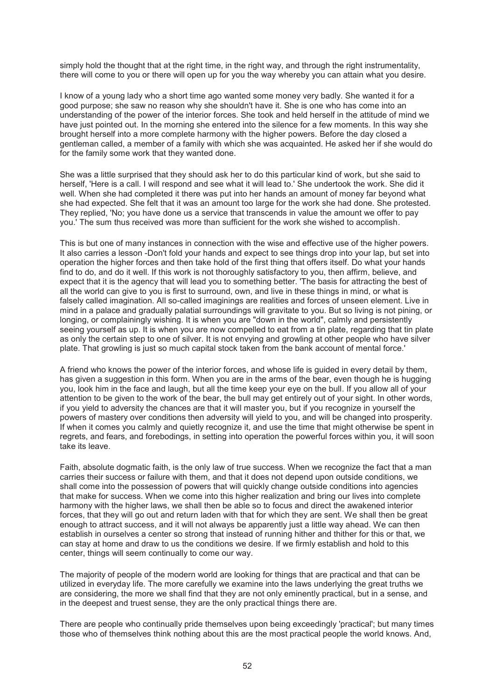simply hold the thought that at the right time, in the right way, and through the right instrumentality, there will come to you or there will open up for you the way whereby you can attain what you desire.

I know of a young lady who a short time ago wanted some money very badly. She wanted it for a good purpose; she saw no reason why she shouldn't have it. She is one who has come into an understanding of the power of the interior forces. She took and held herself in the attitude of mind we have just pointed out. In the morning she entered into the silence for a few moments. In this way she brought herself into a more complete harmony with the higher powers. Before the day closed a gentleman called, a member of a family with which she was acquainted. He asked her if she would do for the family some work that they wanted done.

She was a little surprised that they should ask her to do this particular kind of work, but she said to herself, 'Here is a call. I will respond and see what it will lead to.' She undertook the work. She did it well. When she had completed it there was put into her hands an amount of money far beyond what she had expected. She felt that it was an amount too large for the work she had done. She protested. They replied, 'No; you have done us a service that transcends in value the amount we offer to pay you.' The sum thus received was more than sufficient for the work she wished to accomplish.

This is but one of many instances in connection with the wise and effective use of the higher powers. It also carries a lesson -Don't fold your hands and expect to see things drop into your lap, but set into operation the higher forces and then take hold of the first thing that offers itself. Do what your hands find to do, and do it well. If this work is not thoroughly satisfactory to you, then affirm, believe, and expect that it is the agency that will lead you to something better. 'The basis for attracting the best of all the world can give to you is first to surround, own, and live in these things in mind, or what is falsely called imagination. All so-called imaginings are realities and forces of unseen element. Live in mind in a palace and gradually palatial surroundings will gravitate to you. But so living is not pining, or longing, or complainingly wishing. It is when you are "down in the world", calmly and persistently seeing yourself as up. It is when you are now compelled to eat from a tin plate, regarding that tin plate as only the certain step to one of silver. It is not envying and growling at other people who have silver plate. That growling is just so much capital stock taken from the bank account of mental force.'

A friend who knows the power of the interior forces, and whose life is guided in every detail by them, has given a suggestion in this form. When you are in the arms of the bear, even though he is hugging you, look him in the face and laugh, but all the time keep your eye on the bull. If you allow all of your attention to be given to the work of the bear, the bull may get entirely out of your sight. In other words, if you yield to adversity the chances are that it will master you, but if you recognize in yourself the powers of mastery over conditions then adversity will yield to you, and will be changed into prosperity. If when it comes you calmly and quietly recognize it, and use the time that might otherwise be spent in regrets, and fears, and forebodings, in setting into operation the powerful forces within you, it will soon take its leave.

Faith, absolute dogmatic faith, is the only law of true success. When we recognize the fact that a man carries their success or failure with them, and that it does not depend upon outside conditions, we shall come into the possession of powers that will quickly change outside conditions into agencies that make for success. When we come into this higher realization and bring our lives into complete harmony with the higher laws, we shall then be able so to focus and direct the awakened interior forces, that they will go out and return laden with that for which they are sent. We shall then be great enough to attract success, and it will not always be apparently just a little way ahead. We can then establish in ourselves a center so strong that instead of running hither and thither for this or that, we can stay at home and draw to us the conditions we desire. If we firmly establish and hold to this center, things will seem continually to come our way.

The majority of people of the modern world are looking for things that are practical and that can be utilized in everyday life. The more carefully we examine into the laws underlying the great truths we are considering, the more we shall find that they are not only eminently practical, but in a sense, and in the deepest and truest sense, they are the only practical things there are.

There are people who continually pride themselves upon being exceedingly 'practical'; but many times those who of themselves think nothing about this are the most practical people the world knows. And,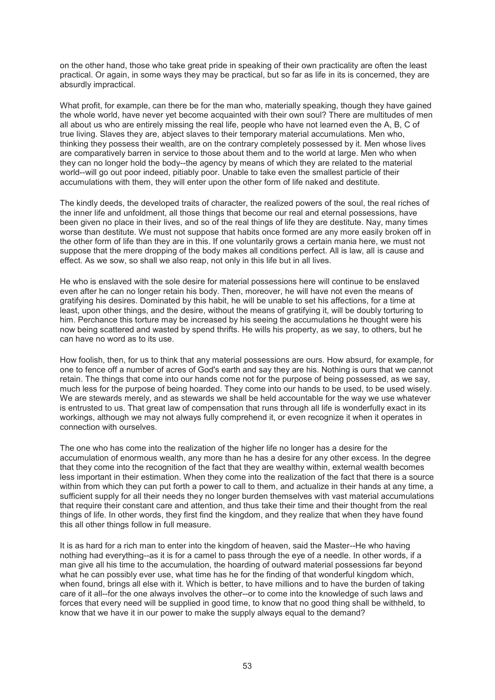on the other hand, those who take great pride in speaking of their own practicality are often the least practical. Or again, in some ways they may be practical, but so far as life in its is concerned, they are absurdly impractical.

What profit, for example, can there be for the man who, materially speaking, though they have gained the whole world, have never yet become acquainted with their own soul? There are multitudes of men all about us who are entirely missing the real life, people who have not learned even the A, B, C of true living. Slaves they are, abject slaves to their temporary material accumulations. Men who, thinking they possess their wealth, are on the contrary completely possessed by it. Men whose lives are comparatively barren in service to those about them and to the world at large. Men who when they can no longer hold the body--the agency by means of which they are related to the material world--will go out poor indeed, pitiably poor. Unable to take even the smallest particle of their accumulations with them, they will enter upon the other form of life naked and destitute.

The kindly deeds, the developed traits of character, the realized powers of the soul, the real riches of the inner life and unfoldment, all those things that become our real and eternal possessions, have been given no place in their lives, and so of the real things of life they are destitute. Nay, many times worse than destitute. We must not suppose that habits once formed are any more easily broken off in the other form of life than they are in this. If one voluntarily grows a certain mania here, we must not suppose that the mere dropping of the body makes all conditions perfect. All is law, all is cause and effect. As we sow, so shall we also reap, not only in this life but in all lives.

He who is enslaved with the sole desire for material possessions here will continue to be enslaved even after he can no longer retain his body. Then, moreover, he will have not even the means of gratifying his desires. Dominated by this habit, he will be unable to set his affections, for a time at least, upon other things, and the desire, without the means of gratifying it, will be doubly torturing to him. Perchance this torture may be increased by his seeing the accumulations he thought were his now being scattered and wasted by spend thrifts. He wills his property, as we say, to others, but he can have no word as to its use.

How foolish, then, for us to think that any material possessions are ours. How absurd, for example, for one to fence off a number of acres of God's earth and say they are his. Nothing is ours that we cannot retain. The things that come into our hands come not for the purpose of being possessed, as we say, much less for the purpose of being hoarded. They come into our hands to be used, to be used wisely. We are stewards merely, and as stewards we shall be held accountable for the way we use whatever is entrusted to us. That great law of compensation that runs through all life is wonderfully exact in its workings, although we may not always fully comprehend it, or even recognize it when it operates in connection with ourselves.

The one who has come into the realization of the higher life no longer has a desire for the accumulation of enormous wealth, any more than he has a desire for any other excess. In the degree that they come into the recognition of the fact that they are wealthy within, external wealth becomes less important in their estimation. When they come into the realization of the fact that there is a source within from which they can put forth a power to call to them, and actualize in their hands at any time, a sufficient supply for all their needs they no longer burden themselves with vast material accumulations that require their constant care and attention, and thus take their time and their thought from the real things of life. In other words, they first find the kingdom, and they realize that when they have found this all other things follow in full measure.

It is as hard for a rich man to enter into the kingdom of heaven, said the Master--He who having nothing had everything--as it is for a camel to pass through the eye of a needle. In other words, if a man give all his time to the accumulation, the hoarding of outward material possessions far beyond what he can possibly ever use, what time has he for the finding of that wonderful kingdom which, when found, brings all else with it. Which is better, to have millions and to have the burden of taking care of it all--for the one always involves the other--or to come into the knowledge of such laws and forces that every need will be supplied in good time, to know that no good thing shall be withheld, to know that we have it in our power to make the supply always equal to the demand?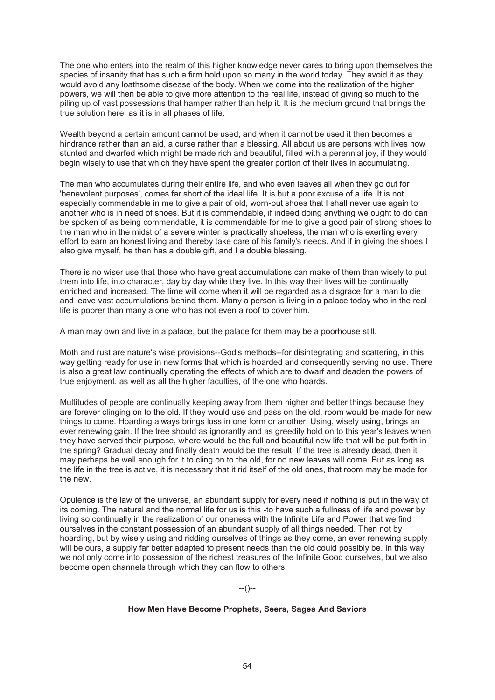The one who enters into the realm of this higher knowledge never cares to bring upon themselves the species of insanity that has such a firm hold upon so many in the world today. They avoid it as they would avoid any loathsome disease of the body. When we come into the realization of the higher powers, we will then be able to give more attention to the real life, instead of giving so much to the piling up of vast possessions that hamper rather than help it. It is the medium ground that brings the true solution here, as it is in all phases of life.

Wealth beyond a certain amount cannot be used, and when it cannot be used it then becomes a hindrance rather than an aid, a curse rather than a blessing. All about us are persons with lives now stunted and dwarfed which might be made rich and beautiful, filled with a perennial joy, if they would begin wisely to use that which they have spent the greater portion of their lives in accumulating.

The man who accumulates during their entire life, and who even leaves all when they go out for 'benevolent purposes', comes far short of the ideal life. It is but a poor excuse of a life. It is not especially commendable in me to give a pair of old, worn-out shoes that I shall never use again to another who is in need of shoes. But it is commendable, if indeed doing anything we ought to do can be spoken of as being commendable, it is commendable for me to give a good pair of strong shoes to the man who in the midst of a severe winter is practically shoeless, the man who is exerting every effort to earn an honest living and thereby take care of his family's needs. And if in giving the shoes I also give myself, he then has a double gift, and I a double blessing.

There is no wiser use that those who have great accumulations can make of them than wisely to put them into life, into character, day by day while they live. In this way their lives will be continually enriched and increased. The time will come when it will be regarded as a disgrace for a man to die and leave vast accumulations behind them. Many a person is living in a palace today who in the real life is poorer than many a one who has not even a roof to cover him.

A man may own and live in a palace, but the palace for them may be a poorhouse still.

Moth and rust are nature's wise provisions--God's methods--for disintegrating and scattering, in this way getting ready for use in new forms that which is hoarded and consequently serving no use. There is also a great law continually operating the effects of which are to dwarf and deaden the powers of true enjoyment, as well as all the higher faculties, of the one who hoards.

Multitudes of people are continually keeping away from them higher and better things because they are forever clinging on to the old. If they would use and pass on the old, room would be made for new things to come. Hoarding always brings loss in one form or another. Using, wisely using, brings an ever renewing gain. If the tree should as ignorantly and as greedily hold on to this year's leaves when they have served their purpose, where would be the full and beautiful new life that will be put forth in the spring? Gradual decay and finally death would be the result. If the tree is already dead, then it may perhaps be well enough for it to cling on to the old, for no new leaves will come. But as long as the life in the tree is active, it is necessary that it rid itself of the old ones, that room may be made for the new.

Opulence is the law of the universe, an abundant supply for every need if nothing is put in the way of its coming. The natural and the normal life for us is this -to have such a fullness of life and power by living so continually in the realization of our oneness with the Infinite Life and Power that we find ourselves in the constant possession of an abundant supply of all things needed. Then not by hoarding, but by wisely using and ridding ourselves of things as they come, an ever renewing supply will be ours, a supply far better adapted to present needs than the old could possibly be. In this way we not only come into possession of the richest treasures of the Infinite Good ourselves, but we also become open channels through which they can flow to others.

# $-(-)$

#### **How Men Have Become Prophets, Seers, Sages And Saviors**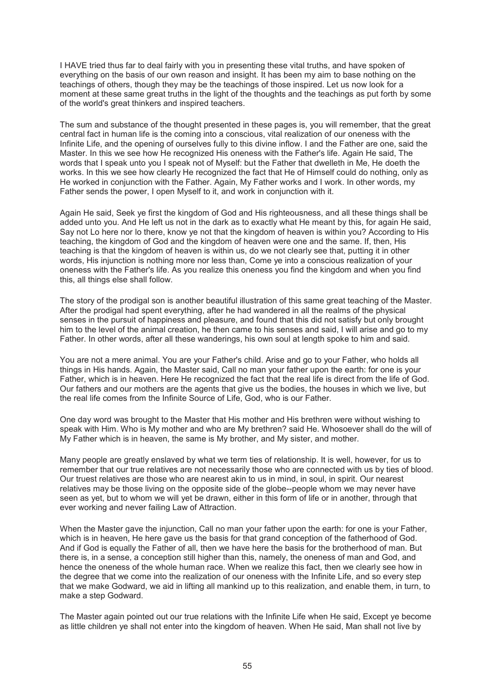I HAVE tried thus far to deal fairly with you in presenting these vital truths, and have spoken of everything on the basis of our own reason and insight. It has been my aim to base nothing on the teachings of others, though they may be the teachings of those inspired. Let us now look for a moment at these same great truths in the light of the thoughts and the teachings as put forth by some of the world's great thinkers and inspired teachers.

The sum and substance of the thought presented in these pages is, you will remember, that the great central fact in human life is the coming into a conscious, vital realization of our oneness with the Infinite Life, and the opening of ourselves fully to this divine inflow. I and the Father are one, said the Master. In this we see how He recognized His oneness with the Father's life. Again He said, The words that I speak unto you I speak not of Myself: but the Father that dwelleth in Me, He doeth the works. In this we see how clearly He recognized the fact that He of Himself could do nothing, only as He worked in conjunction with the Father. Again, My Father works and I work. In other words, my Father sends the power, I open Myself to it, and work in conjunction with it.

Again He said, Seek ye first the kingdom of God and His righteousness, and all these things shall be added unto you. And He left us not in the dark as to exactly what He meant by this, for again He said, Say not Lo here nor lo there, know ye not that the kingdom of heaven is within you? According to His teaching, the kingdom of God and the kingdom of heaven were one and the same. If, then, His teaching is that the kingdom of heaven is within us, do we not clearly see that, putting it in other words, His injunction is nothing more nor less than, Come ye into a conscious realization of your oneness with the Father's life. As you realize this oneness you find the kingdom and when you find this, all things else shall follow.

The story of the prodigal son is another beautiful illustration of this same great teaching of the Master. After the prodigal had spent everything, after he had wandered in all the realms of the physical senses in the pursuit of happiness and pleasure, and found that this did not satisfy but only brought him to the level of the animal creation, he then came to his senses and said, I will arise and go to my Father. In other words, after all these wanderings, his own soul at length spoke to him and said.

You are not a mere animal. You are your Father's child. Arise and go to your Father, who holds all things in His hands. Again, the Master said, Call no man your father upon the earth: for one is your Father, which is in heaven. Here He recognized the fact that the real life is direct from the life of God. Our fathers and our mothers are the agents that give us the bodies, the houses in which we live, but the real life comes from the Infinite Source of Life, God, who is our Father.

One day word was brought to the Master that His mother and His brethren were without wishing to speak with Him. Who is My mother and who are My brethren? said He. Whosoever shall do the will of My Father which is in heaven, the same is My brother, and My sister, and mother.

Many people are greatly enslaved by what we term ties of relationship. It is well, however, for us to remember that our true relatives are not necessarily those who are connected with us by ties of blood. Our truest relatives are those who are nearest akin to us in mind, in soul, in spirit. Our nearest relatives may be those living on the opposite side of the globe--people whom we may never have seen as yet, but to whom we will yet be drawn, either in this form of life or in another, through that ever working and never failing Law of Attraction.

When the Master gave the injunction, Call no man your father upon the earth: for one is your Father, which is in heaven, He here gave us the basis for that grand conception of the fatherhood of God. And if God is equally the Father of all, then we have here the basis for the brotherhood of man. But there is, in a sense, a conception still higher than this, namely, the oneness of man and God, and hence the oneness of the whole human race. When we realize this fact, then we clearly see how in the degree that we come into the realization of our oneness with the Infinite Life, and so every step that we make Godward, we aid in lifting all mankind up to this realization, and enable them, in turn, to make a step Godward.

The Master again pointed out our true relations with the Infinite Life when He said, Except ye become as little children ye shall not enter into the kingdom of heaven. When He said, Man shall not live by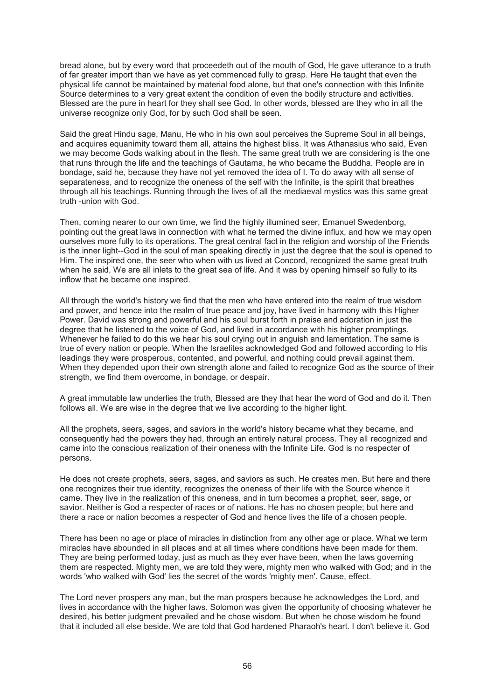bread alone, but by every word that proceedeth out of the mouth of God, He gave utterance to a truth of far greater import than we have as yet commenced fully to grasp. Here He taught that even the physical life cannot be maintained by material food alone, but that one's connection with this Infinite Source determines to a very great extent the condition of even the bodily structure and activities. Blessed are the pure in heart for they shall see God. In other words, blessed are they who in all the universe recognize only God, for by such God shall be seen.

Said the great Hindu sage, Manu, He who in his own soul perceives the Supreme Soul in all beings, and acquires equanimity toward them all, attains the highest bliss. It was Athanasius who said, Even we may become Gods walking about in the flesh. The same great truth we are considering is the one that runs through the life and the teachings of Gautama, he who became the Buddha. People are in bondage, said he, because they have not yet removed the idea of I. To do away with all sense of separateness, and to recognize the oneness of the self with the Infinite, is the spirit that breathes through all his teachings. Running through the lives of all the mediaeval mystics was this same great truth -union with God.

Then, coming nearer to our own time, we find the highly illumined seer, Emanuel Swedenborg, pointing out the great laws in connection with what he termed the divine influx, and how we may open ourselves more fully to its operations. The great central fact in the religion and worship of the Friends is the inner light--God in the soul of man speaking directly in just the degree that the soul is opened to Him. The inspired one, the seer who when with us lived at Concord, recognized the same great truth when he said, We are all inlets to the great sea of life. And it was by opening himself so fully to its inflow that he became one inspired.

All through the world's history we find that the men who have entered into the realm of true wisdom and power, and hence into the realm of true peace and joy, have lived in harmony with this Higher Power. David was strong and powerful and his soul burst forth in praise and adoration in just the degree that he listened to the voice of God, and lived in accordance with his higher promptings. Whenever he failed to do this we hear his soul crying out in anguish and lamentation. The same is true of every nation or people. When the Israelites acknowledged God and followed according to His leadings they were prosperous, contented, and powerful, and nothing could prevail against them. When they depended upon their own strength alone and failed to recognize God as the source of their strength, we find them overcome, in bondage, or despair.

A great immutable law underlies the truth, Blessed are they that hear the word of God and do it. Then follows all. We are wise in the degree that we live according to the higher light.

All the prophets, seers, sages, and saviors in the world's history became what they became, and consequently had the powers they had, through an entirely natural process. They all recognized and came into the conscious realization of their oneness with the Infinite Life. God is no respecter of persons.

He does not create prophets, seers, sages, and saviors as such. He creates men. But here and there one recognizes their true identity, recognizes the oneness of their life with the Source whence it came. They live in the realization of this oneness, and in turn becomes a prophet, seer, sage, or savior. Neither is God a respecter of races or of nations. He has no chosen people; but here and there a race or nation becomes a respecter of God and hence lives the life of a chosen people.

There has been no age or place of miracles in distinction from any other age or place. What we term miracles have abounded in all places and at all times where conditions have been made for them. They are being performed today, just as much as they ever have been, when the laws governing them are respected. Mighty men, we are told they were, mighty men who walked with God; and in the words 'who walked with God' lies the secret of the words 'mighty men'. Cause, effect.

The Lord never prospers any man, but the man prospers because he acknowledges the Lord, and lives in accordance with the higher laws. Solomon was given the opportunity of choosing whatever he desired, his better judgment prevailed and he chose wisdom. But when he chose wisdom he found that it included all else beside. We are told that God hardened Pharaoh's heart. I don't believe it. God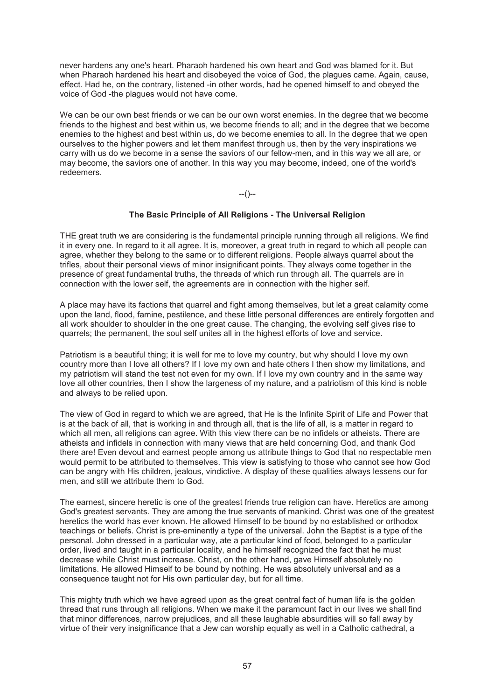never hardens any one's heart. Pharaoh hardened his own heart and God was blamed for it. But when Pharaoh hardened his heart and disobeyed the voice of God, the plagues came. Again, cause, effect. Had he, on the contrary, listened -in other words, had he opened himself to and obeyed the voice of God -the plagues would not have come.

We can be our own best friends or we can be our own worst enemies. In the degree that we become friends to the highest and best within us, we become friends to all; and in the degree that we become enemies to the highest and best within us, do we become enemies to all. In the degree that we open ourselves to the higher powers and let them manifest through us, then by the very inspirations we carry with us do we become in a sense the saviors of our fellow-men, and in this way we all are, or may become, the saviors one of another. In this way you may become, indeed, one of the world's redeemers.

### --()--

# **The Basic Principle of All Religions - The Universal Religion**

THE great truth we are considering is the fundamental principle running through all religions. We find it in every one. In regard to it all agree. It is, moreover, a great truth in regard to which all people can agree, whether they belong to the same or to different religions. People always quarrel about the trifles, about their personal views of minor insignificant points. They always come together in the presence of great fundamental truths, the threads of which run through all. The quarrels are in connection with the lower self, the agreements are in connection with the higher self.

A place may have its factions that quarrel and fight among themselves, but let a great calamity come upon the land, flood, famine, pestilence, and these little personal differences are entirely forgotten and all work shoulder to shoulder in the one great cause. The changing, the evolving self gives rise to quarrels; the permanent, the soul self unites all in the highest efforts of love and service.

Patriotism is a beautiful thing; it is well for me to love my country, but why should I love my own country more than I love all others? If I love my own and hate others I then show my limitations, and my patriotism will stand the test not even for my own. If I love my own country and in the same way love all other countries, then I show the largeness of my nature, and a patriotism of this kind is noble and always to be relied upon.

The view of God in regard to which we are agreed, that He is the Infinite Spirit of Life and Power that is at the back of all, that is working in and through all, that is the life of all, is a matter in regard to which all men, all religions can agree. With this view there can be no infidels or atheists. There are atheists and infidels in connection with many views that are held concerning God, and thank God there are! Even devout and earnest people among us attribute things to God that no respectable men would permit to be attributed to themselves. This view is satisfying to those who cannot see how God can be angry with His children, jealous, vindictive. A display of these qualities always lessens our for men, and still we attribute them to God.

The earnest, sincere heretic is one of the greatest friends true religion can have. Heretics are among God's greatest servants. They are among the true servants of mankind. Christ was one of the greatest heretics the world has ever known. He allowed Himself to be bound by no established or orthodox teachings or beliefs. Christ is pre-eminently a type of the universal. John the Baptist is a type of the personal. John dressed in a particular way, ate a particular kind of food, belonged to a particular order, lived and taught in a particular locality, and he himself recognized the fact that he must decrease while Christ must increase. Christ, on the other hand, gave Himself absolutely no limitations. He allowed Himself to be bound by nothing. He was absolutely universal and as a consequence taught not for His own particular day, but for all time.

This mighty truth which we have agreed upon as the great central fact of human life is the golden thread that runs through all religions. When we make it the paramount fact in our lives we shall find that minor differences, narrow prejudices, and all these laughable absurdities will so fall away by virtue of their very insignificance that a Jew can worship equally as well in a Catholic cathedral, a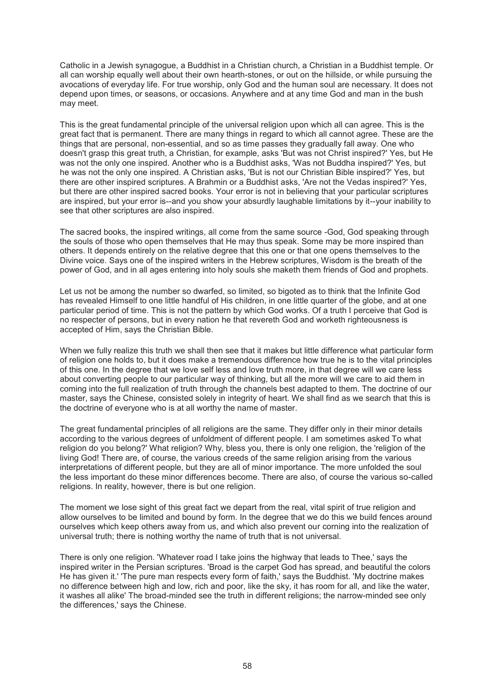Catholic in a Jewish synagogue, a Buddhist in a Christian church, a Christian in a Buddhist temple. Or all can worship equally well about their own hearth-stones, or out on the hillside, or while pursuing the avocations of everyday life. For true worship, only God and the human soul are necessary. It does not depend upon times, or seasons, or occasions. Anywhere and at any time God and man in the bush may meet.

This is the great fundamental principle of the universal religion upon which all can agree. This is the great fact that is permanent. There are many things in regard to which all cannot agree. These are the things that are personal, non-essential, and so as time passes they gradually fall away. One who doesn't grasp this great truth, a Christian, for example, asks 'But was not Christ inspired?' Yes, but He was not the only one inspired. Another who is a Buddhist asks, 'Was not Buddha inspired?' Yes, but he was not the only one inspired. A Christian asks, 'But is not our Christian Bible inspired?' Yes, but there are other inspired scriptures. A Brahmin or a Buddhist asks, 'Are not the Vedas inspired?' Yes, but there are other inspired sacred books. Your error is not in believing that your particular scriptures are inspired, but your error is--and you show your absurdly laughable limitations by it--your inability to see that other scriptures are also inspired.

The sacred books, the inspired writings, all come from the same source -God, God speaking through the souls of those who open themselves that He may thus speak. Some may be more inspired than others. It depends entirely on the relative degree that this one or that one opens themselves to the Divine voice. Says one of the inspired writers in the Hebrew scriptures, Wisdom is the breath of the power of God, and in all ages entering into holy souls she maketh them friends of God and prophets.

Let us not be among the number so dwarfed, so limited, so bigoted as to think that the Infinite God has revealed Himself to one little handful of His children, in one little quarter of the globe, and at one particular period of time. This is not the pattern by which God works. Of a truth I perceive that God is no respecter of persons, but in every nation he that revereth God and worketh righteousness is accepted of Him, says the Christian Bible.

When we fully realize this truth we shall then see that it makes but little difference what particular form of religion one holds to, but it does make a tremendous difference how true he is to the vital principles of this one. In the degree that we love self less and love truth more, in that degree will we care less about converting people to our particular way of thinking, but all the more will we care to aid them in coming into the full realization of truth through the channels best adapted to them. The doctrine of our master, says the Chinese, consisted solely in integrity of heart. We shall find as we search that this is the doctrine of everyone who is at all worthy the name of master.

The great fundamental principles of all religions are the same. They differ only in their minor details according to the various degrees of unfoldment of different people. I am sometimes asked To what religion do you belong?' What religion? Why, bless you, there is only one religion, the 'religion of the living God! There are, of course, the various creeds of the same religion arising from the various interpretations of different people, but they are all of minor importance. The more unfolded the soul the less important do these minor differences become. There are also, of course the various so-called religions. In reality, however, there is but one religion.

The moment we lose sight of this great fact we depart from the real, vital spirit of true religion and allow ourselves to be limited and bound by form. In the degree that we do this we build fences around ourselves which keep others away from us, and which also prevent our corning into the realization of universal truth; there is nothing worthy the name of truth that is not universal.

There is only one religion. 'Whatever road I take joins the highway that leads to Thee,' says the inspired writer in the Persian scriptures. 'Broad is the carpet God has spread, and beautiful the colors He has given it.' 'The pure man respects every form of faith,' says the Buddhist. 'My doctrine makes no difference between high and low, rich and poor, like the sky, it has room for all, and like the water, it washes all alike' The broad-minded see the truth in different religions; the narrow-minded see only the differences,' says the Chinese.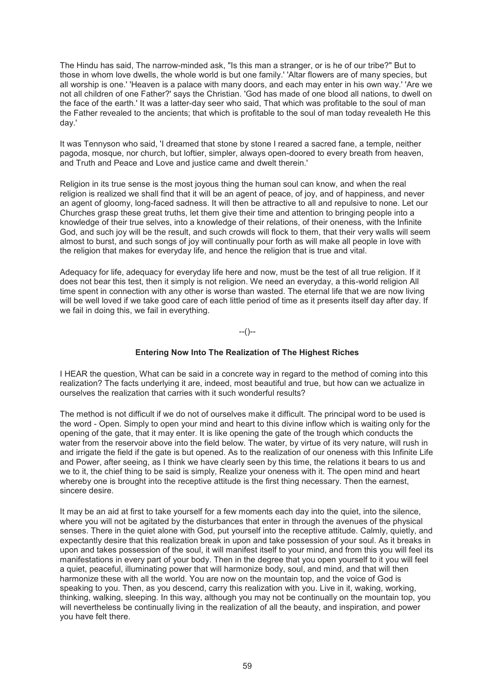The Hindu has said, The narrow-minded ask, "Is this man a stranger, or is he of our tribe?" But to those in whom love dwells, the whole world is but one family.' 'Altar flowers are of many species, but all worship is one.' 'Heaven is a palace with many doors, and each may enter in his own way.' 'Are we not all children of one Father?' says the Christian. 'God has made of one blood all nations, to dwell on the face of the earth.' It was a latter-day seer who said, That which was profitable to the soul of man the Father revealed to the ancients; that which is profitable to the soul of man today revealeth He this day.'

It was Tennyson who said, 'I dreamed that stone by stone I reared a sacred fane, a temple, neither pagoda, mosque, nor church, but loftier, simpler, always open-doored to every breath from heaven, and Truth and Peace and Love and justice came and dwelt therein.'

Religion in its true sense is the most joyous thing the human soul can know, and when the real religion is realized we shall find that it will be an agent of peace, of joy, and of happiness, and never an agent of gloomy, long-faced sadness. It will then be attractive to all and repulsive to none. Let our Churches grasp these great truths, let them give their time and attention to bringing people into a knowledge of their true selves, into a knowledge of their relations, of their oneness, with the Infinite God, and such joy will be the result, and such crowds will flock to them, that their very walls will seem almost to burst, and such songs of joy will continually pour forth as will make all people in love with the religion that makes for everyday life, and hence the religion that is true and vital.

Adequacy for life, adequacy for everyday life here and now, must be the test of all true religion. If it does not bear this test, then it simply is not religion. We need an everyday, a this-world religion All time spent in connection with any other is worse than wasted. The eternal life that we are now living will be well loved if we take good care of each little period of time as it presents itself day after day. If we fail in doing this, we fail in everything.

--()--

# **Entering Now Into The Realization of The Highest Riches**

I HEAR the question, What can be said in a concrete way in regard to the method of coming into this realization? The facts underlying it are, indeed, most beautiful and true, but how can we actualize in ourselves the realization that carries with it such wonderful results?

The method is not difficult if we do not of ourselves make it difficult. The principal word to be used is the word - Open. Simply to open your mind and heart to this divine inflow which is waiting only for the opening of the gate, that it may enter. It is like opening the gate of the trough which conducts the water from the reservoir above into the field below. The water, by virtue of its very nature, will rush in and irrigate the field if the gate is but opened. As to the realization of our oneness with this Infinite Life and Power, after seeing, as I think we have clearly seen by this time, the relations it bears to us and we to it, the chief thing to be said is simply, Realize your oneness with it. The open mind and heart whereby one is brought into the receptive attitude is the first thing necessary. Then the earnest, sincere desire.

It may be an aid at first to take yourself for a few moments each day into the quiet, into the silence, where you will not be agitated by the disturbances that enter in through the avenues of the physical senses. There in the quiet alone with God, put yourself into the receptive attitude. Calmly, quietly, and expectantly desire that this realization break in upon and take possession of your soul. As it breaks in upon and takes possession of the soul, it will manifest itself to your mind, and from this you will feel its manifestations in every part of your body. Then in the degree that you open yourself to it you will feel a quiet, peaceful, illuminating power that will harmonize body, soul, and mind, and that will then harmonize these with all the world. You are now on the mountain top, and the voice of God is speaking to you. Then, as you descend, carry this realization with you. Live in it, waking, working, thinking, walking, sleeping. In this way, although you may not be continually on the mountain top, you will nevertheless be continually living in the realization of all the beauty, and inspiration, and power you have felt there.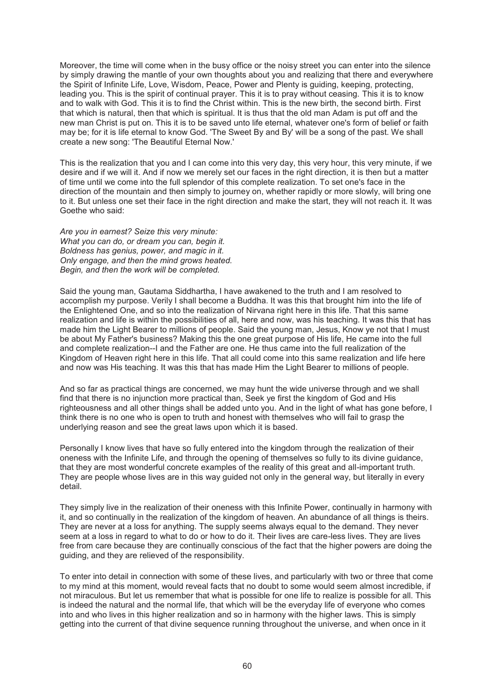Moreover, the time will come when in the busy office or the noisy street you can enter into the silence by simply drawing the mantle of your own thoughts about you and realizing that there and everywhere the Spirit of Infinite Life, Love, Wisdom, Peace, Power and Plenty is guiding, keeping, protecting, leading you. This is the spirit of continual prayer. This it is to pray without ceasing. This it is to know and to walk with God. This it is to find the Christ within. This is the new birth, the second birth. First that which is natural, then that which is spiritual. It is thus that the old man Adam is put off and the new man Christ is put on. This it is to be saved unto life eternal, whatever one's form of belief or faith may be; for it is life eternal to know God. 'The Sweet By and By' will be a song of the past. We shall create a new song: 'The Beautiful Eternal Now.'

This is the realization that you and I can come into this very day, this very hour, this very minute, if we desire and if we will it. And if now we merely set our faces in the right direction, it is then but a matter of time until we come into the full splendor of this complete realization. To set one's face in the direction of the mountain and then simply to journey on, whether rapidly or more slowly, will bring one to it. But unless one set their face in the right direction and make the start, they will not reach it. It was Goethe who said:

*Are you in earnest? Seize this very minute: What you can do, or dream you can, begin it. Boldness has genius, power, and magic in it. Only engage, and then the mind grows heated. Begin, and then the work will be completed.* 

Said the young man, Gautama Siddhartha, I have awakened to the truth and I am resolved to accomplish my purpose. Verily I shall become a Buddha. It was this that brought him into the life of the Enlightened One, and so into the realization of Nirvana right here in this life. That this same realization and life is within the possibilities of all, here and now, was his teaching. It was this that has made him the Light Bearer to millions of people. Said the young man, Jesus, Know ye not that I must be about My Father's business? Making this the one great purpose of His life, He came into the full and complete realization--I and the Father are one. He thus came into the full realization of the Kingdom of Heaven right here in this life. That all could come into this same realization and life here and now was His teaching. It was this that has made Him the Light Bearer to millions of people.

And so far as practical things are concerned, we may hunt the wide universe through and we shall find that there is no injunction more practical than, Seek ye first the kingdom of God and His righteousness and all other things shall be added unto you. And in the light of what has gone before, I think there is no one who is open to truth and honest with themselves who will fail to grasp the underlying reason and see the great laws upon which it is based.

Personally I know lives that have so fully entered into the kingdom through the realization of their oneness with the Infinite Life, and through the opening of themselves so fully to its divine guidance, that they are most wonderful concrete examples of the reality of this great and all-important truth. They are people whose lives are in this way guided not only in the general way, but literally in every detail.

They simply live in the realization of their oneness with this Infinite Power, continually in harmony with it, and so continually in the realization of the kingdom of heaven. An abundance of all things is theirs. They are never at a loss for anything. The supply seems always equal to the demand. They never seem at a loss in regard to what to do or how to do it. Their lives are care-less lives. They are lives free from care because they are continually conscious of the fact that the higher powers are doing the guiding, and they are relieved of the responsibility.

To enter into detail in connection with some of these lives, and particularly with two or three that come to my mind at this moment, would reveal facts that no doubt to some would seem almost incredible, if not miraculous. But let us remember that what is possible for one life to realize is possible for all. This is indeed the natural and the normal life, that which will be the everyday life of everyone who comes into and who lives in this higher realization and so in harmony with the higher laws. This is simply getting into the current of that divine sequence running throughout the universe, and when once in it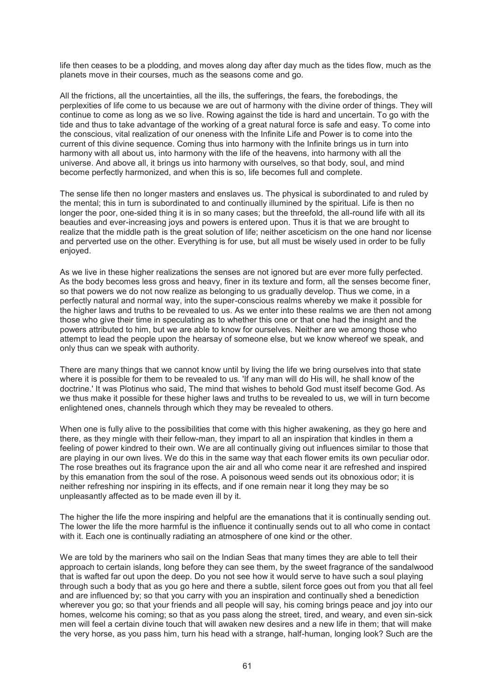life then ceases to be a plodding, and moves along day after day much as the tides flow, much as the planets move in their courses, much as the seasons come and go.

All the frictions, all the uncertainties, all the ills, the sufferings, the fears, the forebodings, the perplexities of life come to us because we are out of harmony with the divine order of things. They will continue to come as long as we so live. Rowing against the tide is hard and uncertain. To go with the tide and thus to take advantage of the working of a great natural force is safe and easy. To come into the conscious, vital realization of our oneness with the Infinite Life and Power is to come into the current of this divine sequence. Coming thus into harmony with the Infinite brings us in turn into harmony with all about us, into harmony with the life of the heavens, into harmony with all the universe. And above all, it brings us into harmony with ourselves, so that body, soul, and mind become perfectly harmonized, and when this is so, life becomes full and complete.

The sense life then no longer masters and enslaves us. The physical is subordinated to and ruled by the mental; this in turn is subordinated to and continually illumined by the spiritual. Life is then no longer the poor, one-sided thing it is in so many cases; but the threefold, the all-round life with all its beauties and ever-increasing joys and powers is entered upon. Thus it is that we are brought to realize that the middle path is the great solution of life; neither asceticism on the one hand nor license and perverted use on the other. Everything is for use, but all must be wisely used in order to be fully enjoyed.

As we live in these higher realizations the senses are not ignored but are ever more fully perfected. As the body becomes less gross and heavy, finer in its texture and form, all the senses become finer, so that powers we do not now realize as belonging to us gradually develop. Thus we come, in a perfectly natural and normal way, into the super-conscious realms whereby we make it possible for the higher laws and truths to be revealed to us. As we enter into these realms we are then not among those who give their time in speculating as to whether this one or that one had the insight and the powers attributed to him, but we are able to know for ourselves. Neither are we among those who attempt to lead the people upon the hearsay of someone else, but we know whereof we speak, and only thus can we speak with authority.

There are many things that we cannot know until by living the life we bring ourselves into that state where it is possible for them to be revealed to us. 'If any man will do His will, he shall know of the doctrine.' It was Plotinus who said, The mind that wishes to behold God must itself become God. As we thus make it possible for these higher laws and truths to be revealed to us, we will in turn become enlightened ones, channels through which they may be revealed to others.

When one is fully alive to the possibilities that come with this higher awakening, as they go here and there, as they mingle with their fellow-man, they impart to all an inspiration that kindles in them a feeling of power kindred to their own. We are all continually giving out influences similar to those that are playing in our own lives. We do this in the same way that each flower emits its own peculiar odor. The rose breathes out its fragrance upon the air and all who come near it are refreshed and inspired by this emanation from the soul of the rose. A poisonous weed sends out its obnoxious odor; it is neither refreshing nor inspiring in its effects, and if one remain near it long they may be so unpleasantly affected as to be made even ill by it.

The higher the life the more inspiring and helpful are the emanations that it is continually sending out. The lower the life the more harmful is the influence it continually sends out to all who come in contact with it. Each one is continually radiating an atmosphere of one kind or the other.

We are told by the mariners who sail on the Indian Seas that many times they are able to tell their approach to certain islands, long before they can see them, by the sweet fragrance of the sandalwood that is wafted far out upon the deep. Do you not see how it would serve to have such a soul playing through such a body that as you go here and there a subtle, silent force goes out from you that all feel and are influenced by; so that you carry with you an inspiration and continually shed a benediction wherever you go; so that your friends and all people will say, his coming brings peace and joy into our homes, welcome his coming; so that as you pass along the street, tired, and weary, and even sin-sick men will feel a certain divine touch that will awaken new desires and a new life in them; that will make the very horse, as you pass him, turn his head with a strange, half-human, longing look? Such are the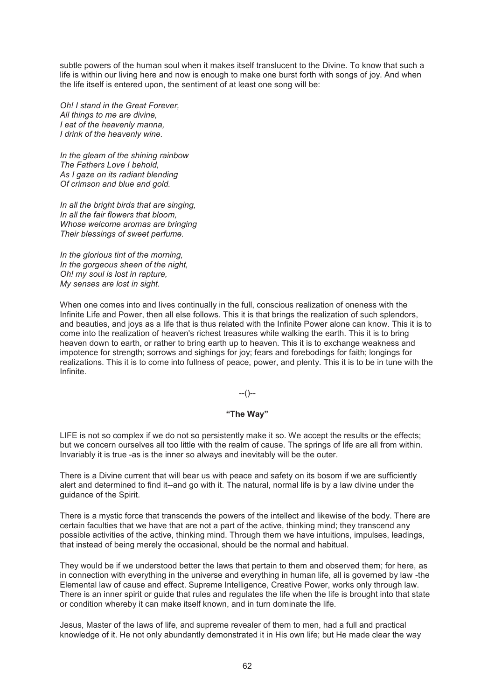subtle powers of the human soul when it makes itself translucent to the Divine. To know that such a life is within our living here and now is enough to make one burst forth with songs of joy. And when the life itself is entered upon, the sentiment of at least one song will be:

*Oh! I stand in the Great Forever, All things to me are divine, I eat of the heavenly manna, I drink of the heavenly wine.*

*In the gleam of the shining rainbow The Fathers Love I behold, As I gaze on its radiant blending Of crimson and blue and gold.*

*In all the bright birds that are singing, In all the fair flowers that bloom, Whose welcome aromas are bringing Their blessings of sweet perfume.*

*In the glorious tint of the morning, In the gorgeous sheen of the night, Oh! my soul is lost in rapture, My senses are lost in sight.*

When one comes into and lives continually in the full, conscious realization of oneness with the Infinite Life and Power, then all else follows. This it is that brings the realization of such splendors, and beauties, and joys as a life that is thus related with the Infinite Power alone can know. This it is to come into the realization of heaven's richest treasures while walking the earth. This it is to bring heaven down to earth, or rather to bring earth up to heaven. This it is to exchange weakness and impotence for strength; sorrows and sighings for joy; fears and forebodings for faith; longings for realizations. This it is to come into fullness of peace, power, and plenty. This it is to be in tune with the Infinite.

 $-(-)$ 

# **"The Way"**

LIFE is not so complex if we do not so persistently make it so. We accept the results or the effects; but we concern ourselves all too little with the realm of cause. The springs of life are all from within. Invariably it is true -as is the inner so always and inevitably will be the outer.

There is a Divine current that will bear us with peace and safety on its bosom if we are sufficiently alert and determined to find it--and go with it. The natural, normal life is by a law divine under the guidance of the Spirit.

There is a mystic force that transcends the powers of the intellect and likewise of the body. There are certain faculties that we have that are not a part of the active, thinking mind; they transcend any possible activities of the active, thinking mind. Through them we have intuitions, impulses, leadings, that instead of being merely the occasional, should be the normal and habitual.

They would be if we understood better the laws that pertain to them and observed them; for here, as in connection with everything in the universe and everything in human life, all is governed by law -the Elemental law of cause and effect. Supreme Intelligence, Creative Power, works only through law. There is an inner spirit or guide that rules and regulates the life when the life is brought into that state or condition whereby it can make itself known, and in turn dominate the life.

Jesus, Master of the laws of life, and supreme revealer of them to men, had a full and practical knowledge of it. He not only abundantly demonstrated it in His own life; but He made clear the way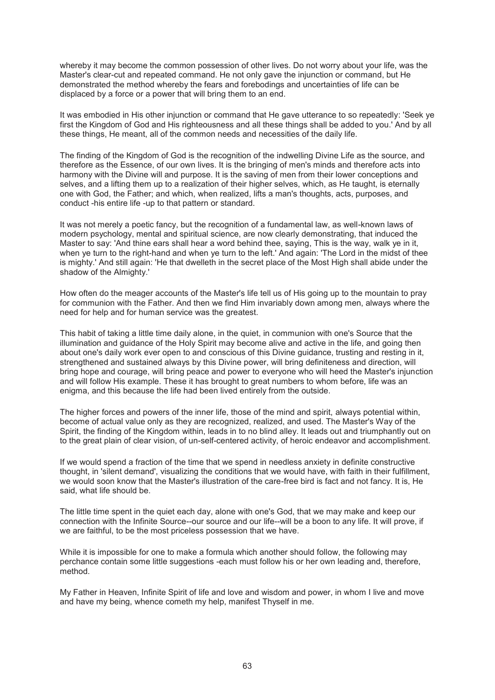whereby it may become the common possession of other lives. Do not worry about your life, was the Master's clear-cut and repeated command. He not only gave the injunction or command, but He demonstrated the method whereby the fears and forebodings and uncertainties of life can be displaced by a force or a power that will bring them to an end.

It was embodied in His other injunction or command that He gave utterance to so repeatedly: 'Seek ye first the Kingdom of God and His righteousness and all these things shall be added to you.' And by all these things, He meant, all of the common needs and necessities of the daily life.

The finding of the Kingdom of God is the recognition of the indwelling Divine Life as the source, and therefore as the Essence, of our own lives. It is the bringing of men's minds and therefore acts into harmony with the Divine will and purpose. It is the saving of men from their lower conceptions and selves, and a lifting them up to a realization of their higher selves, which, as He taught, is eternally one with God, the Father; and which, when realized, lifts a man's thoughts, acts, purposes, and conduct -his entire life -up to that pattern or standard.

It was not merely a poetic fancy, but the recognition of a fundamental law, as well-known laws of modern psychology, mental and spiritual science, are now clearly demonstrating, that induced the Master to say: 'And thine ears shall hear a word behind thee, saying, This is the way, walk ye in it, when ye turn to the right-hand and when ye turn to the left.' And again: 'The Lord in the midst of thee is mighty.' And still again: 'He that dwelleth in the secret place of the Most High shall abide under the shadow of the Almighty.'

How often do the meager accounts of the Master's life tell us of His going up to the mountain to pray for communion with the Father. And then we find Him invariably down among men, always where the need for help and for human service was the greatest.

This habit of taking a little time daily alone, in the quiet, in communion with one's Source that the illumination and guidance of the Holy Spirit may become alive and active in the life, and going then about one's daily work ever open to and conscious of this Divine guidance, trusting and resting in it, strengthened and sustained always by this Divine power, will bring definiteness and direction, will bring hope and courage, will bring peace and power to everyone who will heed the Master's injunction and will follow His example. These it has brought to great numbers to whom before, life was an enigma, and this because the life had been lived entirely from the outside.

The higher forces and powers of the inner life, those of the mind and spirit, always potential within, become of actual value only as they are recognized, realized, and used. The Master's Way of the Spirit, the finding of the Kingdom within, leads in to no blind alley. It leads out and triumphantly out on to the great plain of clear vision, of un-self-centered activity, of heroic endeavor and accomplishment.

If we would spend a fraction of the time that we spend in needless anxiety in definite constructive thought, in 'silent demand', visualizing the conditions that we would have, with faith in their fulfillment, we would soon know that the Master's illustration of the care-free bird is fact and not fancy. It is, He said, what life should be.

The little time spent in the quiet each day, alone with one's God, that we may make and keep our connection with the Infinite Source--our source and our life--will be a boon to any life. It will prove, if we are faithful, to be the most priceless possession that we have.

While it is impossible for one to make a formula which another should follow, the following may perchance contain some little suggestions -each must follow his or her own leading and, therefore, method.

My Father in Heaven, Infinite Spirit of life and love and wisdom and power, in whom I live and move and have my being, whence cometh my help, manifest Thyself in me.